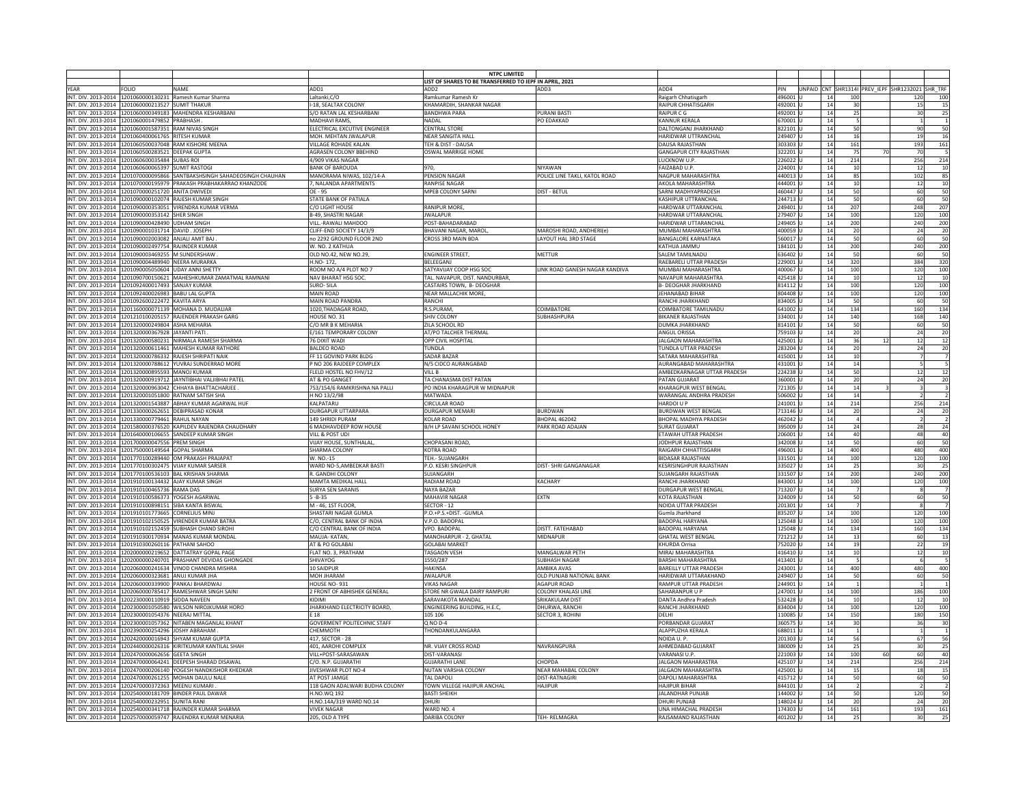|      |                                                       |                                                                                                                           |                                               | <b>NTPC LIMITED</b>                                     |                                |                                                    |                     |                       |                                                  |                               |
|------|-------------------------------------------------------|---------------------------------------------------------------------------------------------------------------------------|-----------------------------------------------|---------------------------------------------------------|--------------------------------|----------------------------------------------------|---------------------|-----------------------|--------------------------------------------------|-------------------------------|
|      |                                                       |                                                                                                                           |                                               | LIST OF SHARES TO BE TRANSFERRED TO IEPF IN APRIL, 2021 |                                |                                                    |                     |                       |                                                  |                               |
| YFAR | <b>FOLIO</b>                                          | <b>NAMF</b>                                                                                                               | ADD1                                          | ADD <sub>2</sub>                                        | ADD3                           | ADD4                                               | PIN                 |                       | UNPAID CNT SHR1314I PREV IEPF SHR1232021 SHR TRI |                               |
|      |                                                       | INT. DIV. 2013-2014 1201060000130231 Ramesh Kumar Sharma                                                                  | altanki, C/O                                  | Ramkumar Ramesh Kr                                      |                                | Raigarh Chhatisgarh                                | 496001              | 14<br>100             |                                                  | 100<br>120                    |
|      | INT. DIV. 2013-2014 1201060000213527 SUMIT THAKUR     |                                                                                                                           | I-18. SEALTAX COLONY                          | KHAMARDIH, SHANKAR NAGAF                                |                                | <b>RAIPUR CHHATISGARE</b>                          | 492001              | 14<br>30              |                                                  | 15                            |
|      |                                                       | INT. DIV. 2013-2014 1201060000349183 MAHENDRA KESHARBANI                                                                  | S/O RATAN LAL KESHARBANI                      | <b>BANDHWA PARA</b>                                     | <b>PURANI BAST</b>             | RAIPUR C G                                         | 492001              | 14<br>25              |                                                  | 30<br>$\mathcal{P}$           |
|      | INT. DIV. 2013-2014 1201060001479852 PRABHASH.        |                                                                                                                           | <b>MADHAVI RAMS</b>                           | <b>NADAI</b>                                            | PO EDAKKAD                     | KANNUR KERALA                                      | 670001 U            | 14                    |                                                  |                               |
|      | INT. DIV. 2013-2014 1201060001587351 RAM NIVAS SINGH  |                                                                                                                           | ELECTRICAL EXCUTIVE ENGINEER                  | <b>CENTRAL STORE</b>                                    |                                | DALTONGANJ JHARKHAND                               | 822101              | 50<br>14              |                                                  | 90                            |
|      | INT. DIV. 2013-2014 2201060400061765 RITESH KUMAR     |                                                                                                                           | MOH. MEHTAN JWALAPUR                          | <b>NEAR SANGITA HALL</b>                                |                                | HARIDWAR UTTRANCHAL                                | 249407              | 14<br>16              |                                                  | 19                            |
|      |                                                       | INT. DIV. 2013-2014 1201060500037048 RAM KISHORE MEENA                                                                    | <b>VILLAGE ROHADE KALAN</b>                   | TFH & DIST - DAUSA                                      |                                | DAUSA RAJASTHAN                                    | 303303 lu           | 14<br>161             |                                                  | 193<br>16'                    |
|      | INT. DIV. 2013-2014 1201060500283521 DEEPAK GUPTA     |                                                                                                                           | AGRASEN COLONY BBEHIND                        | OSWAL MARRIGE HOME                                      |                                | <b>GANGAPUR CITY RAJASTHAN</b>                     | 322201 U            | 14<br>75              | 70                                               | 70                            |
|      | INT. DIV. 2013-2014 1201060600035484 SUBAS ROI        |                                                                                                                           | 4/909 VIKAS NAGAR                             |                                                         |                                | LUCKNOW U.P.                                       | 226022 l            | 14<br>214             |                                                  | 256<br>214                    |
|      | INT. DIV. 2013-2014 1201060600065397 SUMIT RASTOGI    |                                                                                                                           | <b>BANK OF BAROUDA</b>                        |                                                         | NIYAWAN                        | AIZABAD U.P.                                       | 224001              | 14<br>10              |                                                  | 12                            |
|      |                                                       | INT. DIV. 2013-2014 1201070000095866 SANTBAKSHSINGH SAHADEOSINGH CHAUHAN                                                  | MANORAMA NIWAS, 102/14-A                      | <b>PENSION NAGAR</b>                                    | POLICE LINE TAKLI, KATOL ROAD  | NAGPUR MAHARASHTRA                                 | 440013              | 14<br>85              |                                                  | 102                           |
|      |                                                       | INT. DIV. 2013-2014 1201070000195979 PRAKASH PRABHAKARRAO KHANZODE                                                        | 7. NAI ANDA APARTMENTS                        | <b>RANPISE NAGAR</b>                                    |                                | AKOLA MAHARASHTRA                                  | 444001              | 14<br>10              |                                                  | 12                            |
|      | INT. DIV. 2013-2014 1201070000251720 ANITA DWIVED     |                                                                                                                           | OE - 95                                       | MPEB COLONY SARNI                                       | DIST - BETUL                   | SARNI MADHYAPRADESH                                | 460447 L            | 50<br>14              |                                                  | 60                            |
|      |                                                       | INT. DIV. 2013-2014 1201090000102074 RAIFSH KUMAR SINGH                                                                   | STATE BANK OF PATIALA                         |                                                         |                                | KASHIPUR UTTRANCHAI                                | 244713              | 50<br>14              |                                                  | 60<br>50                      |
|      |                                                       | INT. DIV. 2013-2014 1201090000353051 VIRENDRA KUMAR VERMA                                                                 | C/O LIGHT HOUSE                               | RANIPUR MORE,                                           |                                | HARDWAR UTTARANCHAL                                | 249401              | 14<br>207             |                                                  | 248<br>207                    |
|      | INT. DIV. 2013-2014 1201090000353142 SHER SINGH       |                                                                                                                           | <b>B-49, SHASTRI NAGAR</b>                    | <b>IWAI APUR</b>                                        |                                | HARDWAR UTTARANCHAI                                | 279407              | 14<br>100             |                                                  | 120<br>100                    |
|      | INT. DIV. 2013-2014 2201090000428490 UDHAM SINGH      |                                                                                                                           | VILL.-RAWALI MAHDOO                           | POST-BAHADARABAD                                        |                                | HARIDWAR UTTARANCHAL                               | 249405              | 14<br>200             |                                                  | 240<br>200                    |
|      | INT. DIV. 2013-2014 1201090001031714 DAVID. JOSEPH    |                                                                                                                           | CLIFF-END SOCIETY 14/3/9                      | BHAVANI NAGAR, MAROL                                    | MAROSHI ROAD, ANDHERI(e)       | MUMBAI MAHARASHTRA                                 | 400059 l            | 14<br>20              |                                                  | 24<br>2(                      |
|      | INT. DIV. 2013-2014 1201090002003082 ANJALI AMIT BAJ  |                                                                                                                           | no 2292 GROUND FLOOR 2ND                      | CROSS 3RD MAIN BDA                                      | LAYOUT HAL 3RD STAGE           | BANGALORE KARNATAKA                                | 560017              | 14<br>50              |                                                  | 60<br>50                      |
|      | INT. DIV. 2013-2014 1201090002497754 RAJINDER KUMAF   |                                                                                                                           | W. NO. 2 KATHUA                               |                                                         |                                | <b>ATHUA JAMMU</b>                                 | 184101              | 14<br>200             |                                                  | 240<br>200                    |
|      | INT. DIV. 2013-2014 1201090003469255 M SUNDERSHAW     |                                                                                                                           | OLD NO.42, NEW NO.29,                         | <b>FNGINFFR STREFT.</b>                                 | MFTTUR                         | SALEM TAMILNADU                                    | 636402              | 14<br>50              |                                                  | 60<br>50                      |
|      | INT. DIV. 2013-2014 1201090004489940 NEERA MURARKA    |                                                                                                                           | H.NO-172                                      | BELEEGANJ                                               |                                | RAEBARELI UTTAR PRADESH                            | 229001              | 14<br>320             |                                                  | 384<br>320                    |
|      | INT. DIV. 2013-2014 1201090005050604 UDAY ANNI SHETTY |                                                                                                                           | ROOM NO A/4 PLOT NO 7                         | SATYAVIJAY COOP HSG SOC                                 | LINK ROAD GANESH NAGAR KANDIVA | MUMBAI MAHARASHTRA                                 | 400067              |                       |                                                  |                               |
|      |                                                       |                                                                                                                           |                                               |                                                         |                                |                                                    |                     | 14<br>100             |                                                  | 120<br>100                    |
|      |                                                       | INT. DIV. 2013-2014 1201090700150621 MAHESHKUMAR ZAMATMAL RAMNANI                                                         | NAV BHARAT HSG SOC.                           | TAL, NAVAPUR, DIST, NANDURBAF                           |                                | <b>AVAPUR MAHARASHTRA</b>                          | 425418              | 14<br>10              |                                                  | 12                            |
|      | INT. DIV. 2013-2014 1201092400017493 SANJAY KUMAR     |                                                                                                                           | <b>SURO-SILA</b>                              | CASTAIRS TOWN, B- DEOGHAR                               |                                | <b>B- DEOGHAR JHARKHAND</b>                        | 814112              | 14<br>100             |                                                  | 120<br>100                    |
|      | INT. DIV. 2013-2014 1201092400026983 BABU LAL GUPTA   |                                                                                                                           | <b>MAIN ROAD</b>                              | NEAR MALLACHIK MORE,                                    |                                | <b>JEHANABAD BIHAR</b>                             | 804408              | 100<br>14             |                                                  | 120<br>100                    |
|      | INT. DIV. 2013-2014 1201092600222472 KAVITA ARYA      |                                                                                                                           | MAIN ROAD PANDRA                              | RANCHI                                                  |                                | RANCHI JHARKHAND                                   | 834005 L            | 14<br>50              |                                                  | 60<br>50                      |
|      |                                                       | INT. DIV. 2013-2014 1201160000071139 MOHANA D. MUDALIAR                                                                   | 1020.THADAGAR ROAD.                           | R.S.PURAM                                               | <b>COIMBATORE</b>              | COIMBATORE TAMILNADU                               | 641002 L            | 134<br>14             |                                                  | 160<br>134                    |
|      |                                                       | INT. DIV. 2013-2014 1201210100205157 RAJENDER PRAKASH GARG                                                                | HOUSE NO. 31                                  | SHIV COLON'                                             | SUBHASHPURA                    | BIKANER RAJASTHAN                                  | 334001 L            | 140<br>14             |                                                  | 168<br>140                    |
|      | INT. DIV. 2013-2014 1201320000249804 ASHA MEHARIA     |                                                                                                                           | C/O MR B K MEHARIA                            | <b>ZILA SCHOOL RD</b>                                   |                                | DUMKA IHARKHAND                                    | 814101 l            | 50<br>14              |                                                  | 60<br>$\overline{\mathbf{S}}$ |
|      | INT. DIV. 2013-2014 1201320000367928 JAYANTI PATI     |                                                                                                                           | E/161 TEMPORARY COLONY                        | AT/PO TALCHER THERMAL                                   |                                | ANGUL ORISSA                                       | 759103 l            | 14<br>$\overline{2}$  |                                                  | 24                            |
|      |                                                       | INT. DIV. 2013-2014 1201320000580231 NIRMALA RAMESH SHARMA                                                                | 76 DIXIT WADI                                 | OPP CIVIL HOSPITAL                                      |                                | <b>JALGAON MAHARASHTRA</b>                         | 425001              | 14<br>36              | 12                                               | 12<br>$\overline{1}$          |
|      |                                                       | INT. DIV. 2013-2014 1201320000611461 MAHESH KUMAR RATHORE                                                                 | <b>BALDEO ROAD</b>                            | <b>TUNDLA</b>                                           |                                | <b>TUNDLA UTTAR PRADESH</b>                        | 283204              | 14<br>20              |                                                  | 24<br>20                      |
|      |                                                       | INT. DIV. 2013-2014 1201320000786332 RAJESH SHRIPATI NAIK                                                                 | FF 11 GOVIND PARK BLDG                        | <b>SADAR BAZAR</b>                                      |                                | SATARA MAHARASHTRA                                 | 415001              | 14<br>10              |                                                  |                               |
|      |                                                       | INT. DIV. 2013-2014 1201320000788612 YUVRAJ SUNDERRAO MORE                                                                | P NO 206 RAJDEEP COMPLEX                      | N/5 CIDCO AURANGABAD                                    |                                | <b>AURANGABAD MAHARASHTRA</b>                      | 431001 l            | 14<br>14              |                                                  | -5                            |
|      | INT. DIV. 2013-2014 1201320000895593 MANOJ KUMAR      |                                                                                                                           | FLELD HOSTEL NO FHV/12                        | VILL B                                                  |                                | AMBEDKARNAGAR UTTAR PRADESH                        | 224238 U            | 50<br>14              |                                                  | 12                            |
|      |                                                       | INT. DIV. 2013-2014 1201320000919712 JAYNTIBHAI VALJIBHAI PATEL                                                           | AT & PO GANGET                                | TA CHANASMA DIST PATAN                                  |                                | PATAN GUJARAT                                      | 360001 L            | 14<br>20              |                                                  | 24                            |
|      |                                                       | INT. DIV. 2013-2014 1201320000963042 CHHAYA BHATTACHARJEE                                                                 | 753/154/6 RAMKRISHNA NA PALLI                 | PO INDIA KHARAGPUR W MIDNAPUR                           |                                | HARAGPUR WEST BENGAL                               | 721305              | 14<br>14              |                                                  |                               |
|      |                                                       | INT. DIV. 2013-2014 1201320001051800 RATNAM SATISH SHA                                                                    | H NO 13/2/98                                  | MATWADA                                                 |                                | WARANGAL ANDHRA PRADESH                            | 506002              | 14<br>14              |                                                  |                               |
|      |                                                       | INT. DIV. 2013-2014 1201320001543887 ABHAY KUMAR AGARWAL HUF                                                              | <b>KAI PATARU</b>                             | <b>CIRCULAR ROAD</b>                                    |                                | HARDOI U P                                         | 241001              | 14<br>214             |                                                  | 256<br>214                    |
|      |                                                       | INT. DIV. 2013-2014 1201330000262651 DEBIPRASAD KONAR                                                                     | <b>DURGAPUR UTTARPARA</b>                     | <b>DURGAPUR MEMARI</b>                                  | <b>BURDWAN</b>                 | <b>BURDWAN WEST BENGAL</b>                         | 713146              | 14<br>20              |                                                  | 24                            |
|      | INT. DIV. 2013-2014 1201330000779461 RAHUL NAYAN      |                                                                                                                           | 149 SHRIDI PURAM                              | KOLAR ROAD                                              | BHOPAL 462042                  | <b>BHOPAL MADHYA PRADESH</b>                       | 462042              | 14                    |                                                  |                               |
|      |                                                       |                                                                                                                           |                                               |                                                         |                                |                                                    |                     |                       |                                                  | $\overline{2}$                |
|      |                                                       | INT. DIV. 2013-2014 1201580000376520 KAPILDEV RAJENDRA CHAUDHARY                                                          | 6 MADHAVDEEP ROW HOUSE                        | B/H LP SAVANI SCHOOL HONEY                              | PARK ROAD ADAJAN               | <b>URAT GUJARAT</b>                                | 395009              | 14<br>24              |                                                  | 28                            |
|      |                                                       | INT. DIV. 2013-2014 1201640000106655 SANDEEP KUMAR SINGH                                                                  | VILL & POST UDI                               |                                                         |                                | ETAWAH UTTAR PRADESH                               | 206001              | 40<br>14              |                                                  | 48<br>$\Delta$                |
|      | INT. DIV. 2013-2014 1201700000047556 PREM SINGH       |                                                                                                                           | VIJAY HOUSE, SUNTHALAL                        | CHOPASANI ROAD,                                         |                                | JODHPUR RAJASTHAN                                  | 342008              | 14<br>50              |                                                  | 60                            |
|      | INT. DIV. 2013-2014 1201750000149564 GOPAL SHARMA     |                                                                                                                           | SHARMA COLONY                                 | <b>KOTRA ROAD</b>                                       |                                | RAIGARH CHHATTISGARH                               | 496001              | 14<br>400             |                                                  | 480<br>400                    |
|      |                                                       | INT. DIV. 2013-2014 1201770100289440 OM PRAKASH PRAJAPAT                                                                  | W. NO.-15                                     | TEH.- SUJANGARH                                         |                                | <b>IDASAR RAJASTHAN</b>                            | 331501              | 14<br>100             |                                                  | 120<br>100                    |
|      |                                                       | INT. DIV. 2013-2014 1201770100302475 VIJAY KUMAR SARSER                                                                   | WARD NO-5, AMBEDKAR BASTI                     | P.O. KESRI SINGHPUR                                     | DIST- SHRI GANGANAGAR          | KESRISINGHPUR RAJASTHAN                            | 335027              | 14<br>25              |                                                  | 30                            |
|      |                                                       | INT. DIV. 2013-2014 1201770100536103 BAL KRISHAN SHARMA                                                                   | R. GANDHI COLONY                              | SUJANGARH                                               |                                | SUJANGARH RAJASTHAN                                | 331507              | 14<br>200             |                                                  | 240<br>200                    |
|      |                                                       | INT. DIV. 2013-2014 1201910100134432 AJAY KUMAR SINGH                                                                     | MAMTA MEDIKAL HALL                            | <b>RADIAM ROAD</b>                                      | <b>KACHARY</b>                 | RANCHI JHARKHAND                                   | 843001 \            | 14<br>100             |                                                  | 120<br>100                    |
|      | INT. DIV. 2013-2014 1201910100465736 RAMA DAS         |                                                                                                                           | <b>SURYA SEN SARANIS</b>                      | NAYA BAZAR                                              |                                | DURGAPUR WEST BENGAL                               | 713207              | 14                    |                                                  | $\mathbf{g}$                  |
|      | INT. DIV. 2013-2014 1201910100586373 YOGESH AGARWAL   |                                                                                                                           | $5 - B - 35$                                  | <b>MAHAVIR NAGAR</b>                                    | EXTN                           | OTA RAJASTHAN                                      | 24009               | 14<br>50              |                                                  | 60                            |
|      |                                                       | INT. DIV. 2013-2014 1201910100898151 SIBA KANTA BISWAI                                                                    | M - 46, 1ST FLOOR                             | SECTOR - 12                                             |                                | NOIDA UTTAR PRADESH                                | 201301              | 14                    |                                                  | -8                            |
|      | INT. DIV. 2013-2014 1201910101773665 CORNELIUS MINJ   |                                                                                                                           | SHASTARI NAGAR GUMLA                          | P.O.+P.S.+DIST. - GUMLA                                 |                                | iumla Jharkhand                                    | 835207              | 14<br>100             |                                                  | 120<br>100                    |
|      |                                                       | INT. DIV. 2013-2014 1201910102150525 VIRENDER KUMAR BATRA                                                                 | C/O, CENTRAL BANK OF INDIA                    | V.P.O. BADOPAL                                          |                                | BADOPAL HARYANA                                    | 125048              | 14<br>100             |                                                  | 120<br>100                    |
|      |                                                       | INT. DIV. 2013-2014 1201910102152459 SUBHASH CHAND SIROHI                                                                 | C/O CENTRAL BANK OF INDIA                     | VPO, BADOPAL                                            | DISTT, FATEHABAD               | BADOPAL HARYANA                                    | 125048              | 14<br>134             |                                                  | 160<br>134                    |
|      |                                                       | INT. DIV. 2013-2014 1201910300170934 MANAS KUMAR MONDAL                                                                   | MAUJA- KATAN                                  | MANOHARPUR - 2, GHATAL                                  | MIDNAPUR                       | <b>SHATAL WEST BENGA</b>                           | 721212 <sup>I</sup> | 14<br>13              |                                                  | 60                            |
|      | INT. DIV. 2013-2014 1201910300260116 PATHANI SAHOO    |                                                                                                                           | AT & PO GOI ABAI                              | <b>GOI ABAI MARKET</b>                                  |                                | KHURDA Orrisa                                      | 752020              | 14<br>19              |                                                  | 22<br>1 <sup>c</sup>          |
|      |                                                       | INT, DIV, 2013-2014 1202000000219652 DATTATRAY GOPAL PAGE                                                                 | FLAT NO. 3. PRATHAM                           | <b>TASGAON VESH</b>                                     | MANGALWAR PETH                 | MIRAJ MAHARASHTRA                                  | 416410 L            | 14<br>10              |                                                  | 12                            |
|      |                                                       | INT. DIV. 2013-2014 1202000000240701 PRASHANT DEVIDAS GHONGADE                                                            | SHIVAYOG                                      | 1550/287                                                | <b>SUBHASH NAGAR</b>           | <b>BARSHI MAHARASHTRA</b>                          | 413401 L            | 14                    |                                                  | -6                            |
|      |                                                       | INT. DIV. 2013-2014 1202060000241634 VINOD CHANDRA MISHRA                                                                 | 10 SAIDPUR                                    | HAKINSA                                                 | AMBIKA AVAS                    | BAREILLY UTTAR PRADESH                             | 243001              | 14<br>400             |                                                  | 480<br>400                    |
|      | INT. DIV. 2013-2014 1202060000323681 ANUJ KUMAR JHA   |                                                                                                                           | MOH JHARAN                                    | <b>JWALAPUF</b>                                         | OLD PUNJAB NATIONAL BANK       | HARIDWAR UTTARAKHAND                               | 249407              | 14<br>50              |                                                  | 60<br>50                      |
|      |                                                       | INT. DIV. 2013-2014 1202060000339900 PANKAJ BHARDWAJ                                                                      | HOUSE NO-931                                  | <b>VIKAS NAGAR</b>                                      | <b>AGAPUR ROAD</b>             | RAMPUR UTTAR PRADESH                               | 244901              | 14                    |                                                  |                               |
|      |                                                       | INT. DIV. 2013-2014 1202060000785417 RAMESHWAR SINGH SAINI                                                                | 2 FRONT OF ABHISHEK GENERAL                   | STORE NR GWALA DAIRY RAMPURI                            | <b>COLONY KHALASI LINE</b>     | SAHARANPUR U P                                     | 247001              | 14<br>100             |                                                  | 186<br>100                    |
|      | INT. DIV. 2013-2014 1202230000110919 SIDDA NAVEEN     |                                                                                                                           | KIDIMI                                        | SARAVAKOTA MANDAI                                       | SRIKAKULAM DIST                | DANTA Andhra Pradesh                               | 532428              | 14                    |                                                  | 12<br>10                      |
|      |                                                       | INT. DIV. 2013-2014 1202300001050580 WILSON NIROJKUMAR HORO                                                               |                                               | ENGINEERING BUILDING, H.E.C                             | DHURWA, RANCH                  | RANCHI JHARKHAND                                   |                     | 10<br>14              |                                                  | 100                           |
|      |                                                       |                                                                                                                           | JHARKHAND ELECTRICITY BOARD,                  |                                                         | <b>SECTOR 3. ROHINI</b>        |                                                    | 834004<br>110085 L  | 100                   |                                                  | 120                           |
|      | INT. DIV. 2013-2014 1202300001054376 NEERAJ MITTAL    |                                                                                                                           | F 18                                          | 105 106                                                 |                                | <b>DEI HI</b>                                      |                     | 14<br>150             |                                                  | 180<br>150                    |
|      |                                                       | INT. DIV. 2013-2014 1202300001057362 NITABEN MAGANLAL KHANT                                                               | <b>GOVERMENT POLITECHNIC STAFF</b>            | Q NO D-4                                                |                                | PORBANDAR GUJARAT                                  | 360575 L            | 14<br>3 <sup>c</sup>  |                                                  | 36                            |
|      | INT. DIV. 2013-2014 1202390000254296 JOSHY ABRAHAM    |                                                                                                                           | CHEMMOTH                                      | THONDANKULANGARA                                        |                                | ALAPPUZHA KERALA                                   | 688011 U            | 14                    |                                                  |                               |
|      |                                                       | INT. DIV. 2013-2014 1202420000016943 SHYAM KUMAR GUPT/                                                                    | 417. SECTOR - 28                              |                                                         |                                | NOIDA U.P.                                         | 201303              | 14<br>56              |                                                  | 67                            |
|      |                                                       | INT. DIV. 2013-2014 1202440000026316 KIRITKUMAR KANTILAL SHAH                                                             | 401, AAROHI COMPLEX                           | NR. VIJAY CROSS ROAD                                    | NAVRANGPURA                    | AHMEDABAD GUJARAT                                  | 380009              | 14<br>25              |                                                  | 30                            |
|      | INT. DIV. 2013-2014 1202470000062656 GEETA SINGH      |                                                                                                                           | VILL+POST-SARASAWAN                           | <b>DIST-VARANASI</b>                                    |                                | VARANASI U.P.                                      | 221003              | 100<br>14             | 60                                               | 60<br>$\overline{4}$          |
|      |                                                       | INT. DIV. 2013-2014 1202470000064241 DEEPESH SHARAD DISAWAL                                                               | C/O. N.P. GUJARATHI                           | <b>GUJARATHI LANE</b>                                   | CHOPDA                         | <b>JALGAON MAHARASTRA</b>                          | 425107 L            | 14<br>214             |                                                  | 256<br>214                    |
|      |                                                       | INT. DIV. 2013-2014 1202470000206140 YOGESH NANDKISHOR KHEDKAR                                                            | <b>IIVESHWAR PLOT NO-4</b>                    | NUTAN VARSHA COLONY                                     | NEAR MAHABAL COLONY            | <b>IAI GAON MAHARASHTRA</b>                        | 425001              | 14<br>15              |                                                  | 18<br>1 <sup>5</sup>          |
|      |                                                       | INT. DIV. 2013-2014 1202470000261255 MOHAN DAULU NALE                                                                     | AT POST JAMGE                                 | <b>TAI DAPOLI</b>                                       | <b>DIST-RATNAGIRI</b>          | APOLI MAHARASHTRA                                  | 415712              | 14<br>50              |                                                  | 60                            |
|      |                                                       |                                                                                                                           |                                               |                                                         | <b>HAIIPUR</b>                 | <b>HAIIPUR BIHAR</b>                               |                     | 14                    |                                                  |                               |
|      | INT. DIV. 2013-2014 1202470000372363 MEENU KUMARI     |                                                                                                                           |                                               | TOWN VILLEGE HAJIPUR ANCHAL                             |                                |                                                    | 844101              |                       |                                                  |                               |
|      |                                                       |                                                                                                                           | 118 GAON ADALWARI BUDHA COLONY<br>H.NO.WO 192 |                                                         |                                |                                                    |                     |                       |                                                  |                               |
|      |                                                       | INT. DIV. 2013-2014 1202540000181709 BINDER PAUL DAWAR                                                                    |                                               | <b>BASTI SHEIKH</b><br>DHURL                            |                                | <b>JALANDHAR PUNJAB</b>                            | 144002              | 14<br>50              |                                                  | 120                           |
|      | INT. DIV. 2013-2014 1202540000232951 SUNITA RANI      |                                                                                                                           | H.NO.14A/319 WARD NO.14                       |                                                         |                                | DHURI PUNJAB                                       | 148024              | 14<br>20              |                                                  | 24<br>161                     |
|      |                                                       | INT. DIV. 2013-2014 1202540000341718 RAJINDER KUMAR SHARMA<br>INT. DIV. 2013-2014 1202570000059747 RAJENDRA KUMAR MENARIA | <b>VIVEK NAGAR</b><br>205, OLD A TYPE         | WARD NO. 4<br>DARIBA COLONY                             | TEH-RELMAGRA                   | <b>JNA HIMACHAL PRADESH</b><br>RAJSAMAND RAJASTHAN | 174303<br>401202 U  | 161<br>14<br>25<br>14 |                                                  | 193<br>30                     |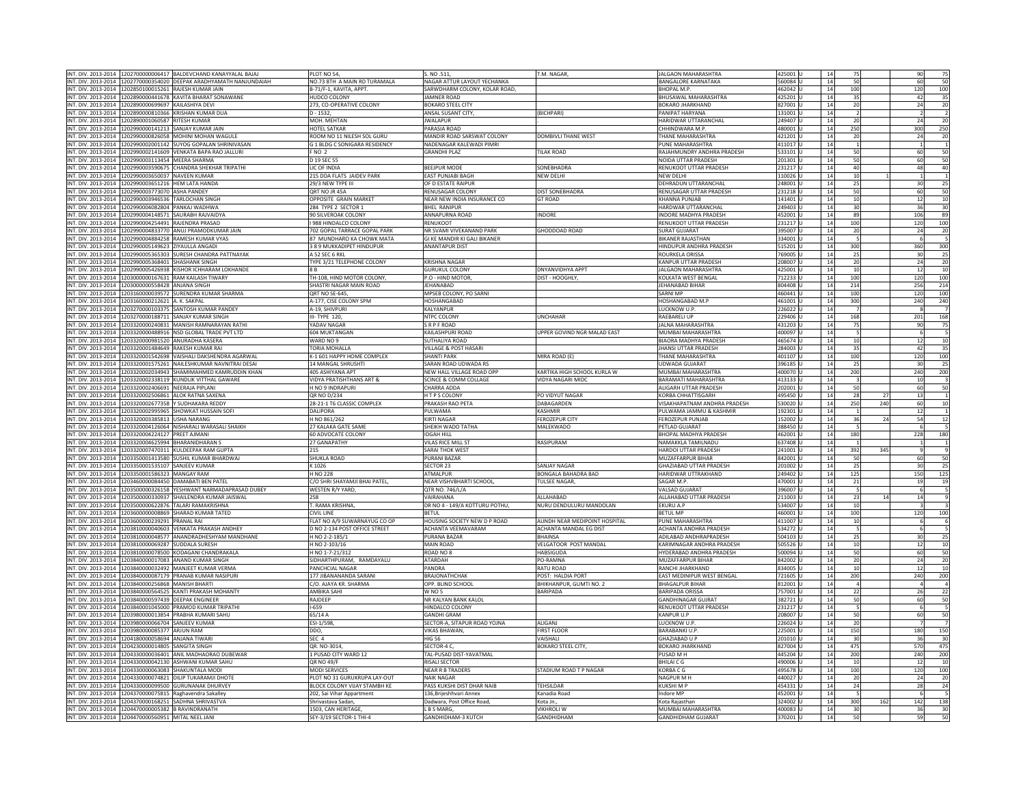|                                                    | INT. DIV. 2013-2014 1202700000006417 BALDEVCHAND KANAYYALAL BAJAJ                                           | PLOT NO 54,                                   | S. NO.511,                              | T.M. NAGAR                            | JALGAON MAHARASHTRA                                    | 425001 <sub>U</sub> | 14       | 75              |     | 90                      | 75                                                                                                                  |
|----------------------------------------------------|-------------------------------------------------------------------------------------------------------------|-----------------------------------------------|-----------------------------------------|---------------------------------------|--------------------------------------------------------|---------------------|----------|-----------------|-----|-------------------------|---------------------------------------------------------------------------------------------------------------------|
|                                                    | INT. DIV. 2013-2014 1202770000354020 DEEPAK ARADHYAMATH NANJUNDAIAH                                         | NO.73 8TH A MAIN RD TURAMALA                  | NAGAR ATTUR LAYOUT YECHANKA             |                                       | <b>BANGALORE KARNATAKA</b>                             | 560084 L            | 14       | 50              |     | 60                      | 50                                                                                                                  |
|                                                    |                                                                                                             |                                               |                                         |                                       |                                                        |                     |          |                 |     |                         |                                                                                                                     |
|                                                    | INT. DIV. 2013-2014 1202850100015261 RAJESH KUMAR JAIN                                                      | B-71/F-1, KAVITA, APPT.                       | SARWDHARM COLONY, KOLAR ROAD,           |                                       | BHOPAL M.P.                                            | 162042              | 14       | 100             |     | 120                     | 100                                                                                                                 |
|                                                    | INT. DIV. 2013-2014 1202890000441678 KAVITA BHARAT SONAWANE                                                 | HUDCO COLONY                                  | JAMNER ROAD                             |                                       | BHUSAWAL MAHARASHTRA                                   | 425201              | 14       | 35              |     | 42                      | 35                                                                                                                  |
|                                                    | INT. DIV. 2013-2014 1202890000699697 KAILASHIYA DEVI                                                        | 273, CO-OPERATIVE COLONY                      | <b>BOKARO STEEL CITY</b>                |                                       | <b>BOKARO JHARKHAND</b>                                | 827001              | 14       | 20              |     | 24                      | 20                                                                                                                  |
|                                                    | INT. DIV. 2013-2014 1202890000810366 KRISHAN KUMAR DUA                                                      | $D - 1532,$                                   | ANSAL SUSANT CITY,                      | (BICHPARI)                            | PANIPAT HARYANA                                        | 131001 l            | 14       | $\overline{2}$  |     | $\overline{2}$          | $\overline{2}$                                                                                                      |
| NT. DIV. 2013-2014 1202890001060587 RITESH KUMAR   |                                                                                                             | MOH. MEHTAN                                   | <b>IWAI APUR</b>                        |                                       | HARIDWAR UTTARANCHAL                                   | 249407              | 14       | 20              |     | 24                      | 20                                                                                                                  |
|                                                    |                                                                                                             |                                               |                                         |                                       |                                                        |                     |          |                 |     |                         |                                                                                                                     |
|                                                    | IT. DIV. 2013-2014 1202990000141213 SANJAY KUMAR JAIN                                                       | <b>HOTEL SATKAR</b>                           | PARASIA ROAD                            |                                       | HHINDWARA M.P.                                         | 80001               | 14       | 250             |     | 300                     | 250                                                                                                                 |
|                                                    | INT. DIV. 2013-2014 1202990000826058 MOHINI MOHAN WAGULE                                                    | ROOM NO 11 NILESH SOL GURU                    | MANDIR ROAD SARSWAT COLONY              | DOMBIVLI THANE WEST                   | THANE MAHARASHTRA                                      | 421201              | 14       | 20              |     | 24                      | 20                                                                                                                  |
|                                                    | NT. DIV. 2013-2014 1202990002001142 SUYOG GOPALAN SHRINIVASAN                                               | <b>G 1 BLDG C SONIGARA RESIDENCY</b>          | NADENAGAR KALEWADI PIMRI                |                                       | PUNF MAHARASHTRA                                       | 411017              | 14       | $\overline{1}$  |     | $\overline{1}$          | $\overline{1}$                                                                                                      |
|                                                    | INT. DIV. 2013-2014 1202990002141609 VENKATA BAPA RAO JALLURI                                               | FNO <sub>2</sub>                              | <b>GRANDHI PLAZ</b>                     | <b>TILAK ROAD</b>                     | RAJAHMUNDRY ANDHRA PRADESH                             | 533101              | 14       | 50              |     | 60                      | 50                                                                                                                  |
|                                                    |                                                                                                             |                                               |                                         |                                       |                                                        |                     |          |                 |     |                         |                                                                                                                     |
|                                                    | INT. DIV. 2013-2014 1202990003113454 MEERA SHARMA                                                           | D 19 SEC 55                                   |                                         |                                       | NOIDA UTTAR PRADESH                                    | 201301              | 14       | 50              |     | 60                      | 50                                                                                                                  |
|                                                    | VT. DIV. 2013-2014 1202990003590675 CHANDRA SHEKHAR TRIPATHI                                                | LIC OF INDIA                                  | BEEJPUR MODE                            | SONEBHADRA                            | RENUKOOT UTTAR PRADESH                                 | 31217               | 14       | 40              |     | 48                      | 40                                                                                                                  |
|                                                    | INT. DIV. 2013-2014 1202990003650037 NAVEEN KUMAR                                                           | 215 DDA FLATS JAIDEV PARK                     | <b>EAST PUNJABI BAGH</b>                | <b>NFW DFI HI</b>                     | NEW DELHI                                              | 110026              | 14       | $10\,$          |     | $\mathbf{1}$            | $\overline{1}$                                                                                                      |
|                                                    | INT. DIV. 2013-2014 1202990003651216 HFM LATA HANDA                                                         | 29/3 NFW TYPF III                             | OF D ESTATE RAIPUR                      |                                       | DEHRADUN UTTARANCHAL                                   | 248001              | 14       | 25              |     | 30                      | 25                                                                                                                  |
|                                                    |                                                                                                             | QRT NO JR 45A                                 | <b>RENUSAGAR COLONY</b>                 | DIST SONEBHADRA                       |                                                        | 231218              | 14       |                 |     | 60                      |                                                                                                                     |
| INT. DIV. 2013-2014 1202990003773070 ASHA PANDEY   |                                                                                                             |                                               |                                         |                                       | RENUSAGAR UTTAR PRADESH                                |                     |          | 50              |     |                         | 50                                                                                                                  |
|                                                    | NT. DIV. 2013-2014 1202990003946536 TARLOCHAN SINGH                                                         | OPPOSITE GRAIN MARKET                         | NEAR NEW INDIA INSURANCE CO             | <b>GT ROAD</b>                        | KHANNA PUNJAB                                          | 141401              | 14       | 10              |     | 12                      | 10                                                                                                                  |
|                                                    | VT. DIV. 2013-2014 1202990004082804 PANKAJ WADHWA                                                           | 284 TYPE 2 SECTOR 1                           | BHEL RANIPUR                            |                                       | HARDWAR UTTARANCHAL                                    | 49403               | 14       | 30              |     | 36                      | 30                                                                                                                  |
|                                                    | INT. DIV. 2013-2014 1202990004148571 SAURABH RAJVAIDYA                                                      | 90 SILVEROAK COLONY                           | <b>ANNAPURNA ROAD</b>                   | INDORE                                | <b>INDORE MADHYA PRADESH</b>                           | 452001              | 14       | 89              |     | 106                     | 89                                                                                                                  |
|                                                    | INT. DIV. 2013-2014 1202990004254491 RAJENDRA PRASAD                                                        | I 988 HINDALCO COLONY                         | <b>RENUKOOT</b>                         |                                       | RENUKOOT UTTAR PRADESH                                 | 231217              | 14       | 100             |     | 120                     | 100                                                                                                                 |
|                                                    |                                                                                                             |                                               |                                         |                                       |                                                        |                     |          |                 |     |                         |                                                                                                                     |
|                                                    | INT. DIV. 2013-2014 1202990004833770 ANUJ PRAMODKUMAR JAIN                                                  | 702 GOPAL TARRACE GOPAL PARK                  | NR SVAMI VIVEKANAND PARK                | GHODDOAD ROAD                         | <b>SURAT GUJARAT</b>                                   | 395007              | 14       | 20              |     | 24                      | 20                                                                                                                  |
|                                                    | INT. DIV. 2013-2014 1202990004884258 RAMESH KUMAR VYAS                                                      | 87 MUNDHARO KA CHOWK MATA                     | GI KE MANDIR KI GALI BIKANER            |                                       | <b>BIKANER RAIASTHAN</b>                               | 334001              | 14       | 5               |     | $6\phantom{.}6$         | 5                                                                                                                   |
|                                                    | NT. DIV. 2013-2014 1202990005149623 ZIYAULLA ANGADI                                                         | 3 8 9 MUKKADIPET HINDUPUR                     | <b>ANANTAPUR DIST</b>                   |                                       | HINDUPUR ANDHRA PRADESH                                | 15201               | 14       | 300             |     | 360                     | 300                                                                                                                 |
|                                                    | INT. DIV. 2013-2014 1202990005365303 SURESH CHANDRA PATTNAYAK                                               | A 52 SEC 6 RKL                                |                                         |                                       | ROURKELA ORISSA                                        | 769005              | 14       | 25              |     | 30                      | 25                                                                                                                  |
|                                                    | INT. DIV. 2013-2014 1202990005368401 SHASHANK SINGH                                                         | TYPE 3/21 TELEPHONE COLONY                    | <b>KRISHNA NAGAR</b>                    |                                       | <b>KANPUR UTTAR PRADESH</b>                            |                     |          |                 |     | 24                      |                                                                                                                     |
|                                                    |                                                                                                             |                                               |                                         |                                       |                                                        | 208007              | 14       | 20              |     |                         | 20                                                                                                                  |
|                                                    | INT. DIV. 2013-2014 1202990005426938 KISHOR ICHHARAM LOKHANDE                                               | 8B                                            | <b>GURUKUL COLONY</b>                   | <b>DNYANVIDHYA APPT</b>               | JALGAON MAHARASHTRA                                    | 425001 L            | 14       | 10              |     | 12                      | 10                                                                                                                  |
|                                                    | NT. DIV. 2013-2014 1203000000167631 RAM KAILASH TIWARY                                                      | TH-108. HIND MOTOR COLONY.                    | P.O - HIND MOTOR                        | DIST - HOOGHLY,                       | KOLKATA WEST BENGAL                                    | 7122331             | 14       | 100             |     | 120                     | 100                                                                                                                 |
| NT. DIV. 2013-2014 1203000000558428 ANJANA SINGH   |                                                                                                             | SHASTRI NAGAR MAIN ROAD                       | <b>JEHANABAD</b>                        |                                       | EHANABAD BIHAR                                         | 304408              | 14       | 214             |     | 256                     | 214                                                                                                                 |
|                                                    |                                                                                                             |                                               |                                         |                                       | <b>SARNIMP</b>                                         |                     |          |                 |     |                         |                                                                                                                     |
|                                                    | NT. DIV. 2013-2014 1203160000039572 SURENDRA KUMAR SHARMA                                                   | QRT NO SE-645,                                | MPSEB COLONY, PO SARNI                  |                                       |                                                        | 460441              | 14       | 100             |     | 120                     | 100                                                                                                                 |
| INT. DIV. 2013-2014 1203160000212621 A. K. SAKPAL  |                                                                                                             | A-177, CISE COLONY SPM                        | <b>HOSHANGABAD</b>                      |                                       | HOSHANGABAD M.P                                        | 461001              | 14       | 300             |     | 240                     | 240                                                                                                                 |
|                                                    | INT. DIV. 2013-2014 1203270000103375 SANTOSH KUMAR PANDEY                                                   | A-19, SHIVPURI                                | KALYANPUR                               |                                       | LUCKNOW U.P.                                           | 226022              | 14       |                 |     | 8                       |                                                                                                                     |
|                                                    | INT. DIV. 2013-2014 1203270000188711 SANJAY KUMAR SINGH                                                     | III- TYPE 120.                                | NTPC COLONY                             | <b>UNCHAHAR</b>                       | <b>RAFBARFILUP</b>                                     | 229406              | 14       | 168             |     | 201                     | 168                                                                                                                 |
|                                                    | NT. DIV. 2013-2014   1203320000240831   MANISH RAMNARAYAN RATHI                                             | YADAV NAGAR                                   | SRPFROAD                                |                                       | JALNA MAHARASHTRA                                      | 131203              | 14       | 75              |     | 90                      | 75                                                                                                                  |
|                                                    |                                                                                                             |                                               |                                         |                                       |                                                        |                     |          |                 |     |                         |                                                                                                                     |
|                                                    | INT. DIV. 2013-2014 1203320000488916 NSD GLOBAL TRADE PVT LTD                                               | 604 MUKTANGAN                                 | KAILASHPURI ROAD                        | UPPER GOVIND NGR MALAD EAST           | MUMBAI MAHARASHTRA                                     | 400097              | 14       | 5               |     | 6                       | 5                                                                                                                   |
|                                                    | NT. DIV. 2013-2014 1203320000981520 ANURADHA KASERA                                                         | WARD NO 9                                     | SUTHALIYA ROAD                          |                                       | <b>BIAORA MADHYA PRADESH</b>                           | 465674              | 14       | 10              |     | 12                      | 10                                                                                                                  |
|                                                    | NT. DIV. 2013-2014 1203320001484649 RAKESH KUMAR RAI                                                        | <b>TORIA MOHALLA</b>                          | VILLAGE & POST HASARI                   |                                       | <b>JHANSI UTTAR PRADESH</b>                            | 284003              | 14       | 35              |     | 42                      | 35                                                                                                                  |
|                                                    | NT. DIV. 2013-2014 1203320001542698 VAISHALI DAKSHENDRA AGARWAL                                             | K-1 601 HAPPY HOME COMPLEX                    | <b>SHANTI PARK</b>                      | MIRA ROAD (E)                         | <b>THANF MAHARASHTRA</b>                               | 401107              | 14       | 100             |     | 120                     | 100                                                                                                                 |
|                                                    |                                                                                                             |                                               |                                         |                                       |                                                        |                     |          |                 |     |                         |                                                                                                                     |
|                                                    | IT. DIV. 2013-2014 1203320001575261 NAILESHKUMAR NAVNITRAI DESAI                                            | 14 MANGAL SHRUSHTI                            | ARAN ROAD UDWADA RS                     |                                       | JDWADA GUJARAT                                         | 96185               | 14       | 25              |     | 30                      | 25                                                                                                                  |
|                                                    | NT. DIV. 2013-2014 1203320002034943 SHAMIMAHMED KAMRUDDIN KHAN                                              | 405 ASHIYANA APT                              | NEW HALL VILLAGE ROAD OPP               | KARTIKA HIGH SCHOOL KURLA W           | MUMBAI MAHARASHTRA                                     | 400070              | 14       | 200             |     | 240                     | 200                                                                                                                 |
|                                                    | INT. DIV. 2013-2014 1203320002338119 KUNDUK VITTHAI GAWARE                                                  | <b>VIDYA PRATISHTHANS ART &amp;</b>           | SCINCE & COMM COLLAGE                   | <b>VIDYA NAGARI MIDC</b>              | <b>BARAMATI MAHARASHTRA</b>                            | 413133              | 14       | $\overline{3}$  |     | 10 <sup>1</sup>         |                                                                                                                     |
|                                                    | INT. DIV. 2013-2014 1203320002406691 NEERAJA PIPLANI                                                        | H NO 9 INDRAPURI                              | CHARRA ADDA                             |                                       | ALIGARH UTTAR PRADESH                                  | 202001              | 14       | 50              |     | 60                      | 50                                                                                                                  |
|                                                    | INT. DIV. 2013-2014 1203320002506861 ALOK RATNA SAXENA                                                      | QR NO D/234                                   | H T P S COLONY                          | PO VIDYUT NAGAR                       |                                                        |                     |          |                 | 27  | 13                      | $\overline{1}$                                                                                                      |
|                                                    |                                                                                                             |                                               |                                         |                                       |                                                        |                     |          |                 |     |                         |                                                                                                                     |
|                                                    |                                                                                                             |                                               |                                         |                                       | <b>KORBA CHHATTISGARH</b>                              | 495450              | 14       | 28              |     |                         |                                                                                                                     |
|                                                    | NT. DIV. 2013-2014 1203320002677358 Y SUDHAKARA REDDY                                                       | 28-21-1 T6 CLASSIC COMPLEX                    | PRAKASH RAO PETA                        | DABAGARDEN                            | /ISAKHAPATNAM ANDHRA PRADESH                           | 30020               | 14       | 250             | 240 | 60                      |                                                                                                                     |
|                                                    |                                                                                                             | <b>DALIPORA</b>                               | PULWAMA                                 | <b>KASHMIR</b>                        | PULWAMA JAMMU & KASHMIR                                |                     | 14       | $\overline{1}$  |     |                         |                                                                                                                     |
|                                                    | INT. DIV. 2013-2014 1203320002995965 SHOWKAT HUSSAIN SOFI                                                   |                                               |                                         |                                       |                                                        | 192301              |          |                 |     | ${\bf 12}$              |                                                                                                                     |
| NT. DIV. 2013-2014 1203320003385813 USHA NARANG    |                                                                                                             | H NO 861/262                                  | <b>KIRTI NAGAR</b>                      | <b>FEROZEPUR CITY</b>                 | <b>FEROZEPUR PUNJAB</b>                                | 152002              | 14       | 36              | 24  | 54                      |                                                                                                                     |
|                                                    | INT. DIV. 2013-2014 1203320004126064 NISHARALI WARASALI SHAIKH                                              | 27 KALAKA GATE SAME                           | SHEIKH WADO TATHA                       | MALEKWADO                             | PETLAD GUJARAT                                         | 388450              | 14       | 5               |     | 6                       |                                                                                                                     |
| NT. DIV. 2013-2014 1203320004224127 PREET AJMANI   |                                                                                                             | 60 ADVOCATE COLONY                            | <b>IDGAH HILL</b>                       |                                       | BHOPAL MADHYA PRADESH                                  | 462001              | 14       | 180             |     | 228                     |                                                                                                                     |
|                                                    | NT. DIV. 2013-2014 1203320004625994 BHARANIDHARAN S                                                         | 27 GANAPATHY                                  | VILAS RICE MILL ST                      | RASIPURAM                             | <b>NAMAKKLA TAMILNADU</b>                              | 37408               | 14       |                 |     |                         |                                                                                                                     |
|                                                    |                                                                                                             | 215                                           | <b>SARAI THOK WEST</b>                  |                                       | <b>HARDOI UTTAR PRADESH</b>                            |                     | 14       |                 | 345 | $\mathbf{q}$            |                                                                                                                     |
|                                                    | NT. DIV. 2013-2014 1203320007470311 KULDEEPAK RAM GUPTA                                                     |                                               |                                         |                                       |                                                        | 241001              |          | 392             |     |                         |                                                                                                                     |
|                                                    | INT. DIV. 2013-2014 1203350001413580 SUSHIL KUMAR BHARDWAJ                                                  | SHUKLA ROAD                                   | <b>PURANI BAZAR</b>                     |                                       | MUZAFFARPUR BIHAR                                      | 842001              | 14       | 50              |     | 60                      |                                                                                                                     |
|                                                    | INT. DIV. 2013-2014 1203350001535107 SANJEEV KUMAR                                                          | K 1026                                        | SECTOR 23                               | SANJAY NAGAR                          | GHAZIABAD UTTAR PRADESH                                | 201002              | 14       | 25              |     | 30                      |                                                                                                                     |
| INT. DIV. 2013-2014 1203350001586323 MANGAY RAM    |                                                                                                             | H NO 228                                      | <b>ATMAI PUR</b>                        | <b>BONGALA BAHADRA BAD</b>            | HARIDWAR UTTRAKHAND                                    | 249402 L            | 14       | 125             |     | 150                     |                                                                                                                     |
|                                                    | INT. DIV. 2013-2014 1203460000084450 DAMABATI BEN PATEL                                                     | C/O SHRI SHAYAMJI BHAI PATEL,                 | NEAR VISHVBHARTI SCHOOL,                | <b>TULSEE NAGAR</b>                   | SAGAR M.P.                                             | 70001               | 14       | $\bf{21}$       |     | 19                      |                                                                                                                     |
|                                                    |                                                                                                             |                                               |                                         |                                       |                                                        |                     |          |                 |     |                         |                                                                                                                     |
|                                                    | INT. DIV. 2013-2014 1203500000326158 YESHWANT NARMADAPRASAD DUBEY                                           | WESTEN R/Y YARD.                              | QTR NO. 746/L/A                         |                                       | <b>VALSAD GUJARAT</b>                                  | 396007              | 14       | 5               |     | 6                       |                                                                                                                     |
| NT. DIV. 2013-2014                                 | 1203500000330937 SHAILENDRA KUMAR JAISWAL                                                                   | 258                                           | VAIRAHANA                               | ALLAHABAD                             | ALLAHABAD UTTAR PRADESH                                | 211003              | 14       | 23              | 14  | 14                      |                                                                                                                     |
|                                                    | INT. DIV. 2013-2014 1203500000622876 TALARI RAMAKRISHNA                                                     | T. RAMA KRISHNA,                              | DR NO 4 - 149/A KOTTURU POTHU,          | NURU DENDULURU MANDOLAN               | <b>EKURU A.P</b>                                       | 534007 L            | 14       | 10              |     | $\overline{\mathbf{3}}$ |                                                                                                                     |
|                                                    | NT. DIV. 2013-2014 1203600000008869 SHARAD KUMAR TATED                                                      | CIVIL LINE                                    | <b>BFTUL</b>                            |                                       | <b>BFTUL MP</b>                                        | 460001   L          | 14       | 100             |     | 120                     |                                                                                                                     |
| IT. DIV. 2013-2014                                 | 203600000239291<br><b>PRANAL RAI</b>                                                                        | FLAT NO A/9 SUWARNAYUG CO OP                  | HOUSING SOCIETY NEW D P ROAD            | AUNDH NEAR MEDIPOINT HOSPITAL         | PUNE MAHARASHTRA                                       | 11007               | 14       |                 |     | 6                       | 10<br>12<br>180<br>9<br>50<br>25<br>125<br>19<br>5<br>9<br>100<br>6                                                 |
|                                                    |                                                                                                             |                                               |                                         |                                       |                                                        |                     |          | 10              |     |                         |                                                                                                                     |
|                                                    | INT. DIV. 2013-2014 1203810000040603 VENKATA PRAKASH ANDHEY                                                 | D NO 2-134 POST OFFICE STREET                 | ACHANTA VEEMAVARAM                      | ACHANTA MANDAL EG DIST                | ACHANTA ANDHRA PRADESH                                 | 534272              | 14       | 5               |     | 6                       |                                                                                                                     |
|                                                    | INT. DIV. 2013-2014 1203810000048577 ANANDRADHESHYAM MANDHANE                                               | H NO 2-2-185/1                                | PURANA BAZAR                            | <b>BHAINSA</b>                        | ADILABAD ANDHRAPRADESH                                 | 504103              | 14       | 25              |     | 30                      |                                                                                                                     |
|                                                    | INT. DIV. 2013-2014 1203810000069287 SUDDALA SURESH                                                         | H NO 2-103/16                                 | <b>MAIN ROAD</b>                        | VELGATOOR POST MANDAL                 | KARIMNAGAR ANDHRA PRADESH                              | 505526              | 14       | 10              |     | 12                      |                                                                                                                     |
|                                                    | INT. DIV. 2013-2014 1203810000078500 KODAGANI CHANDRAKALA                                                   | H NO 1-7-21/312                               | ROAD NO 8                               | HABSIGUDA                             | HYDERABAD ANDHRA PRADESH                               | 500094              | 14       | 50              |     | 60                      |                                                                                                                     |
|                                                    |                                                                                                             |                                               |                                         |                                       |                                                        |                     |          |                 |     |                         |                                                                                                                     |
|                                                    | VT. DIV. 2013-2014 1203840000017083 ANAND KUMAR SINGH                                                       | SIDHARTHPURAM, RAMDAYALU                      | ATARDAH                                 | PO-RAMNA                              | MUZAFFARPUR BIHAR                                      | 342002              | 14       |                 |     | 24                      |                                                                                                                     |
|                                                    | INT. DIV. 2013-2014 1203840000032492 MANJEET KUMAR VERMA                                                    | PANCHCIAL NAGAR                               | PANDRA                                  | <b>RATU ROAD</b>                      | RANCHI JHARKHAND                                       | 834005              | 14       | $\frac{20}{10}$ |     | 12                      |                                                                                                                     |
|                                                    | INT, DIV, 2013-2014 1203840000087179 PRANAB KUMAR NASIPURI                                                  | 177 JIBANANANDA SARANI                        | <b>BRAIONATHCHAK</b>                    | POST: HALDIA PORT                     | EAST MEDINIPUR WEST BENGAL                             | 721605              | 14       | 200             |     | 240                     | 5<br>25<br>10<br>50<br>20<br>10<br>200                                                                              |
|                                                    | INT. DIV. 2013-2014 1203840000256868 MANISH BHARTI                                                          | C/O. AJAYA KR. SHARMA                         | OPP. BLIND SCHOOL                       | BHIKHANPUR, GUMTI NO. 2               | <b>BHAGALPUR BIHAR</b>                                 | 812001              | 14       | $\overline{4}$  |     | $\overline{a}$          |                                                                                                                     |
|                                                    | NT. DIV. 2013-2014 1203840000564525 KANTI PRAKASH MOHANTY                                                   | AMBIKA SAHI                                   | W <sub>NO5</sub>                        | <b>BARIPADA</b>                       | <b>BARIPADA ORISSA</b>                                 | 757001L             | 14       |                 |     | 26                      |                                                                                                                     |
|                                                    |                                                                                                             |                                               |                                         |                                       |                                                        |                     |          | 22              |     |                         |                                                                                                                     |
|                                                    | NT. DIV. 2013-2014 1203840000597439 DEEPAK ENGINEER                                                         | RAJDEEP                                       | NR KALYAN BANK KALOL                    |                                       | <b>GANDHINAGAR GUJRAT</b>                              | 82721               | 14       | 50              |     | 60                      |                                                                                                                     |
|                                                    | INT. DIV. 2013-2014 1203840001045000 PRAMOD KUMAR TRIPATH                                                   | $1 - 659$                                     | HINDALCO COLONY                         |                                       | RENUKOOT UTTAR PRADESH                                 | 231217              | 14       | 5               |     | 6                       |                                                                                                                     |
|                                                    | INT. DIV. 2013-2014 1203980000013854 PRABHA KUMARI SAHU                                                     | 65/14 A                                       | <b>GANDHI GRAM</b>                      |                                       | <b>KANPUR U.P</b>                                      | 208007              | 14       | 50              |     | 60                      |                                                                                                                     |
|                                                    | INT. DIV. 2013-2014 1203980000066704 SANJEEV KUMAR                                                          | ESI-1/598                                     |                                         | ALIGANJ                               | LUCKNOW U.P                                            | 226024              | 14       | 20              |     | $\overline{7}$          |                                                                                                                     |
|                                                    |                                                                                                             |                                               | SECTOR-A, SITAPUR ROAD YOJNA            |                                       | <b>BARABANKI U.P</b>                                   |                     |          |                 |     |                         |                                                                                                                     |
| INT. DIV. 2013-2014 1203980000085377 ARJUN RAM     |                                                                                                             | DDO,                                          | <b>VIKAS BHAWAN,</b>                    | <b>FIRST FLOOF</b>                    |                                                        | 225001              | 14       | 150             |     | 180                     |                                                                                                                     |
| INT. DIV. 2013-2014 1204180000058694 ANJANA TIWARI |                                                                                                             | SEC <sub>4</sub>                              | <b>HIG 56</b>                           | VAISHALL                              | <b>GHAZIABAD U P</b>                                   | 201010              | 14       | 30              |     | 36                      |                                                                                                                     |
| INT. DIV. 2013-2014 1204230000014805 SANGITA SINGH |                                                                                                             | QR. NO-3014                                   | SECTOR-4 C                              | <b>BOKARO STEEL CITY.</b>             | <b>BOKARO JHARKHAND</b>                                | 827004              | 14       | 475             |     | 570                     |                                                                                                                     |
|                                                    | INT. DIV. 2013-2014 1204330000036401 ANIL MADHAORAO DUBEWAR                                                 | 1 PUSAD CITY WARD 12                          | TAL-PUSAD DIST-YAVATMAL                 |                                       | PUSAD M H                                              | 445204              | 14       | 200             |     | 240                     |                                                                                                                     |
|                                                    |                                                                                                             |                                               |                                         |                                       |                                                        |                     |          |                 |     | 12                      |                                                                                                                     |
|                                                    | INT. DIV. 2013-2014 1204330000042130 ASHWANI KUMAR SAHU                                                     | QR NO 49/F                                    | <b>RISALI SECTOR</b>                    |                                       | <b>BHILAICG</b>                                        | 490006              | 14       | 10              |     |                         |                                                                                                                     |
|                                                    | NT. DIV. 2013-2014 1204330000063083 SHAKUNTALA MODI                                                         | <b>MODLSERVICES</b>                           | <b>NEAR R B TRADERS</b>                 | STADIUM ROAD T P NAGAR                | KORBA C G                                              | 495678              | 14       | 100             |     | 120                     |                                                                                                                     |
|                                                    | INT. DIV. 2013-2014 1204330000074821 DILIP TUKARAMJI DHOTE                                                  | PLOT NO 31 GURUKRUPA LAY-OUT                  | <b>NAIK NAGAR</b>                       |                                       | <b>NAGPURMH</b>                                        | 140027              | 14       | 20              |     | 24                      |                                                                                                                     |
|                                                    | INT. DIV. 2013-2014 1204330000099500 GURUNANAK DHURVEY                                                      | BLOCK COLONY VIJAY STAMBH KE                  | PASS KUKSHI DIST DHAR NAIB              | <b>TEHSILDAR</b>                      | <b>KUKSHIMP</b>                                        | 454331              | 14       | 24              |     | 28                      |                                                                                                                     |
|                                                    |                                                                                                             |                                               |                                         | Kanadia Road                          | Indore MP                                              | 452001              | 14       | 5               |     | 6                       |                                                                                                                     |
|                                                    | INT. DIV. 2013-2014 1204370000075815 Raghavendra Sakalley                                                   | 202, Sai Vihar Appartment                     | 136, Brijeshhvari Annex                 |                                       |                                                        |                     |          |                 |     |                         |                                                                                                                     |
|                                                    | INT. DIV. 2013-2014 1204370000168251 SADHNA SHRIVASTVA                                                      | Shrivastava Sadan                             | Dadwara, Post Office Road,              | Kota Jn.                              | Kota Rajasthan                                         | 324002              | 14       | 300             | 162 | 142                     |                                                                                                                     |
|                                                    | INT. DIV. 2013-2014 1204470000005382 B RAVINDRANATH<br>INT. DIV. 2013-2014 1204470000560951 MITAL NEEL JANI | 1503. CAN HERITAGE<br>SEY-3/19 SECTOR-1 THI-4 | <b>I B S MARG</b><br>GANDHIDHAM-3 KUTCH | <b>VIKHROLLW</b><br><b>GANDHIDHAM</b> | <b>MUMBAI MAHARASHTRA</b><br><b>GANDHIDHAM GUJARAT</b> | 400083<br>370201 L  | 14<br>14 | 30<br>50        |     | 36<br>59                | $\overline{4}$<br>22<br>$\frac{50}{5}$<br>50<br>150<br>30<br>475<br>200<br>10<br>100<br>20<br>24<br>138<br>30<br>50 |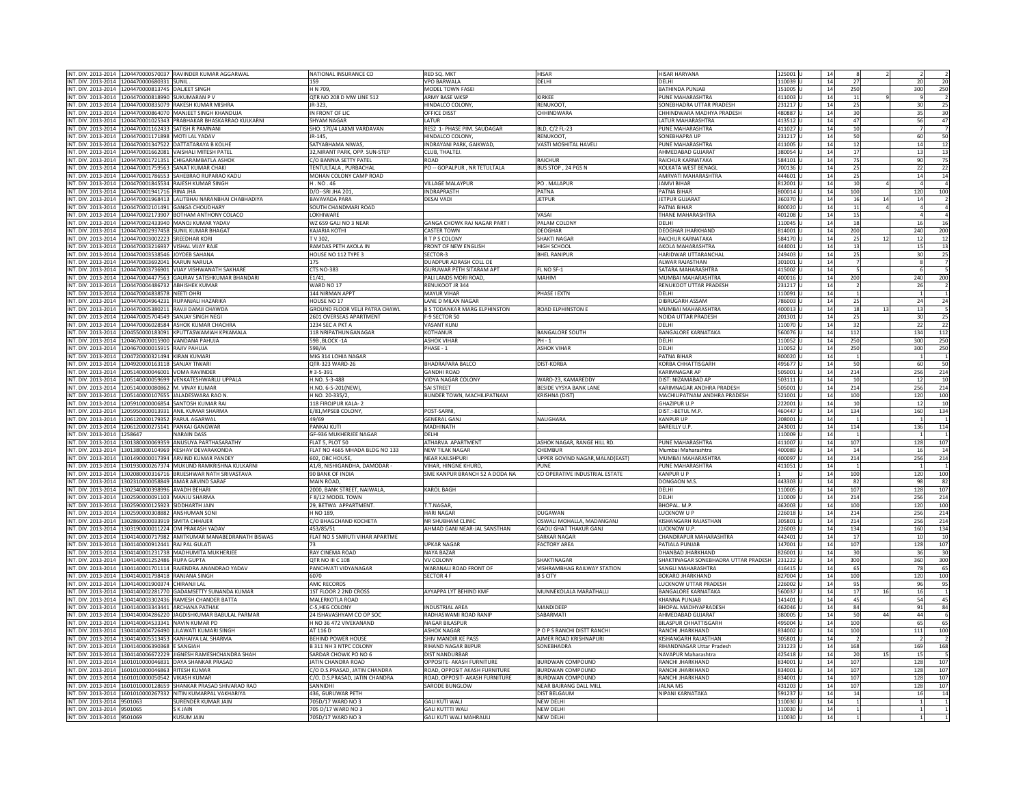|                                                            |                  | INT. DIV. 2013-2014 1204470000570037 RAVINDER KUMAR AGGARWAL        | NATIONAL INSURANCE CO                   | RED SQ. MKT                                        | <b>HISAR</b>                         | <b>HISAR HARYANA</b>                 | 125001           | 14       |                          |    |                 |                                                                    |
|------------------------------------------------------------|------------------|---------------------------------------------------------------------|-----------------------------------------|----------------------------------------------------|--------------------------------------|--------------------------------------|------------------|----------|--------------------------|----|-----------------|--------------------------------------------------------------------|
|                                                            |                  |                                                                     |                                         |                                                    |                                      |                                      |                  |          |                          |    |                 |                                                                    |
| INT. DIV. 2013-2014 1204470000680331 SUNIL                 |                  |                                                                     | 159                                     | <b>VPO BARWALA</b>                                 | DELHI                                | DELHI                                | 110039           | 14       | 27                       |    | 20              | 20                                                                 |
| INT. DIV. 2013-2014 1204470000813745 DALIFET SINGH         |                  |                                                                     | H N 709                                 | MODEL TOWN FASEL                                   |                                      | <b>BATHINDA PUNIAR</b>               | 151005           | 14       | 250                      |    | 300             | 250                                                                |
| INT. DIV. 2013-2014 1204470000818990 SUKUMARAN P V         |                  |                                                                     | QTR NO 208 D MW LINE 512                | ARMY BASE WKSP                                     | <b>IRKEE</b>                         | PUNE MAHARASHTRA                     | 411003           | 14       | $11\,$                   |    |                 | $\overline{2}$                                                     |
|                                                            |                  | INT. DIV. 2013-2014 1204470000835079 RAKESH KUMAR MISHRA            | JR-323                                  | HINDALCO COLONY,                                   | <b>RENUKOOT</b>                      | SONEBHADRA UTTAR PRADESH             | 231217           | 14       | 25                       |    | 30              | 25                                                                 |
|                                                            |                  | INT. DIV. 2013-2014 1204470000864070 MANJEET SINGH KHANDUJA         | IN FRONT OF LIC                         | <b>OFFICE DISST</b>                                | CHHINDWARA                           | CHHINDWARA MADHYA PRADESH            | 480887           | 14       | 30                       |    | 35              | 30                                                                 |
|                                                            |                  |                                                                     |                                         | <b>ATUR</b>                                        |                                      |                                      |                  |          |                          |    |                 |                                                                    |
|                                                            |                  | INT. DIV. 2013-2014 1204470001025343 PRABHAKAR BHASKARRAO KULKARNI  | <b>SHYAM NAGAR</b>                      |                                                    |                                      | <b>LATUR MAHARASHTRA</b>             | 413512           | 14       | 47                       |    | 56              | 47                                                                 |
| INT. DIV. 2013-2014 1204470001162433 SATISH R PAMNANI      |                  |                                                                     | SHO. 170/4 LAXMI VARDAVAN               | RES2 1- PHASE PIM. SAUDAGAR                        | BLD, C/2 FL-23                       | PUNE MAHARASHTRA                     | 411027           | 14       | 10                       |    | 7               | 7                                                                  |
| INT. DIV. 2013-2014 1204470001171898 MOTI LAL YADAV        |                  |                                                                     | R-145,                                  | HINDALCO COLONY,                                   | RENUKOOT                             | SONEBHAPRA UP                        | 231217           | 14       | 50                       |    | 60              | 50                                                                 |
|                                                            |                  | INT. DIV. 2013-2014 1204470001347522 DATTATARAYA B KOLHI            | SATYABHAMA NIWAS                        | INDRAYANI PARK, GAIKWAD                            | VASTI MOSHITAL HAVELI                | PUNE MAHARASHTRA                     | 411005           | 14       | $12\,$                   |    | 14              | 12                                                                 |
|                                                            |                  |                                                                     |                                         |                                                    |                                      |                                      |                  |          |                          |    |                 |                                                                    |
|                                                            |                  | INT. DIV. 2013-2014 1204470001662081 VAISHALI MITESH PATEL          | 32, NIRANT PARK, OPP. SUN-STEP          | CLUB, THALTEJ.                                     |                                      | AHMEDABAD GUJARAT                    | 380054           | 14       | 17                       |    | 13              | 13                                                                 |
|                                                            |                  | INT. DIV. 2013-2014 1204470001721351 CHIGARAMBATLA ASHOK            | C/O BANNIA SETTY PATEL                  | ROAD                                               | RAICHUR                              | RAICHUR KARNATAKA                    | 584101           | 14       | 75                       |    | 90              | 75                                                                 |
|                                                            |                  | INT. DIV. 2013-2014 1204470001759563 SANAT KUMAR CHAKI              | TENTULTALA, PURBACHAL                   | PO -- GOPALPUR, NR TETULTALA                       | BUS STOP, 24 PGS N                   | KOLKATA WEST BENAGI                  | 700136           | 14       | 25                       |    | 22              | 22                                                                 |
|                                                            |                  | INT. DIV. 2013-2014 1204470001786553 SAHEBRAO RUPARAO KADU          | MOHAN COLONY CAMP ROAD                  |                                                    |                                      | AMRVATI MAHARASHTRA                  | 444601           | 14       | 25                       |    | 14              | 14                                                                 |
|                                                            |                  |                                                                     | H. NO. 46                               | <b>VILLAGE MALAYPUR</b>                            | PO. MALAPUR                          | <b>JAMVI BIHAR</b>                   |                  | 14       | 10                       |    | $\overline{a}$  | $\overline{4}$                                                     |
|                                                            |                  | INT. DIV. 2013-2014 1204470001845534 RAJESH KUMAR SINGH             |                                         |                                                    |                                      |                                      | 812001           |          |                          |    |                 |                                                                    |
| INT. DIV. 2013-2014 1204470001941716 RINA JHA              |                  |                                                                     | D/O-SRI JHA 201,                        | INDRAPRASTH                                        | PATNA                                | PATNA BIHAR                          | 800014           | 14       | 100                      |    | 120             | 100                                                                |
|                                                            |                  | INT. DIV. 2013-2014 1204470001968413 LALITBHAI NARANBHAI CHABHADIYA | BAVAVADA PARA                           | DESAI VADI                                         | <b>JETPUR</b>                        | JETPUR GUJARAT                       | 360370           | 14       | 16                       | 14 | 14              | $\overline{2}$                                                     |
|                                                            |                  | INT. DIV. 2013-2014 1204470002101491 GANGA CHOUDHARY                | SOUTH CHANDMARI ROAD                    |                                                    |                                      | PATNA BIHAR                          | 800020           | 14       | 11                       |    | $\overline{a}$  | $\overline{4}$                                                     |
|                                                            |                  | INT. DIV. 2013-2014 1204470002173907 BOTHAM ANTHONY COLACO          | <b>OKHIWARE</b>                         |                                                    | /ASA                                 | THANE MAHARASHTRA                    | 401208           | 14       | 15                       |    |                 | $\overline{4}$                                                     |
|                                                            |                  |                                                                     |                                         |                                                    |                                      | DFI HI                               |                  |          | 18                       |    | 16              | 16                                                                 |
|                                                            |                  | INT. DIV. 2013-2014 1204470002433940 MANOJ KUMAR YADAV              | WZ 659 GALI NO 3 NEAR                   | GANGA CHOWK RAJ NAGAR PART I                       | PALAM COLONY                         |                                      | 110045           | 14       |                          |    |                 |                                                                    |
|                                                            |                  | INT. DIV. 2013-2014 1204470002937458 SUNIL KUMAR BHAGAT             | KAJARIA KOTHI                           | <b>CASTER TOWN</b>                                 | DEOGHAR                              | DEOGHAR JHARKHAND                    | 814001           | 14       | 200                      |    | 240             | 200                                                                |
| INT. DIV. 2013-2014 1204470003002223 SREEDHAR KORI         |                  |                                                                     | T V 302,                                | R T P S COLONY                                     | SHAKTI NAGAR                         | RAICHUR KARNATAKA                    | 584170           | 14       | 25                       | 12 | 12              | 12                                                                 |
| INT. DIV. 2013-2014 1204470003216937 VISHAL VIIAY RAIF     |                  |                                                                     | RAMDAS PETH AKOLA IN                    | FRONT OF NEW ENGLISH                               | HIGH SCHOOL                          | AKOLA MAHARASHTRA                    | 444001           | 14       | $13\,$                   |    | 15              | 13                                                                 |
| INT. DIV. 2013-2014                                        |                  | JOYDEB SAHANA                                                       | OUSE NO 112 TYPE 3                      | SECTOR-3                                           | <b>BHEL RANIPUF</b>                  | HARIDWAR UTTARANCHAL                 | 249403           |          | 25                       |    | 30              |                                                                    |
|                                                            | 1204470003538546 |                                                                     |                                         |                                                    |                                      |                                      |                  | 14       |                          |    |                 | 25                                                                 |
| INT. DIV. 2013-2014 1204470003692041 KARUN NARULA          |                  |                                                                     | 175                                     | DUADPUR ADRASH COLL OE                             |                                      | <b>ALWAR RAJASTHAN</b>               | 301001           | 14       | $\overline{7}$           |    | 8               | $\overline{7}$                                                     |
|                                                            |                  | INT. DIV. 2013-2014 1204470003736901 VIJAY VISHWANATH SAKHARE       | <b>CTS NO-383</b>                       | GURUWAR PETH SITARAM APT                           | L NO SF-1                            | SATARA MAHARASHTRA                   | 415002           | 14       | 5                        |    | 6               |                                                                    |
|                                                            |                  | INT. DIV. 2013-2014 1204470004477563 GAURAV SATISHKUMAR BHANDARI    | E1/41.                                  | PALI LANDS MORI ROAD,                              | MAHIM                                | MUMBAI MAHARASHTRA                   | 400016           | 14       | 200                      |    | 240             | 200                                                                |
| INT. DIV. 2013-2014 1204470004486732 ABHISHEK KUMAR        |                  |                                                                     | WARD NO 17                              | RENUKOOT IR 344                                    |                                      | RENUKOOT UTTAR PRADESH               | 231217           | 14       | $\overline{\phantom{a}}$ |    | 26              | $\overline{2}$                                                     |
|                                                            |                  |                                                                     |                                         |                                                    |                                      |                                      |                  |          |                          |    |                 |                                                                    |
| INT. DIV. 2013-2014 1204470004838578 NEETI OHRI            |                  |                                                                     | 44 NIRMAN APPT                          | <b>MAYUR VIHAR</b>                                 | PHASE I EXTN                         | DELHI                                | 110091           | 14       |                          |    |                 | $\mathbf{1}$                                                       |
|                                                            |                  | INT. DIV. 2013-2014 1204470004964231 RUPANJALI HAZARIKA             | HOUSE NO 17                             | LANE D MILAN NAGAR                                 |                                      | DIBRUGARH ASSAM                      | 786003           | 14       | 25                       |    | 24              | 24                                                                 |
|                                                            |                  | INT. DIV. 2013-2014 1204470005380211 RAVJI DAMJI CHAWDA             | <b>GROUND FLOOR VELJI PATRA CHAWL</b>   | <b>B S TODANKAR MARG ELPHINSTON</b>                | ROAD ELPHINSTON E                    | MUMBAI MAHARASHTRA                   | 400013           | 14       | 18                       |    | 13              | $\overline{\phantom{a}}$                                           |
|                                                            |                  | INT. DIV. 2013-2014 1204470005704549 SANJAY SINGH NEGI              | 2601 OVERSEAS APARTMENT                 | F-9 SECTOR 50                                      |                                      | NOIDA UTTAR PRADESH                  | 201301           | 14       | 25                       |    | 30              | 25                                                                 |
|                                                            |                  | INT. DIV. 2013-2014 1204470006028584 ASHOK KUMAR CHACHRA            | 1234 SEC A PKT A                        | <b>VASANT KUNJ</b>                                 |                                      | DELHI                                | 110070           | 14       | 32                       |    | 22              | 22                                                                 |
|                                                            |                  |                                                                     |                                         |                                                    |                                      |                                      |                  |          |                          |    |                 |                                                                    |
|                                                            |                  | INT. DIV. 2013-2014 1204550000183091 KPUTTASWAMIAH KPKAMALA         | 18 NRIPATHUNGANAGAR                     | KOTHANUR                                           | BANGALORE SOUTH                      | <b>BANGALORE KARNATAKA</b>           | 560076           | 14       | 112                      |    | 134             | 112                                                                |
| INT. DIV. 2013-2014 1204670000015900 VANDANA PAHUJA        |                  |                                                                     | 59B ,BLOCK -1A                          | <b>ASHOK VIHAR</b>                                 | PH - 1                               | DFI HI                               | 110052           | 14       | 250                      |    | 300             | 250                                                                |
| INT. DIV. 2013-2014 1204670000015915 RAJIV PAHUJA          |                  |                                                                     | 59B/IA                                  | PHASE - 1                                          | <b>ASHOK VIHAR</b>                   | DELHI                                | 110052           | 14       | 250                      |    | 300             | 250                                                                |
| INT, DIV, 2013-2014 1204720000321494 KIRAN KUMARI          |                  |                                                                     | MIG 314 LOHIA NAGAR                     |                                                    |                                      | PATNA BIHAR                          | 800020           | 14       | $\mathbf{1}$             |    | $\mathbf{1}$    | $\mathbf{1}$                                                       |
|                                                            |                  |                                                                     |                                         |                                                    |                                      |                                      |                  |          |                          |    |                 | 50                                                                 |
| INT. DIV. 2013-2014 1204920000163118 SANJAY TIWARI         |                  |                                                                     | QTR-323 WARD-26                         | BHADRAPARA BALCO                                   | <b>DIST-KORBA</b>                    | KORBA CHHATTISGARH                   | 495677           | 14       | 50                       |    | 60              |                                                                    |
| INT. DIV. 2013-2014 1205140000046001                       |                  | <b>VOMA RAVINDER</b>                                                | #3-5-391                                | <b>GANDHI ROAD</b>                                 |                                      | <b>KARIMNAGAR AP</b>                 | 505001           | 14       | 214                      |    | 256             | 214                                                                |
|                                                            |                  | INT. DIV. 2013-2014 1205140000059699 VENKATESHWARLU UPPALA          | H.NO. 5-3-488                           | <b>VIDYA NAGAR COLONY</b>                          | WARD-23, KAMAREDDY                   | DIST: NIZAMABAD AP                   | 503111           | 14       | 10                       |    | 12              | 10                                                                 |
| INT. DIV. 2013-2014 1205140000080862 M. VINAY KUMAR        |                  |                                                                     | H.NO. 6-5-201(NEW)                      | SAI STREET                                         | BESIDE VYSYA BANK LANE               | KARIMNAGAR ANDHRA PRADESH            | 505001           | 14       | 214                      |    | 256             | 214                                                                |
|                                                            |                  |                                                                     |                                         |                                                    |                                      |                                      |                  |          |                          |    |                 |                                                                    |
|                                                            |                  | INT. DIV. 2013-2014 1205140000107655 JALADESWARA RAO N.             | H NO. 20-335/2,                         | BUNDER TOWN, MACHILIPATNAM                         | KRISHNA (DIST)                       | MACHILIPATNAM ANDHRA PRADESH         | 521001           | 14       | 100                      |    | 120             | 100                                                                |
| INT. DIV. 2013-2014                                        |                  | 1205910000006854 SANTOSH KUMAR RAI                                  | 118 FIROJPUR KALA-2                     |                                                    |                                      | GHAZIPUR U.P                         | 222001           | 14       | $10\,$                   |    | 12              | 10                                                                 |
|                                                            |                  | INT. DIV. 2013-2014 1205950000013931 ANIL KUMAR SHARMA              | /81, MPSEB COLONY,                      | POST-SARNI                                         |                                      | DIST.:-BETUL M.P                     | 460447           | 14       | 134                      |    | 160             | 134                                                                |
| INT. DIV. 2013-2014 1206120000179352 PARUL AGARWAL         |                  |                                                                     | 49/69                                   | <b>GENERAL GANI</b>                                | NAUGHARA                             | <b>KANPUR UP</b>                     | 208001           | 14       | $\overline{1}$           |    | 1               | $\overline{1}$                                                     |
| INT. DIV. 2013-2014 1206120000275141 PANKAJ GANGWAR        |                  |                                                                     | PANKAJ KUTI                             | MADHINATH                                          |                                      | BAREILLY U.P.                        | 243001           | 14       | 114                      |    | 136             | 114                                                                |
|                                                            |                  |                                                                     |                                         |                                                    |                                      |                                      |                  |          |                          |    |                 |                                                                    |
| INT. DIV. 2013-2014 1258647                                |                  | <b>NARAIN DASS</b>                                                  | GF-936 MUKHERJEE NAGAR                  | DELHI                                              |                                      |                                      | 110009           | 14       |                          |    |                 |                                                                    |
|                                                            |                  | INT. DIV. 2013-2014 1301380000069359 ANUSUYA PARTHASARATHY          | FLAT 5. PLOT 50                         | ATHARVA APARTMENT                                  | ASHOK NAGAR, RANGE HILL RD.          | PUNF MAHARASHTRA                     | 411007           | 14       | 107                      |    | 128             | 107                                                                |
|                                                            |                  |                                                                     |                                         |                                                    |                                      |                                      |                  |          | 14                       |    |                 |                                                                    |
|                                                            |                  |                                                                     |                                         |                                                    |                                      |                                      |                  |          |                          |    |                 |                                                                    |
| NT. DIV. 2013-2014                                         | 1301380000104969 | <b>KESHAV DEVARAKONDA</b>                                           | LAT NO 4665 MHADA BLDG NO 133           | <b>NEW TILAK NAGAR</b>                             | <b>HEMBUR</b>                        | Mumbai Maharashtra                   | 400089           | 14       |                          |    | 16              |                                                                    |
|                                                            |                  | INT. DIV. 2013-2014 1301490000017394 ARVIND KUMAR PANDEY            | 602. OBC HOUSE                          | <b>NFAR KAILSHPURI</b>                             | UPPER GOVIND NAGAR, MALAD (EAST)     | MUMBAI MAHARASHTRA                   | 400097           | 14       | 214                      |    | 256             |                                                                    |
|                                                            |                  | INT. DIV. 2013-2014 1301930000267374 MUKUND RAMKRISHNA KULKARN      | A1/8, NISHIGANDHA, DAMODAR -            | VIHAR, HINGNE KHURD,                               | UNE                                  | PUNE MAHARASHTRA                     | 411051           | 14       | $\mathbf{1}$             |    | -1              |                                                                    |
|                                                            |                  | INT. DIV. 2013-2014 1302080000316716 BRUESHWAR NATH SRIVASTAVA      | 90 BANK OF INDIA                        | SME KANPUR BRANCH 52 A DODA NA                     | CO OPERATIVE INDUSTRIAL ESTATE       | <b>KANPURUP</b>                      |                  | 14       | 100                      |    | 120             |                                                                    |
|                                                            |                  | INT. DIV. 2013-2014 1302310000058849 AMAR ARVIND SARAF              | MAIN ROAD                               |                                                    |                                      | DONGAON M.S                          | 443303           | 14       | 82                       |    | 98              |                                                                    |
|                                                            |                  |                                                                     |                                         |                                                    |                                      |                                      |                  |          |                          |    |                 |                                                                    |
| INT. DIV. 2013-2014 1302340000398996 AVADH BEHARI          |                  |                                                                     | 2000, BANK STREET, NAIWALA,             | KAROL BAGH                                         |                                      | DELHI                                | 110005           | 14       | 107                      |    | 128             |                                                                    |
| INT. DIV. 2013-2014 1302590000091103 MANJU SHARMA          |                  |                                                                     | F 8/12 MODEL TOWN                       |                                                    |                                      | DELHI                                | 110009           | 14       | 214                      |    | 256             |                                                                    |
| INT. DIV. 2013-2014 1302590000125923 SIDDHARTH JAIN        |                  |                                                                     | 29, BETWA APPARTMENT.                   | T.T.NAGAR                                          |                                      | BHOPAL. M.P.                         | 462003           | 14       | 100                      |    | 120             | 14<br>214<br>100<br>82<br>107<br>214<br>100                        |
| INT. DIV. 2013-2014 1302590000308882 ANSHUMAN SON          |                  |                                                                     | H NO 189.                               | HARI NAGAR                                         | DUGAWAN                              | LUCKNOW U P                          | 226018           | 14       | 214                      |    | 256             | 214                                                                |
| INT. DIV. 2013-2014 1302860000033919 SMITA CHHAJER         |                  |                                                                     | C/O BHAGCHAND KOCHETA                   | NR SHUBHAM CLINIC                                  | OSWALI MOHALLA, MADANGANJ            | KISHANGARH RAJASTHAN                 | 305801           | 14       | 214                      |    | 256             | 214                                                                |
|                                                            |                  |                                                                     |                                         |                                                    |                                      |                                      |                  |          |                          |    |                 |                                                                    |
|                                                            |                  | INT. DIV. 2013-2014 1303190000011224 OM PRAKASH YADAV               | 453/85/51                               | AHMAD GANJ NEAR-JAL SANSTHAN                       | AOU GHAT THAKUR GANJ                 | LUCKNOW U.P.                         | 226003           | 14       | 134                      |    | 160             | 134                                                                |
|                                                            |                  | INT. DIV. 2013-2014 1304140000717982 AMITKUMAR MANABEDRANATH BISWAS | FLAT NO 5 SMRUTI VIHAR APARTME          |                                                    | SARKAR NAGAR                         | CHANDRAPUR MAHARASHTRA               | 442401           | 14       | 17                       |    | 10              | 10                                                                 |
| INT. DIV. 2013-2014 1304140000912441 RAJ PAL GULATI        |                  |                                                                     |                                         | <b>UPKAR NAGAR</b>                                 | ACTORY AREA                          | PATIALA PUNJAB                       | 147001           | 14       | 107                      |    | 128             | 107                                                                |
|                                                            |                  | INT. DIV. 2013-2014 1304140001231738 MADHUMITA MUKHERJEE            | RAY CINEMA ROAD                         | NAYA BAZAR                                         |                                      | DHANBAD JHARKHAND                    | 826001           | 14       | 30                       |    | 36              | 30                                                                 |
| INT. DIV. 2013-2014 1304140001252486 RUPA GUPTA            |                  |                                                                     | QTR NO III C 108                        | <b>VV COLONY</b>                                   | SHAKTINAGAR                          | SHAKTINAGAR SONEBHADRA UTTAR PRADESH | 231222           | 14       |                          |    | 360             |                                                                    |
|                                                            |                  |                                                                     |                                         |                                                    |                                      |                                      |                  |          | 300                      |    |                 | 300                                                                |
|                                                            |                  | INT. DIV. 2013-2014 1304140001701114 RAJENDRA ANANDRAO YADAV        | PANCHVATI VIDYANAGAR                    | WARANALI ROAD FRONT OF                             | VISHRAMBHAG RAILWAY STATION          | SANGLI MAHARASHTRA                   | 416415           | 14       | 65                       |    | 78              | 65                                                                 |
| INT. DIV. 2013-2014 1304140001798418 RANJANA SINGH         |                  |                                                                     | 6070                                    | SECTOR 4 F                                         | <b>B.S.CITY</b>                      | BOKARO JHARKHAND                     | 827004           | 14       | 100                      |    | 120             | 100                                                                |
| INT. DIV. 2013-2014 1304140001900374 CHIRANJI LAL          |                  |                                                                     | AMC RECORDS                             |                                                    |                                      | LUCKNOW UTTAR PRADESH                | 226002           | 14       | 95                       |    | 96              | 95                                                                 |
|                                                            |                  | INT. DIV. 2013-2014 1304140002281770 GADAMSETTY SUNANDA KUMAR       | 1ST FLOOR 2 2ND CROSS                   | AYYAPPA LYT BEHIND KMF                             | MUNNEKOLALA MARATHALLI               | BANGALORE KARNATAKA                  | 560037           | 14       | 17                       | 16 | 16              | $\overline{1}$                                                     |
|                                                            |                  |                                                                     |                                         |                                                    |                                      |                                      |                  |          |                          |    |                 |                                                                    |
|                                                            |                  | NT. DIV. 2013-2014 1304140003302436 RAMESH CHANDER BATTA            | MALERKOTLA ROAD                         |                                                    |                                      | KHANNA PUNJAB                        | 141401           | 14       | 45                       |    | 54              |                                                                    |
| INT. DIV. 2013-2014 1304140003343441 ARCHANA PATHAK        |                  |                                                                     | -5,HEG COLONY                           | <b>INDUSTRIAL AREA</b>                             | MANDIDEEP                            | BHOPAL MADHYAPRADESH                 | 462046           | 14       | 84                       |    | 91              |                                                                    |
|                                                            |                  | INT. DIV. 2013-2014 1304140004286220 JAGDISHKUMAR BABULAL PARMAR    | 24 ISHAVASHYAM CO OP SOC                | <b>RADHASWAMI ROAD RANIP</b>                       | SABARMATI                            | AHMEDABAD GUJARAT                    | 380005           | 14       | 50                       | 44 | 44              |                                                                    |
| INT. DIV. 2013-2014 1304140004533341 NAVIN KUMAR PD        |                  |                                                                     | H NO 36 472 VIVEKANAND                  | NAGAR BILASPUR                                     |                                      | <b>BILASPUR CHHATTISGARH</b>         | 495004           | 14       | 100                      |    | 65              |                                                                    |
|                                                            |                  |                                                                     |                                         |                                                    |                                      |                                      |                  |          |                          |    |                 |                                                                    |
|                                                            |                  | INT. DIV. 2013-2014 1304140004726490 LILAWATI KUMARI SINGH          | AT 116 D                                | <b>ASHOK NAGAR</b>                                 | PO P S RANCHI DISTT RANCHI           | RANCHI JHARKHAND                     | 834002           | 14       | 100                      |    | 111             |                                                                    |
|                                                            |                  | INT. DIV. 2013-2014 1304140005513453 KANHAIYA LAL SHARMA            | <b>BEHIND POWER HOUSE</b>               | SHIV MANDIR KF PASS                                | AIMER ROAD KRISHNAPUR                | <b>KISHANGARH RAIASTHAN</b>          | 305801           | 14       | $\overline{\phantom{a}}$ |    | 2               |                                                                    |
| INT. DIV. 2013-2014 1304140006390368                       |                  | E SANGIAH                                                           | 3311 NH 3 NTPC COLONY                   | RIHAND NAGAR BIJPUR                                | SONEBHADRA                           | RIHANDNAGAR Uttar Pradesh            | 231223           | 14       | 168                      |    | 169             |                                                                    |
|                                                            |                  | INT. DIV. 2013-2014 1304140006672229 JIGNESH RAMESHCHANDRA SHAH     | SARDAR CHOWK PO NO 6                    | <b>DIST NANDURBAR</b>                              |                                      | NAVAPUR Maharashtra                  | 425418           | 14       | 20                       | 15 | 15              |                                                                    |
|                                                            |                  |                                                                     |                                         |                                                    |                                      |                                      |                  | 14       | 107                      |    |                 |                                                                    |
|                                                            |                  | INT. DIV. 2013-2014 1601010000046831 DAYA SHANKAR PRASAD            | <b>JATIN CHANDRA ROAD</b>               | OPPOSITE- AKASH FURNITURE                          | <b>SURDWAN COMPOUND</b>              | RANCHI JHARKHAND                     | 834001           |          |                          |    | 128             |                                                                    |
| INT. DIV. 2013-2014 1601010000046863 RITESH KUMAR          |                  |                                                                     | C/O D.S.PRASAD, JATIN CHANDRA           | ROAD, OPPOSIT AKASH FURNITURE                      | <b>SURDWAN COMPOUND</b>              | RANCHI JHARKHAND                     | 834001           | 14       | 107                      |    | 128             | 45<br>84<br>$\overline{6}$<br>65<br>100<br>168<br>-5<br>107<br>107 |
| INT. DIV. 2013-2014 1601010000050542 VIKASH KUMAR          |                  |                                                                     | C/O. D.S.PRASAD. JATIN CHANDRA          | ROAD, OPPOSIT- AKASH FURNITURE                     | BURDWAN COMPOUND                     | <b>RANCHI IHARKHAND</b>              | 834001           | 14       | 107                      |    | 128             |                                                                    |
| INT. DIV. 2013-2014 1601010000128659                       |                  | SHANKAR PRASAD SHIVARAO RAO                                         | <b>ANNIDHI</b>                          | SARODE BUNGLOW                                     | NEAR BAJRANG DALL MILI               | <b>JALNA MS</b>                      | 431203           | 14       | 107                      |    | 128             |                                                                    |
|                                                            |                  | INT. DIV. 2013-2014 1601010000267332 NITIN KUMARPAL VAKHARIYA       | 436, GURUWAR PETH                       |                                                    | <b>DIST BELGAUM</b>                  | NIPANI KARNATAKA                     | 591237           | 14       | 14                       |    | 16              |                                                                    |
|                                                            |                  |                                                                     |                                         |                                                    |                                      |                                      |                  |          |                          |    |                 |                                                                    |
| INT. DIV. 2013-2014 9501063                                |                  | SURENDER KUMAR JAIN                                                 | 705D/17 WARD NO 3                       | <b>GALI KUTI WALI</b>                              | <b>NEW DELHI</b>                     |                                      | 110030           | 14       | $\overline{1}$           |    | $1\overline{ }$ |                                                                    |
| INT. DIV. 2013-2014 9501065<br>INT. DIV. 2013-2014 9501069 |                  | S K JAIN<br><b>KUSUM JAIN</b>                                       | 705 D/17 WARD NO 3<br>705D/17 WARD NO 3 | <b>GALI KUTTTI WALI</b><br>GALI KUTI WALI MAHRAULI | <b>NEW DELHI</b><br><b>NEW DELHI</b> |                                      | 110030<br>110030 | 14<br>14 | $\mathbf{1}$             |    | 1               | 107<br>107<br>14                                                   |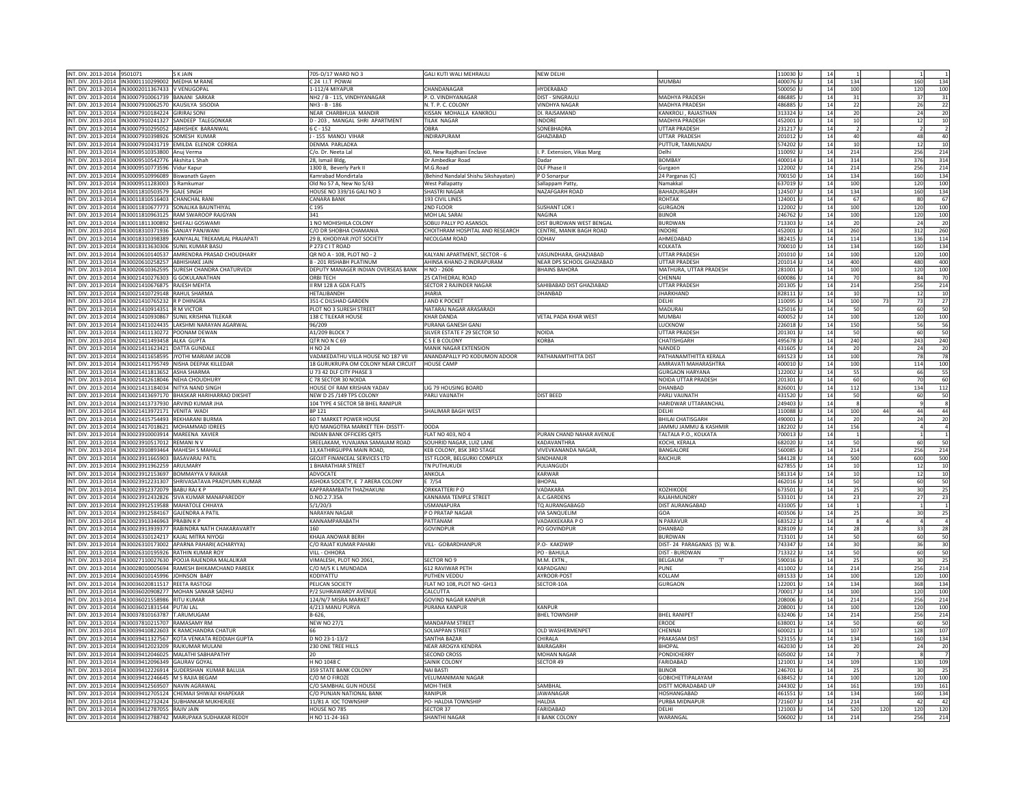| INT. DIV. 2013-2014 9501071                              |                                                          | <b>SKJAIN</b>                                                         | 705-D/17 WARD NO 3                   | GALI KUTI WALI MEHRAULI             | <b>NEW DELHI</b>                   |                             | 110030 U             | 14       |                   |                                  |
|----------------------------------------------------------|----------------------------------------------------------|-----------------------------------------------------------------------|--------------------------------------|-------------------------------------|------------------------------------|-----------------------------|----------------------|----------|-------------------|----------------------------------|
|                                                          |                                                          |                                                                       |                                      |                                     |                                    |                             |                      |          |                   |                                  |
| INT. DIV. 2013-2014   IN30001110299002   MEDHA M RANE    |                                                          |                                                                       | C 24 I.I.T POWAI                     |                                     |                                    | <b>MUMBAI</b>               | 400076 U             | 14       | 134               | 160<br>134                       |
| INT. DIV. 2013-2014  IN30002011367433   V VENUGOPAL      |                                                          |                                                                       | 1-112/4 MIYAPUR                      | CHANDANAGAR                         | HYDERABAD                          |                             | 500050 U             | 14       | 100               | 120<br>100                       |
|                                                          | INT. DIV. 2013-2014  IN30007910061739  BANANI SARKAR     |                                                                       | NH2 / B - 115, VINDHYANAGAR          | . O. VINDHYANAGAR                   | DIST - SINGRAULI                   | MADHYA PRADESH              | 486885 U             | 14       | 31                | 37                               |
|                                                          |                                                          |                                                                       |                                      |                                     |                                    |                             |                      |          |                   | 31                               |
|                                                          | INT. DIV. 2013-2014  IN30007910062570 KAUSILYA SISODIA   |                                                                       | NH3 - B - 186                        | N. T. P. C. COLONY                  | <b>VINDHYA NAGAR</b>               | MADHYA PRADESH              | 486885 U             | 14       | 22                | 26<br>22                         |
| INT. DIV. 2013-2014   IN30007910184224   GIRIRAJ SONI    |                                                          |                                                                       | NFAR CHARBHUIA MANDIR                | KISSAN MOHALLA KANKROLL             | DI. RAISAMAND                      | KANKROLI, RAJASTHAN         | 313324 U             | 14       | 20                | $\overline{20}$<br>24            |
|                                                          |                                                          | INT. DIV. 2013-2014 IN30007910241327 SANDEEP TALEGONKAR               | D-203, MANGAL SHRI APARTMENT         | TILAK NAGAR                         | INDORE                             | <b>MADHYA PRADESH</b>       | 452001 U             | 14       | 10                | 10<br>12                         |
|                                                          |                                                          | INT, DIV, 2013-2014 IN30007910295052 ABHISHEK BARANWAL                | 6 C - 152                            | OBRA                                | SONFRHADRA                         | <b>UTTAR PRADESH</b>        | 231217 U             | 14       |                   | $\overline{2}$                   |
|                                                          |                                                          |                                                                       |                                      |                                     |                                    |                             |                      |          |                   |                                  |
|                                                          | INT. DIV. 2013-2014  IN30007910398926 SOMESH KUMAR       |                                                                       | - 155 MANOJ VIHAR                    | <b>INDIRAPURAM</b>                  | <b>GHAZIABAD</b>                   | <b>JTTAR PRADESH</b>        | 201012 U             | 14       | 40                | 40<br>48                         |
|                                                          |                                                          | INT. DIV. 2013-2014  IN30007910431719  EMILDA ELENOR CORREA           | DENMA PARLADKA                       |                                     |                                    | PUTTUR, TAMILNADU           | 574202 U             | 14       | 10                | 10<br>12                         |
| INT. DIV. 2013-2014  IN30009510353800 Anuj Verma         |                                                          |                                                                       | C/o. Dr. Neeta Lal                   | 60. New Raidhani Enclave            | <b>L.P. Extension, Vikas Mars</b>  | Delhi                       | 110092 LU            | 14       | 214               | 256<br>214                       |
| INT. DIV. 2013-2014  IN30009510542776   Akshita L Shal   |                                                          |                                                                       | 28. Ismail Bldg.                     | Dr Ambedkar Road                    | Dadar                              | <b>BOMBAY</b>               | 400014 U             | 14       | 314               | 376<br>314                       |
| INT. DIV. 2013-2014  IN30009510773596 Vidur Kapur        |                                                          |                                                                       |                                      | M.G.Road                            | DLF Phase II                       |                             | 122002 U             | 14       | 214               | 256                              |
|                                                          |                                                          |                                                                       | 1300 B, Beverly Park II              |                                     |                                    | Gurgaon                     |                      |          |                   | 214                              |
|                                                          | INT. DIV. 2013-2014  IN30009510996089   Biswanath Gayer  |                                                                       | amrabad Mondirtala                   | Behind Nandalal Shishu Sikshayatan) | O Sonarpur                         | 24 Parganas (C)             | 700150 <sub>U</sub>  | 14       | 134               | 160<br>134                       |
|                                                          | INT. DIV. 2013-2014  IN30009511283003 S Ramkumar         |                                                                       | Old No 57 A, New No 5/43             | <b>West Pallapatty</b>              | Sallappam Patty                    | Namakka                     | 637019 L             | 14       | 100               | 120<br>100                       |
| INT. DIV. 2013-2014 IN30011810503579 GAJE SINGH          |                                                          |                                                                       | HOUSE NO 339/16 GALI NO 3            | <b>SHASTRI NAGAR</b>                | NAZAFGARH ROAD                     | <b>BAHADURGARH</b>          | 124507 U             | 14       | 134               | 160<br>134                       |
|                                                          | INT. DIV. 2013-2014  IN30011810516403 CHANCHAL RANI      |                                                                       | CANARA BANK                          | 193 CIVIL LINES                     |                                    | <b>ROHTAK</b>               | 124001 U             | 14       | 67                | 67<br>80                         |
|                                                          |                                                          |                                                                       |                                      |                                     | SUSHANT LOK I                      |                             |                      |          | 100               | 120                              |
|                                                          |                                                          | INT. DIV. 2013-2014  IN30011810677773 SONALIKA BAUNTHIYAL             | C 195                                | 2ND FLOOR                           |                                    | <b>GURGAON</b>              | 122002 U             | 14       |                   | 100                              |
|                                                          | INT. DIV. 2013-2014 IN30011810963125                     | RAM SWAROOP RAJGYAN                                                   |                                      | <b>MOH LAL SARAI</b>                | VAGINA                             | <b>BIJNOR</b>               | 46762 L              | 14       | 100               | 120<br>100                       |
|                                                          | INT. DIV. 2013-2014  IN30011811300892 SHEFALI GOSWAMI    |                                                                       | 1 NO MOHISHILA COLONY                | SOBUJ PALLY PO ASANSOL              | DIST BURDWAN WEST BENGAL           | <b>BURDWAN</b>              | 713303 U             | 14       | 2C                | 24<br>20                         |
|                                                          | INT. DIV. 2013-2014 IN30018310371936 SANJAY PANJWANI     |                                                                       | <b>C/O DR SHOBHA CHAMANIA</b>        | CHOITHRAM HOSPITAL AND RESEARCH     | CENTRE, MANIK BAGH ROAD            | <b>INDORF</b>               | 452001 U             | 14       | 260               | 312<br>260                       |
|                                                          |                                                          | INT. DIV. 2013-2014  IN30018310398389   KANIYALAL TREKAMLAL PRAJAPATI | 29 B. KHODIYAR JYOT SOCIETY          | NICOLGAM ROAD                       | ODHAV                              | AHMEDABAD                   | 382415 U             | 14       | 114               | 136<br>114                       |
|                                                          |                                                          |                                                                       |                                      |                                     |                                    |                             |                      |          |                   |                                  |
|                                                          |                                                          | INT. DIV. 2013-2014  IN30018313630306   SUNIL KUMAR BASU              | P 273 C I T ROAD                     |                                     |                                    | KOLKATA                     | 700010 U             | 14       | 134               | 160<br>134                       |
|                                                          |                                                          | INT. DIV. 2013-2014   IN30020610140537   AMRENDRA PRASAD CHOUDHARY    | QR NO A - 108, PLOT NO - 2           | KALYANI APARTMENT, SECTOR - 6       | VASUNDHARA, GHAZIABAD              | <b>JTTAR PRADESH</b>        | 201010 U             | 14       | 100               | 120<br>100                       |
|                                                          | INT. DIV. 2013-2014 IN30020610258257 ABHISHAKE JAIN      |                                                                       | B - 201 RISHABH PLATINUM             | AHINSA KHAND-2 INDRAPURAM           | NEAR DPS SCHOOL GHAZIABAD          | <b>UTTAR PRADESH</b>        | 201014 U             | 14       | 400               | 480<br>400                       |
|                                                          |                                                          | INT. DIV. 2013-2014 IN30020610362595 SURESH CHANDRA CHATURVEDI        | DEPUTY MANAGER INDIAN OVERSEAS BANK  | H NO - 2606                         | <b>BHAINS BAHORA</b>               | MATHURA, UTTAR PRADESH      | 281001 U             | 14       | 100               | 120<br>100                       |
|                                                          | INT. DIV. 2013-2014  IN30021410276303 G GOKULANATHAN     |                                                                       | ORBI TECH                            | 25 CATHEDRAL ROAD                   |                                    | CHENNAI                     | 600086 U             | 14       | 70                | 84<br>70                         |
|                                                          |                                                          |                                                                       |                                      |                                     |                                    |                             |                      |          |                   |                                  |
| INT. DIV. 2013-2014   IN30021410676875   RAJESH MEHTA    |                                                          |                                                                       | II RM 128 A GDA FLATS                | SECTOR 2 RAJINDER NAGAR             | SAHIBABAD DIST GHAZIABAD           | UTTAR PRADESH               | 201305 U             | 14       | 214               | 214<br>256                       |
|                                                          | INT. DIV. 2013-2014  IN30021410729148  RAHUL SHARMA      |                                                                       | <b>IETALIBANDH</b>                   | HARIA                               | <b>DHANBAD</b>                     | HARKHAND                    | 28111 U              | 14       | 10                | 10<br>12                         |
|                                                          | INT. DIV. 2013-2014 IN30021410765232 R P DHINGRA         |                                                                       | 351-C DILSHAD GARDEN                 | <b>JAND K POCKET</b>                |                                    | DELHI                       | 110095 U             | 14       | 100<br>73         | 27<br>73                         |
| INT. DIV. 2013-2014  IN30021410914351   R M VICTOR       |                                                          |                                                                       | PLOT NO 3 SURESH STREET              | NATARAJ NAGAR ARASARADI             |                                    | MADURAI                     | 625016 U             | 14       | 50                | 60<br>50                         |
|                                                          |                                                          | INT. DIV. 2013-2014   IN30021410930867 SUNIL KRISHNA TILEKAR          | 138 C TILEKAR HOUSE                  | <b>KHAR DANDA</b>                   | VETAL PADA KHAR WEST               | <b>MUMBAI</b>               | 400052 U             | 14       | 100               | 120<br>100                       |
|                                                          |                                                          |                                                                       |                                      |                                     |                                    |                             |                      |          |                   |                                  |
|                                                          |                                                          | INT. DIV. 2013-2014   IN30021411024435   LAKSHMI NARAYAN AGARWAL      | 96/209                               | PURANA GANESH GANI                  |                                    | <b>LUCKNOW</b>              | 226018 U             | 14       | 150               | 56<br>56                         |
|                                                          | INT. DIV. 2013-2014  IN30021411130272 POONAM DEWAN       |                                                                       | A1/209 BLOCK 7                       | SILVER ESTATE F 29 SECTOR 50        | NOIDA                              | <b>JTTAR PRADESH</b>        | 201301 U             | 14       | 50                | 50<br>60                         |
|                                                          | INT. DIV. 2013-2014   IN30021411493458   ALKA GUPTA      |                                                                       | QTR NONC 69                          | C S E B COLONY                      | KORBA                              | CHATISHGARH                 | 495678 U             | 14       | 240               | 240<br>243                       |
| INT. DIV. 2013-2014  IN30021411623421 DATTA GUNDALE      |                                                          |                                                                       | H NO 24                              | MANIK NAGAR EXTENSION               |                                    | NANDED                      | 431605 U             | 14       | 20                | 24<br>20                         |
|                                                          |                                                          | INT. DIV. 2013-2014   IN30021411658595   JYOTHI MARIAM JACOB          | VADAKEDATHU VILLA HOUSE NO 187 VII   | ANANDAPALLY PO KODUMON ADOOR        | PATHANAMTHITTA DIST                | PATHANAMTHITTA KERALA       | 691523 U             | 14       | 100               | 78                               |
|                                                          |                                                          |                                                                       |                                      |                                     |                                    |                             |                      |          |                   | 78                               |
|                                                          |                                                          | INT. DIV. 2013-2014   IN30021411795749   NISHA DEEPAK KILLEDAR        | 18 GURUKRUPA OM COLONY NEAR CIRCUIT  | <b>HOUSE CAMP</b>                   |                                    | <b>AMRAVATI MAHARASHTRA</b> | 400010 U             | 14       | 100               | 100<br>114                       |
|                                                          | INT. DIV. 2013-2014   IN30021411813652   ASHA SHARMA     |                                                                       | 73 42 DLF CITY PHASE 3               |                                     |                                    | <b>GURGAON HARYANA</b>      | 122002 U             | 14       | 55                | 55<br>66                         |
|                                                          | INT. DIV. 2013-2014  IN30021412618046 NEHA CHOUDHURY     |                                                                       | 78 SECTOR 30 NOIDA                   |                                     |                                    | NOIDA UTTAR PRADESH         | 201301 U             | 14       | 60                | 60<br>70                         |
| INT. DIV. 2013-2014  IN30021413184034 NITYA NAND SINGH   |                                                          |                                                                       | HOUSE OF RAM KRISHAN YADAV           | LIG 79 HOUSING BOARD                |                                    | DHANBAD                     | 826001 U             | 14       | 112               | 134<br>112                       |
|                                                          |                                                          |                                                                       |                                      |                                     |                                    |                             |                      |          |                   |                                  |
|                                                          |                                                          |                                                                       |                                      |                                     |                                    |                             |                      |          |                   |                                  |
|                                                          |                                                          | INT. DIV. 2013-2014   IN30021413697170   BHASKAR HARIHARRAO DIKSHIT   | NEW D 25 /149 TPS COLONY             | PARLI VAIJNATH                      | <b>DIST BEED</b>                   | PARLI VAIJNATH              | 431520 U             | 14       | 50                | 50<br>60                         |
| INT. DIV. 2013-2014  IN30021413737930   ARVIND KUMAR JHA |                                                          |                                                                       | 104 TYPE 4 SECTOR 5B BHEL RANIPUR    |                                     |                                    | HARIDWAR UTTARANCHAL        | 49403 U              | 14       |                   | g.<br>$\mathbf{q}$               |
|                                                          |                                                          |                                                                       | BP 121                               |                                     |                                    | DELHI                       |                      | 14       |                   |                                  |
| INT. DIV. 2013-2014  IN30021413972171 VENITA WADI        |                                                          |                                                                       |                                      | HALIMAR BAGH WEST                   |                                    |                             | 10088 U              |          | 100               | 44<br>44                         |
|                                                          | INT. DIV. 2013-2014   IN30021415754493   REKHARANI BURMA |                                                                       | 60 T MARKET POWER HOUSE              |                                     |                                    | <b>BHILAI CHATISGARH</b>    | 490001 U             | 14       | 20                | $\overline{20}$<br>24            |
|                                                          |                                                          | INT. DIV. 2013-2014 IN30021417018621 MOHAMMAD IDREES                  | R/O MANGOTRA MARKET TEH- DISSTT-     | <b>DODA</b>                         |                                    | JAMMU JAMMU & KASHMIR       | 182202L              | 14       | 156               |                                  |
|                                                          | INT. DIV. 2013-2014  IN30023910003914   MAREENA XAVIER   |                                                                       | <b>NDIAN BANK OFFICERS QRTS</b>      | <b>FLAT NO 403, NO 4</b>            | PURAN CHAND NAHAR AVENUE           | TALTALA P.O., KOLKATA       | 700013 U             | 14       |                   |                                  |
| INT. DIV. 2013-2014 IN30023910517012 REMANI N V          |                                                          |                                                                       |                                      | SOUHRID NAGAR, LUIZ LANE            | KADAVANTHRA                        | KOCHI, KERALA               | 682020 U             | 14       | 50                | 50<br>60                         |
|                                                          |                                                          |                                                                       | SREELAKAM, YUVAJANA SAMAJAM ROAD     |                                     |                                    |                             |                      |          |                   |                                  |
|                                                          | INT. DIV. 2013-2014  IN30023910893464   MAHESH S MAHALE  |                                                                       | 3, KATHIRGUPPA MAIN ROAD,            | <b>KEB COLONY, BSK 3RD STAGE</b>    | <b>VIVEVKANANDA NAGAR</b>          | BANGALORE                   | 60085 U              | 14       | 214               | 214<br>256                       |
|                                                          | INT. DIV. 2013-2014  IN30023911665903  BASAVARAJ PATIL   |                                                                       | <b>GEOJIT FINANCEAL SERVICES LTD</b> | 1ST FLOOR, BELGURKI COMPLEX         | SINDHANUR                          | <b>RAICHUR</b>              | 584128 U             | 14       | 500               | 500<br>600                       |
|                                                          | INT. DIV. 2013-2014  IN30023911962259   ARULMARY         |                                                                       | 1 BHARATHIAR STREET                  | <b>TN PUTHUKUDI</b>                 | PULIANGUD                          |                             | 627855 U             | 14       | 10                | 12<br>10                         |
|                                                          |                                                          | INT. DIV. 2013-2014   IN30023912153697 BOMMAYYA V RAIKAR              | ADVOCATE                             | ANKOLA                              | <b>KARWAR</b>                      |                             | 581314 U             | 14       | 10                | 10<br>12                         |
|                                                          |                                                          | INT. DIV. 2013-2014   IN30023912231307 SHRIVASATAVA PRADYUMN KUMAR    | ASHOKA SOCIETY, E 7 ARERA COLONY     | E 7/54                              | <b>BHOPAL</b>                      |                             | 462016 U             | 14       | 50                | 60                               |
|                                                          |                                                          |                                                                       |                                      |                                     |                                    |                             |                      |          |                   |                                  |
|                                                          | INT. DIV. 2013-2014  IN30023912372079  BABU RAJ K P      |                                                                       | <b>CAPPARAMBATH THAZHAKUNI</b>       | ORKKATTERI P O                      | VADAKARA                           | KOZHIKODE                   | 73501 U              | 14<br>14 | 25                | 30                               |
|                                                          |                                                          | INT. DIV. 2013-2014   IN30023912432826   SIVA KUMAR MANAPAREDDY       | D.NO.2.7.35A                         | KANNAMA TEMPLE STREET               | A.C.GARDENS                        | RAIAHMUNDRY                 | 533101 U             |          | 23                | $\frac{50}{25}$<br>27            |
|                                                          |                                                          | INT. DIV. 2013-2014   IN30023912519588   MAHATOLE CHHAYA              | 5/1/20/3                             | USMANAPURA                          | TQ AURANGABAGD                     | DIST AURANGABAD             | 431005 U             | 14       |                   | $\overline{1}$                   |
|                                                          | INT. DIV. 2013-2014  IN30023912584167   GAJENDRA A PATIL |                                                                       | NARAYAN NAGAR                        | P O PRATAP NAGAR                    | VIA SANQUELIM                      | GOA                         | 403506 U             | 14       | 25                | 25<br>30                         |
| INT. DIV. 2013-2014  IN30023913346963 PRABIN K P         |                                                          |                                                                       | KANNAMPARABATH                       | PATTANAM                            | VADAKKEKARA P O                    | N PARAVUR                   | 683522 U             | 14       | -8                | $\overline{4}$<br>$\overline{4}$ |
|                                                          |                                                          |                                                                       |                                      |                                     |                                    |                             |                      | 14       | 28                |                                  |
|                                                          |                                                          | INT. DIV. 2013-2014   IN30023913939377   RABINDRA NATH CHAKARAVARTY   |                                      | GOVINDPUR                           | PO GOVINDPUR                       | DHANBAD                     | 28109 U              | 14       |                   | 28<br>33                         |
|                                                          |                                                          | INT. DIV. 2013-2014   IN30026310124217   KAJAL MITRA NIYOGI           | KHAJA ANOWAR BERH                    |                                     |                                    | <b>BURDWAN</b>              | 713101 U             |          | 50                | 50<br>60                         |
|                                                          |                                                          | INT. DIV. 2013-2014   IN30026310173002   APARNA PAHARI( ACHARYYA)     | C/O RAJAT KUMAR PAHARI               | VILL- GOBARDHANPUR                  | P.O- KAKDWIF                       | DIST-24 PARAGANAS (S) W.B.  | 743347 U             | 14       | 30                | 30<br>36                         |
|                                                          |                                                          | INT. DIV. 2013-2014  IN30026310195926 RATHIN KUMAR ROY                | VILL - CHHORA                        |                                     | PO - BAHULA                        | <b>DIST - BURDWAN</b>       | 713322 U             | 14       | 50                | 50<br>60                         |
|                                                          |                                                          | INT. DIV. 2013-2014   IN30027110027630 POOJA RAJENDRA MALALIKAR       | VIMALESH, PLOT NO 2061               | SECTOR NO 9                         | M.M. EXTN.                         | BELGAUM                     | 590016 U             | 14       | 25                | $\overline{25}$<br>30            |
|                                                          |                                                          |                                                                       | /O M/S K L MUNDADA                   | 612 RAVIWAR PETH                    | KAPADGANJ                          | PUNE                        | 111002 U             | 14       | 214               | 256<br>214                       |
|                                                          |                                                          | INT. DIV. 2013-2014  IN30028010005694  RAMESH BHIKAMCHAND PAREEK      |                                      |                                     |                                    |                             |                      | 14       |                   |                                  |
|                                                          | INT. DIV. 2013-2014 IN30036010145996 JOHNSON BABY        |                                                                       | KODIYATTU                            | PUTHEN VEDDU                        | AYROOR-POST                        | KOLLAM                      | 691533 U             |          | 100               | 100<br>120                       |
|                                                          | INT. DIV. 2013-2014  IN30036020811517 REETA RASTOGI      |                                                                       | PELICAN SOCIETY                      | FLAT NO 108, PLOT NO -GH13          | SECTOR-10A                         | GURGAON                     | 122001 U             | 14       | 134               | 134<br>368                       |
|                                                          |                                                          | INT. DIV. 2013-2014  IN30036020908277   MOHAN SANKAR SADHU            | P/2 SUHRAWARDY AVENUE                | CALCUTTA                            |                                    |                             | 700017 U             | 14       | 100               | 120<br>100                       |
|                                                          | INT. DIV. 2013-2014 IN30036021558986 RITU KUMAR          |                                                                       | 124/N/7 MISRA MARKET                 | GOVIND NAGAR KANPUR                 |                                    |                             | ulanosos             | 14       | 214               | 256<br>214                       |
|                                                          |                                                          | <b>PUTAI LAL</b>                                                      | 1/213 MANU PURVA                     | PURANA KANPUR                       | KANPUR                             |                             | 08001 U              | 14       | 100               | 120<br>100                       |
|                                                          | INT. DIV. 2013-2014 IN30036021831544                     |                                                                       | B-626                                |                                     |                                    |                             |                      | 14       |                   |                                  |
| INT. DIV. 2013-2014  IN30037810163787 T.ARUMUGAM         |                                                          |                                                                       |                                      |                                     | <b>BHEL TOWNSHIP</b>               | <b>BHEL RANIPET</b>         | 632406 U             |          | 214               | 256<br>214                       |
| INT. DIV. 2013-2014  IN30037810215707  RAMASAMY RM       |                                                          |                                                                       | <b>NEW NO 27/1</b>                   | <b>MANDAPAM STREET</b>              |                                    | ERODE                       | 538001 U             | 14       | 50                | 60<br>50                         |
|                                                          |                                                          | INT. DIV. 2013-2014  IN30039410822603 K RAMCHANDRA CHATUR             |                                      | SOLIAPPAN STREET                    | OLD WASHERMENPET                   | CHENNAI                     | 600021 U             | 14       | 107               | 128<br>107                       |
|                                                          |                                                          | INT. DIV. 2013-2014   IN30039411327567 KOTA VENKATA REDDIAH GUPTA     | D NO 23-1-13/2                       | SANTHA BAZAR                        | CHIRAI A                           | PRAKASAM DIST               | 523155 U             | 14       | 134               | 160<br>134                       |
|                                                          | INT. DIV. 2013-2014 IN30039412023209 RAJKUMAR MULANI     |                                                                       | 230 ONE TREE HILLS                   |                                     | <b>BAIRAGARH</b>                   | <b>BHOPAL</b>               | 462030 U             | 14       | 20                | 20<br>24                         |
|                                                          |                                                          |                                                                       |                                      | <b>NEAR AROGYA KENDRA</b>           |                                    |                             |                      | 14       |                   | $\mathbf{R}$                     |
|                                                          |                                                          | INT. DIV. 2013-2014  IN30039412046025   MALATHI SABHAPATHY            |                                      | <b>SECOND CROSS</b>                 | <b>MOHAN NAGAR</b>                 | PONDICHERRY                 | 605002 U             |          |                   |                                  |
|                                                          | INT. DIV. 2013-2014  IN30039412096349 GAURAV GOYAL       |                                                                       | H NO 1048 C                          | SAINIK COLONY                       | SECTOR 49                          | FARIDABAD                   | 121001 U             | 14       | 109               | 109<br>130                       |
|                                                          |                                                          | INT. DIV. 2013-2014   IN30039412226914   SUDERSHAN KUMAR BALUJA       | 359 STATE BANK COLONY                | NAI BASTI                           |                                    | <b>BIJNOR</b>               | 246701 U             | 14       | 25                | 30<br>25                         |
|                                                          | INT. DIV. 2013-2014 IN30039412246645 M S RAJIA BEGAM     |                                                                       | $10$ M O FIROZE                      | VELUMANIMANI NAGAR                  |                                    | <b>GOBICHETTIPALAYAM</b>    | 338452 U             | 14       | 100               | 120<br>100                       |
|                                                          |                                                          |                                                                       | O SAMBHAL GUN HOUSE                  | <b>MOH-THER</b>                     | SAMBHAL                            | DISTT MORADABAD UP          | 244302 U             | 14       | 161               | 193<br>161                       |
|                                                          | INT. DIV. 2013-2014   IN30039412569507 NAVIN AGRAWAL     |                                                                       |                                      |                                     |                                    |                             |                      |          |                   |                                  |
|                                                          |                                                          | INT. DIV. 2013-2014   IN30039412705124 CHEMAJI SHIWAJI KHAPEKAR       | C/O PUNJAN NATIONAL BANK             | RANIPUR                             | <b>JAWANAGAI</b>                   | HOSHANGARAD                 | 461551 U             | 14       | 134               | 160<br>134                       |
|                                                          |                                                          | INT. DIV. 2013-2014   IN30039412732424   SUBHANKAR MUKHERJEE          | 11/81 A IOC TOWNSHIP                 | PO- HALDIA TOWNSHIP                 | <b>HALDIA</b>                      | PURBA MIDNAPUR              | 721607 U             | 14       | 214               | 42                               |
| INT. DIV. 2013-2014  IN30039412787055   RAJIV JAIN       |                                                          | INT. DIV. 2013-2014  IN30039412788742   MARUPAKA SUDHAKAR REDDY       | HOUSE NO 785<br>H NO 11-24-163       | SECTOR 37<br><b>SHANTHI NAGAR</b>   | FARIDABAD<br><b>II BANK COLONY</b> | <b>DFIHI</b><br>WARANGAL    | 121003 U<br>506002 U | 14<br>14 | 520<br>120<br>214 | 42<br>120<br>120<br>256<br>214   |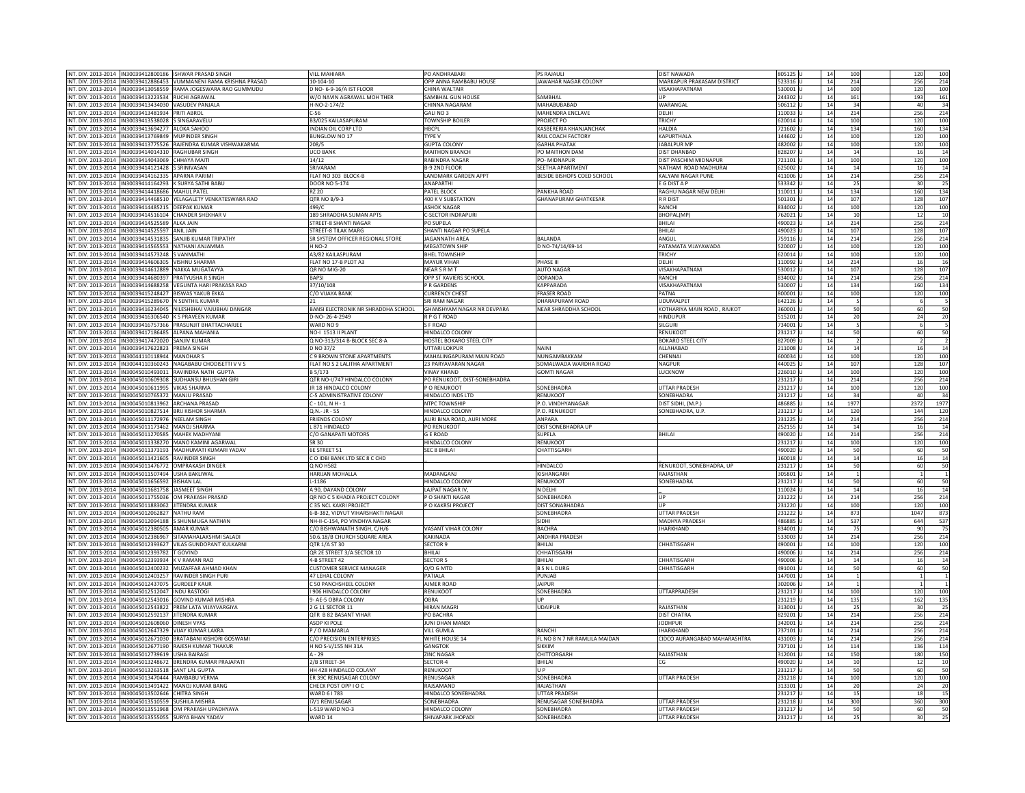| INT. DIV. 2013-2014  IN30039412800186  ISHWAR PRASAD SINGH                                                         |                                                                       | <b>VILL MAHIARA</b>                  | PO ANDHRABARI                       | <b>PS RAJAULI</b>             | <b>DIST NAWADA</b>                           | 805125 L           | 14       | 100            | 120<br>100                                  |
|--------------------------------------------------------------------------------------------------------------------|-----------------------------------------------------------------------|--------------------------------------|-------------------------------------|-------------------------------|----------------------------------------------|--------------------|----------|----------------|---------------------------------------------|
|                                                                                                                    | IT. DIV. 2013-2014   IN30039412886453   VUMMANENI RAMA KRISHNA PRASAD | 10-104-10                            | OPP ANNA RAMBABU HOUSE              | JAWAHAR NAGAR COLONY          | MARKAPUR PRAKASAM DISTRICT                   | 523316 U           | 14       | 214            | 256<br>214                                  |
|                                                                                                                    |                                                                       |                                      | CHINA WALTAIR                       |                               | VISAKHAPATNAM                                |                    | 14       |                |                                             |
| T. DIV. 2013-2014 IN30039413058559 RAMA JOGESWARA RAO GUMMUDU                                                      |                                                                       | D NO- 6-9-16/A IST FLOOR             |                                     |                               |                                              | 530001             |          | 100            | 120<br>100                                  |
| IN30039413223534 RUCHI AGRAWAL<br>IT. DIV. 2013-2014                                                               |                                                                       | W/O NAVIN AGRAWAL MOH THER           | SAMBHAL GUN HOUSE                   | SAMBHAL                       | UP                                           | 244302             | 14       | 161            | 193<br>161                                  |
| VT. DIV. 2013-2014   IN30039413434030   VASUDEV PANJALA                                                            |                                                                       | H-NO-2-174/2                         | CHINNA NAGARAM                      | MAHABUBABAD                   | WARANGAL                                     | 506112             | 14       | 34             | 40<br>34                                    |
|                                                                                                                    |                                                                       |                                      |                                     |                               |                                              |                    |          |                |                                             |
| VT. DIV. 2013-2014 IN30039413481934 PRITI ABROL                                                                    |                                                                       | $C - 56$                             | GAILNO <sub>3</sub>                 | MAHENDRA ENCLAVE              | <b>DFIHI</b>                                 | 1100331            | 14       | 214            | 256<br>214                                  |
| IT. DIV. 2013-2014   IN30039413538028 S SINGARAVELU                                                                |                                                                       | B3/025 KAILASAPURAM                  | <b>TOWNSHIP BOILER</b>              | PROJECT PO                    | TRICHY                                       | 620014 U           | 14       | 100            | 120<br>100                                  |
| VT. DIV. 2013-2014 IN30039413694277 ALOKA SAHOO                                                                    |                                                                       | INDIAN OIL CORP LTD                  | <b>HBCPL</b>                        | <b>KASBERERIA KHANIANCHAK</b> | <b>HAI DIA</b>                               | 721602 U           | 14       | 134            | 160<br>134                                  |
|                                                                                                                    |                                                                       |                                      |                                     |                               |                                              |                    |          |                |                                             |
| IT. DIV. 2013-2014                                                                                                 | IN30039413769849 MUPINDER SINGH                                       | <b>BUNGLOW NO 17</b>                 | TYPE V                              | RAIL COACH FACTORY            | KAPURTHALA                                   | 144602             | 14       | 100            | 120<br>100                                  |
| IT. DIV. 2013-2014                                                                                                 | IN30039413775526 RAJENDRA KUMAR VISHWAKARMA                           | 208/5                                | <b>GUPTA COLONY</b>                 | <b>GARHA PHATAK</b>           | JABALPUR MP                                  | 482002             | 14       | 100            | 120<br>100                                  |
| IT. DIV. 2013-2014  IN30039414014310   RAGHUBAR SINGH                                                              |                                                                       | <b>UCO BANK</b>                      | MAITHON BRANCH                      | PO MAITHON DAM                | DIST DHANBAD                                 | 828207             | 14       | 14             | 16<br>14                                    |
|                                                                                                                    |                                                                       |                                      |                                     |                               |                                              |                    |          |                |                                             |
| IT. DIV. 2013-2014 IN30039414043069 CHHAYA MAITI                                                                   |                                                                       | 14/12                                | RABINDRA NAGAR                      | PO-MIDNAPUR                   | DIST PASCHIM MIDNAPUR                        | 721101             | 14       | 100            | 120<br>100                                  |
| NT. DIV. 2013-2014  IN30039414121428 S SRINIVASAN                                                                  |                                                                       | SRIVARAM                             | B-9 2ND FLOOR                       | <b>SFFTHA APARTMENT</b>       | NATHAM ROAD MADHURAL                         | 625002             | 14       | 14             | 16<br>14                                    |
|                                                                                                                    |                                                                       |                                      |                                     |                               |                                              |                    |          |                |                                             |
| IT. DIV. 2013-2014<br>IN30039414162335 APARNA PARIM                                                                |                                                                       | FLAT NO 303 BLOCK-B                  | <b>LANDMARK GARDEN APPT</b>         | BESIDE BISHOPS COED SCHOOL    | KALYANI NAGAR PUNE                           | 411006             | 14       | 214            | 256<br>214                                  |
| IT. DIV. 2013-2014   IN30039414164293 K SURYA SATHI BABU                                                           |                                                                       | DOOR NO 5-174                        | ANAPARTHI                           |                               | E G DIST A P                                 | 533342             | 14       | 25             | 30<br>25                                    |
| VT. DIV. 2013-2014 IN30039414418686 MAHULPATFI                                                                     |                                                                       | R7 20                                | PATFL BLOCK                         | PANKHA ROAD                   | <b>RAGHU NAGAR NFW DFLHI</b>                 | 110011             | 14       | 134            | 134<br>160                                  |
|                                                                                                                    |                                                                       |                                      |                                     |                               |                                              |                    |          |                |                                             |
| T. DIV. 2013-2014   IN30039414468510 YELAGALETY VENKATESWARA RAO                                                   |                                                                       | QTR NO B/9-3                         | 400 K V SUBSTATION                  | <b>GHANAPURAM GHATKESAR</b>   | <b>R R DIST</b>                              | 501301             | 14       | 107            | 128<br>107                                  |
| VT. DIV. 2013-2014 IN30039414485215 DEEPAK KUMAR                                                                   |                                                                       | 499/C                                | <b>ASHOK NAGAR</b>                  |                               | RANCHI                                       | 834002             | 14       | 100            | 120<br>100                                  |
| T. DIV. 2013-2014                                                                                                  | IN30039414516104 CHANDER SHEKHAR V                                    | 189 SHRADDHA SUMAN APTS              | -SECTOR INDRAPURI                   |                               | BHOPAL(MP)                                   | 762021             | 14       |                | 10                                          |
|                                                                                                                    |                                                                       |                                      |                                     |                               |                                              |                    |          | 10             | 12                                          |
| VT. DIV. 2013-2014   IN30039414525589   ALKA JAIN                                                                  |                                                                       | STREET-8 SHANTI NAGAR                | PO SUPELA                           |                               | <b>BHILAI</b>                                | 490023             | 14       | 214            | 256<br>214                                  |
| JT. DIV. 2013-2014 IN30039414525597 ANII JAIN                                                                      |                                                                       | STREET-8 TILAK MARG                  | SHANTI NAGAR PO SUPELA              |                               | <b>BHILA</b>                                 | 490023             | 14       | 107            | 128<br>107                                  |
|                                                                                                                    |                                                                       |                                      |                                     |                               |                                              |                    |          |                |                                             |
| IT. DIV. 2013-2014 IN30039414531835 SANJIB KUMAR TRIPATHY                                                          |                                                                       | SR SYSTEM OFFICER REGIONAL STORE     | JAGANNATH AREA                      | <b>BALANDA</b>                | ANGUL                                        | 759116 U           | 14       | 214            | 256<br>214                                  |
| NT. DIV. 2013-2014  IN30039414565553  NATHANI ANJAMMA                                                              |                                                                       | <b>H NO-2</b>                        | <b>MEGATOWN SHIP</b>                | D NO-74/14/69-14              | PATAMATA VIJAYAWADA                          | 520007             | 14       | 100            | 120<br>100                                  |
| IN30039414573248 SVANMATHI<br>IT. DIV. 2013-2014                                                                   |                                                                       | A3/82 KAILASPURAM                    | <b>BHEL TOWNSHIP</b>                |                               | TRICHY                                       | 620014             | 14       | 100            | 120<br>100                                  |
|                                                                                                                    |                                                                       |                                      |                                     |                               |                                              |                    |          |                |                                             |
| VT. DIV. 2013-2014  IN30039414606305   VISHNU SHARMA                                                               |                                                                       | FLAT NO 17-B PLOT A3                 | <b>MAYUR VIHAR</b>                  | <b>PHASE III</b>              | DELHI                                        | 110092             | 14       | 214            | 16<br>16                                    |
| IT. DIV. 2013-2014   IN30039414612889 NAKKA MUGATAYYA                                                              |                                                                       | QR NO MIG-20                         | <b>NEAR S R M T</b>                 | <b>AUTO NAGAR</b>             | VISAKHAPATNAM                                | 530012             | 14       | 107            | 128<br>107                                  |
|                                                                                                                    |                                                                       | <b>BAPSI</b>                         |                                     |                               | RANCHI                                       |                    |          |                |                                             |
| IT. DIV. 2013-2014   IN30039414680397 PRATYUSHA R SINGH                                                            |                                                                       |                                      | OPP ST XAVIERS SCHOOL               | DORANDA                       |                                              | 834002             | 14       | 214            | 256<br>214                                  |
| VT. DIV. 2013-2014 IN30039414688258 VEGUNTA HARI PRAKASA RAO                                                       |                                                                       | 37/10/108                            | P R GARDENS                         | KAPPARADA                     | VISAKHAPATNAM                                | 530007             | 14       | 134            | 160<br>134                                  |
| T. DIV. 2013-2014   IN30039415248427 BISWAS YAKUB EKKA                                                             |                                                                       | C/O VIJAYA BANK                      | <b>CURRENCY CHEST</b>               | <b>RASER ROAD</b>             | PATNA                                        | 300001             | 14       | 100            | 100<br>120                                  |
|                                                                                                                    |                                                                       |                                      |                                     |                               |                                              |                    |          |                |                                             |
| IT. DIV. 2013-2014  IN30039415289670 N SENTHIL KUMAR                                                               |                                                                       | 21                                   | <b>SRI RAM NAGAR</b>                | DHARAPURAM ROAD               | <b>UDUMALPET</b>                             | 642126             | 14       | 5              | 5<br>6                                      |
| VT. DIV. 2013-2014 IN30039416234045 NILESHBHAI VAJUBHAI DANGAR                                                     |                                                                       | BANSI ELECTRONIK NR SHRADDHA SCHOOL  | GHANSHYAM NAGAR NR DEVPARA          | NEAR SHRADDHA SCHOOL          | KOTHARIYA MAIN ROAD, RAJKOT                  | 360001             | 14       | 50             | 60<br>50                                    |
| IT. DIV. 2013-2014   IN30039416306540   K S PRAVEEN KUMAR                                                          |                                                                       | D-NO-26-4-2949                       | <b>RPGTROAD</b>                     |                               | <b>HINDUPUR</b>                              | 515201             | 14       | 20             | 24<br>20                                    |
|                                                                                                                    |                                                                       |                                      |                                     |                               |                                              |                    |          |                |                                             |
| VT. DIV. 2013-2014 IN30039416757366 PRASUNIIT BHATTACHARIFF                                                        |                                                                       | WARD NO 9                            | S F ROAD                            |                               | <b>SILGURI</b>                               | 734001             | 14       | 5              | $\overline{\phantom{a}}$<br>$6\phantom{.}6$ |
| IT. DIV. 2013-2014                                                                                                 | IN30039417186485 ALPANA MAHANIA                                       | NO-I 1513 II PLANT                   | HINDALCO COLONY                     |                               | RENUKOOT                                     | 231217             | 14       | 50             | 50<br>60                                    |
|                                                                                                                    |                                                                       |                                      |                                     |                               |                                              |                    | 14       | $\overline{2}$ | $\overline{2}$                              |
| VT. DIV. 2013-2014<br>IN30039417472020 SANJIV KUMAR                                                                |                                                                       | Q NO-313/314 B-BLOCK SEC 8-A         | HOSTEL BOKARO STEEL CITY            |                               | <b>BOKARO STEEL CITY</b>                     | 827009             |          |                | $\overline{2}$                              |
| IT. DIV. 2013-2014  IN30039417622823   PREMA SINGH                                                                 |                                                                       | D NO 37/2                            | <b>UTTARI LOKPUR</b>                | <b>NAINI</b>                  | ALLAHABAD                                    | 211008 U           | 14       | 14             | 16<br>14                                    |
| IT. DIV. 2013-2014   IN30044110118944   MANOHAR S                                                                  |                                                                       | C 9 BROWN STONE APARTMENTS           | MAHALINGAPURAM MAIN ROAD            | NUNGAMBAKKAM                  | CHENNAI                                      | 600034 U           | 14       | 100            | 120<br>100                                  |
| IT. DIV. 2013-2014  IN30044110360243   NAGABABU CHODISETTI V V S                                                   |                                                                       | <b>FLAT NO S 2 LALITHA APARTMENT</b> | 23 PARYAVARAN NAGAR                 | SOMAI WADA WARDHA ROAD        | NAGPUR                                       | 440025             | 14       | 107            | 107<br>128                                  |
|                                                                                                                    |                                                                       |                                      |                                     |                               |                                              |                    |          |                |                                             |
| T. DIV. 2013-2014                                                                                                  | IN30045010493011 RAVINDRA NATH GUPTA                                  | B 5/173                              | <b>VINAY KHAND</b>                  | <b>GOMTI NAGAR</b>            | LUCKNOW                                      | 226010             | 14       | 100            | 120<br>100                                  |
| VT. DIV. 2013-2014  IN30045010609308 SUDHANSU BHUSHAN GIRI                                                         |                                                                       | QTR NO-I/747 HINDALCO COLONY         | PO RENUKOOT, DIST-SONEBHADRA        |                               |                                              | 231217             | 14       | 214            | 256<br>214                                  |
| VT. DIV. 2013-2014  IN30045010611995   VIKAS SHARMA                                                                |                                                                       | JR 18 HINDALCO COLONY                | P O RENUKOOT                        | SONEBHADRA                    | <b>UTTAR PRADESH</b>                         | 231217             | 14       | 100            | 120<br>100                                  |
|                                                                                                                    |                                                                       |                                      |                                     |                               |                                              |                    |          |                |                                             |
| VT. DIV. 2013-2014   IN30045010765372   MANJU PRASAD                                                               |                                                                       | C-5 ADMINISTRATIVE COLONY            | HINDALCO INDS LTD                   | <b>RENUKOOT</b>               | SONEBHADRA                                   | 231217             | 14       | 34             | 40<br>34                                    |
| VT. DIV. 2013-2014  IN30045010813962   ARCHANA PRASAD                                                              |                                                                       | $C - 101. N H - 1$                   | NTPC TOWNSHIP                       | P.O. VINDHYANAGAR             | DIST SIDHI, (M.P.                            | 486885             | 14       | 1977           | 2372<br>1977                                |
| T. DIV. 2013-2014                                                                                                  | IN30045010827514 BRIJ KISHOR SHARMA                                   | 2.N.- JR - 55                        | HINDALCO COLONY                     | .O. RENUKOOT                  | SONEBHADRA, U.F                              | 231217             | 14       | 120            | 144<br>120                                  |
|                                                                                                                    |                                                                       |                                      |                                     |                               |                                              |                    |          |                |                                             |
| VT. DIV. 2013-2014  IN30045011172976   NEELAM SINGH                                                                |                                                                       | <b>FRIENDS COLONY</b>                | AURI BINA ROAD, AURI MORE           | <b>ANPARA</b>                 |                                              | 231225             | 14       | 214            | 256<br>214                                  |
| IT. DIV. 2013-2014 IN30045011173462 MANOJ SHARMA                                                                   |                                                                       | L 871 HINDALCO                       | PO RENUKOOT                         | DIST SONEBHADRA UP            |                                              | 252155             | 14       | 14             | 16<br>14                                    |
| IT. DIV. 2013-2014  IN30045011270585   MAHEK MADHYANI                                                              |                                                                       | C/O GANAPATI MOTORS                  | <b>GE ROAD</b>                      | <b>SUPELA</b>                 | BHILAI                                       |                    | 14       | 214            | 256<br>214                                  |
|                                                                                                                    |                                                                       |                                      |                                     |                               |                                              | 490020             |          |                |                                             |
| JT. DIV. 2013-2014  IN30045011338270   MANO KAMINI AGARWAI                                                         |                                                                       | SR 30                                | <b>HINDALCO COLONY</b>              | RENUKOOT                      |                                              | 231217             | 14       | 100            | 120<br>100                                  |
| T. DIV. 2013-2014                                                                                                  | IN30045011373193 MADHUMATI KUMARI YADAV                               | <b>6E STREET 51</b>                  | <b>SEC 8 BHILAI</b>                 | CHATTISGARH                   |                                              | 490020             | 14       | 50             | 60<br>50                                    |
| NT. DIV. 2013-2014  IN30045011421605  RAVINDER SINGH                                                               |                                                                       | C O IDBI BANK LTD SEC 8 C CHD        |                                     |                               |                                              | 160018             | 14       | 14             | 14<br>16                                    |
|                                                                                                                    |                                                                       |                                      |                                     |                               |                                              |                    |          |                |                                             |
| IT. DIV. 2013-2014   IN30045011476772 OMPRAKASH DINGER                                                             |                                                                       | Q NO H582                            |                                     | HINDALCO                      | RENUKOOT, SONEBHADRA, UP                     | 231217             | 14       | 50             | 50<br>60                                    |
| VT. DIV. 2013-2014   IN30045011507494   USHA BAKLIWAL                                                              |                                                                       | HARIJAN MOHALLA                      | MADANGANJ                           | KISHANGARH                    | RAJASTHAN                                    | 305801             | 14       | $\mathbf{1}$   | $\overline{1}$<br>$\mathbf{1}$              |
| VT. DIV. 2013-2014   IN30045011656592 BISHAN LAL                                                                   |                                                                       | $-1186$                              | HINDALCO COLONY                     | RENUKOOT                      | SONEBHADRA                                   | 231217 1           | 14       | 50             | 50<br>60                                    |
|                                                                                                                    |                                                                       |                                      |                                     |                               |                                              |                    |          |                |                                             |
| T. DIV. 2013-2014 IN30045011681758 JASMEET SINGH                                                                   |                                                                       | A 90, DAYAND COLONY                  | LAJPAT NAGAR IV                     | N DELHI                       |                                              | 110024             | 14       | $14\,$         | 14<br>16                                    |
| VT. DIV. 2013-2014   IN30045011755036 OM PRAKASH PRASAD                                                            |                                                                       | QR NO C 5 KHADIA PROJECT COLONY      | P O SHAKTI NAGAR                    | <b>SONFRHADRA</b>             | <b>IIP</b>                                   | 231222             | 14       | 214            | 256<br>214                                  |
| IT. DIV. 2013-2014   IN30045011883062   JITENDRA KUMAR                                                             |                                                                       | C 35 NCL KAKRI PROJECT               | P O KAKR5I PROJECT                  | <b>DIST SONABHADRA</b>        | UP                                           | 231220             | 14       | 100            | 120<br>100                                  |
|                                                                                                                    |                                                                       |                                      |                                     |                               |                                              |                    |          |                |                                             |
| IT. DIV. 2013-2014   IN30045012062827 NATHU RAM                                                                    |                                                                       | 6-B-382. VIDYUT VIHARSHAKTI NAGAR    |                                     | SONEBHADRA                    | <b>UTTAR PRADESH</b>                         | 231222             | 14       | 873            | 1047<br>873                                 |
| IT. DIV. 2013-2014 IN30045012094188 S SHUNMUGA NATHAN                                                              |                                                                       | NH-II-C-154, PO VINDHYA NAGAR        |                                     | SIDHI                         | <b>MADHYA PRADESH</b>                        | 486885             | 14       | 537            | 644<br>537                                  |
| T. DIV. 2013-2014<br>IN30045012380505 AMAR KUMAR                                                                   |                                                                       | C/O BISHWANATH SINGH, C/H/6          | VASANT VIHAR COLONY                 | BACHRA                        | <b>JHARKHAND</b>                             | 834001             | 14       | 75             | 90<br>75                                    |
|                                                                                                                    |                                                                       |                                      |                                     |                               |                                              |                    |          |                |                                             |
| VT. DIV. 2013-2014   IN30045012386967 SITAMAHALAKSHMI SALADI                                                       |                                                                       | 50.6.18/B CHURCH SQUARE AREA         | <b>KAKINADA</b>                     | <b>ANDHRA PRADESH</b>         |                                              | 533003             | 14       | 214            | 256<br>214                                  |
| IT. DIV. 2013-2014  IN30045012393627   VILAS GUNDOPANT KULKARNI                                                    |                                                                       | QTR 1/A ST 30                        | <b>SECTOR 9</b>                     | BHILAI                        | CHHATISGARH                                  | 490001             | 14       | 100            | 120<br>100                                  |
| IT. DIV. 2013-2014  IN30045012393782  T GOVIND                                                                     |                                                                       | QR 2E STREET 3/A SECTOR 10           | <b>BHILAI</b>                       | CHHATISGARH                   |                                              | 490006             | 14       | 214            | 256<br>214                                  |
|                                                                                                                    |                                                                       |                                      |                                     |                               |                                              |                    |          |                |                                             |
| IN30045012393934 K V RAMAN RAO<br>VT. DIV. 2013-2014                                                               |                                                                       | 4-B STREET 42                        | <b>SECTOR 5</b>                     | BHILAI                        | CHHATISGARH                                  | 490006             | 14       | 14             | 16<br>14                                    |
| T. DIV. 2013-2014                                                                                                  | IN30045012400232 MUZAFFAR AHMAD KHAN                                  | CUSTOMER SERVICE MANAGER             | O/O G MTD                           | <b>B S N L DURG</b>           | CHHATISGARH                                  | 491001             | 14       | 50             | 60<br>50                                    |
| IT. DIV. 2013-2014   IN30045012403257   RAVINDER SINGH PURI                                                        |                                                                       | 47 LEHAL COLONY                      | PATIALA                             | PUNJAB                        |                                              | 147001             | 14       | $\overline{1}$ | $\overline{1}$                              |
|                                                                                                                    |                                                                       |                                      |                                     |                               |                                              |                    |          |                |                                             |
| IT. DIV. 2013-2014  IN30045012437075 GURDEEP KAUR                                                                  |                                                                       | C 50 PANCHSHEEL COLONY               | <b>AJMER ROAD</b>                   | <b>JAIPUR</b>                 |                                              | 302006             | 14       |                | $\mathbf{1}$                                |
| IT. DIV. 2013-2014  IN30045012512047  INDU RASTOGI                                                                 |                                                                       | 906 HINDALCO COLONY                  | RENUKOOT                            | SONEBHADRA                    | UTTARPRADESH                                 | 231217             | 14       | 100            | 120<br>100                                  |
| VT. DIV. 2013-2014 IN30045012543016 GOVIND KUMAR MISHRA                                                            |                                                                       | 9-AF-5 OBRA COLONY                   | OBRA                                | l IP                          |                                              | 231219             | 14       | 135            | 162<br>135                                  |
|                                                                                                                    |                                                                       |                                      |                                     |                               |                                              |                    |          |                |                                             |
| T. DIV. 2013-2014                                                                                                  | IN30045012543822 PREM LATA VIJAYVARGIYA                               | 2 G 11 SECTOR 11                     | <b>HIRAN MAGRI</b>                  | <b>UDAIPUR</b>                | RAJASTHAN                                    | 313001             | 14       | 25             | 30<br>25                                    |
| VT. DIV. 2013-2014  IN30045012592137  JITENDRA KUMAR                                                               |                                                                       | OTR B 82 BASANT VIHAR                | PO BACHRA                           |                               | <b>DIST CHATRA</b>                           | 829201             | 14       | 214            | 256<br>214                                  |
| VT. DIV. 2013-2014 IN30045012608060 DINESH VYAS                                                                    |                                                                       | ASOP KI POLE                         | JUNI DHAN MANDI                     |                               | <b>JODHPUR</b>                               | 342001             | 14       | 214            | 256<br>214                                  |
|                                                                                                                    |                                                                       |                                      |                                     |                               |                                              |                    |          |                |                                             |
| VT. DIV. 2013-2014   IN30045012647329   VIJAY KUMAR LAKRA                                                          |                                                                       | P / O MAMARLA                        | <b>VILL GUMLA</b>                   | RANCHI                        | <b>JHARKHAND</b>                             | 737101             | 14       | 214            | 256<br>214                                  |
| IT. DIV. 2013-2014   IN30045012671030   BRATABANI KISHORI GOSWAMI                                                  |                                                                       | C/O PRECISION ENTERPRISES            | WHITE HOUSE 14                      | FL NO 8 N 7 NR RAMLILA MAIDAN | CIDCO AURANGABAD MAHARASHTRA                 | 431003             | 14       | 214            | 256<br>214                                  |
| IT. DIV. 2013-2014                                                                                                 |                                                                       |                                      | <b>GANGTOK</b>                      | SIKKIM                        |                                              | 737101             | 14       | 114            | 136<br>114                                  |
|                                                                                                                    |                                                                       |                                      |                                     |                               |                                              | 312001             | 14       |                |                                             |
|                                                                                                                    | IN30045012677190 RAJESH KUMAR THAKUR                                  | H NO S-V/155 NH 31A                  |                                     |                               |                                              |                    |          |                |                                             |
| VT. DIV. 2013-2014  IN30045012739619   USHA BAIRAGI                                                                |                                                                       | A - 29                               | <b>ZINC NAGAI</b>                   | CHITTORGARH                   | RAJASTHAN                                    |                    |          | 150            | 180<br>150                                  |
| T. DIV. 2013-2014   IN30045013248672   BRENDRA KUMAR PRAJAPATI                                                     |                                                                       | 2/B STREET-34                        | SECTOR-4                            | BHILAI                        | CG                                           | 490020             | 14       | 10             | 12<br>10                                    |
|                                                                                                                    |                                                                       | HH 428 HINDALCO COLANY               | RENUKOO'                            | <b>IIP</b>                    |                                              |                    | 14       | 50             |                                             |
| IT. DIV. 2013-2014  IN30045013263518 SANT LAL GUPTA                                                                |                                                                       |                                      |                                     |                               |                                              | 231217             |          |                | 50<br>60                                    |
| JT. DIV. 2013-2014  IN30045013470444  RAMBABU VERMA                                                                |                                                                       | <b>FR 39C RENUSAGAR COLONY</b>       | RENUSAGAR                           | <b>SONFRHADRA</b>             | <b>UTTAR PRADESH</b>                         | 231218             | 14       | 100            | 120<br>100                                  |
| T. DIV. 2013-2014                                                                                                  | IN30045013491422 MANOJ KUMAR BANG                                     | CHECK POST OPP I O C                 | RAJSAMAND                           | RAJASTHAN                     |                                              | 313301             | 14       | 20             | 24<br>20                                    |
| VT. DIV. 2013-2014 IN30045013502646 CHITRA SINGH                                                                   |                                                                       | WARD 6   783                         |                                     | <b>UTTAR PRADESH</b>          |                                              | 231217             | 14       | 15             | 18<br>15                                    |
|                                                                                                                    |                                                                       |                                      | HINDALCO SONEBHADRA                 |                               |                                              |                    |          |                |                                             |
| IT. DIV. 2013-2014   IN30045013510559 SUSHILA MISHRA                                                               |                                                                       | 17/1 RENUSAGAR                       | SONEBHADRA                          | <b>RENUSAGAR SONEBHADRA</b>   | <b>UTTAR PRADESH</b>                         | 231218             | 14       | 300            | 360<br>300                                  |
| NT. DIV. 2013-2014   IN30045013551968 OM PRAKASH UPADHYAYA<br>NT. DIV. 2013-2014 IN30045013555055 SURYA BHAN YADAV |                                                                       | L-519 WARD NO-3<br>WARD 14           | HINDALCO COLON'<br>SHIVAPARK JHOPAD | SONEBHADRA<br>SONEBHADRA      | <b>UTTAR PRADESH</b><br><b>UTTAR PRADESH</b> | 231217<br>231217 U | 14<br>14 | 50<br>25       | 60<br>50<br>25<br>30 <sup>1</sup>           |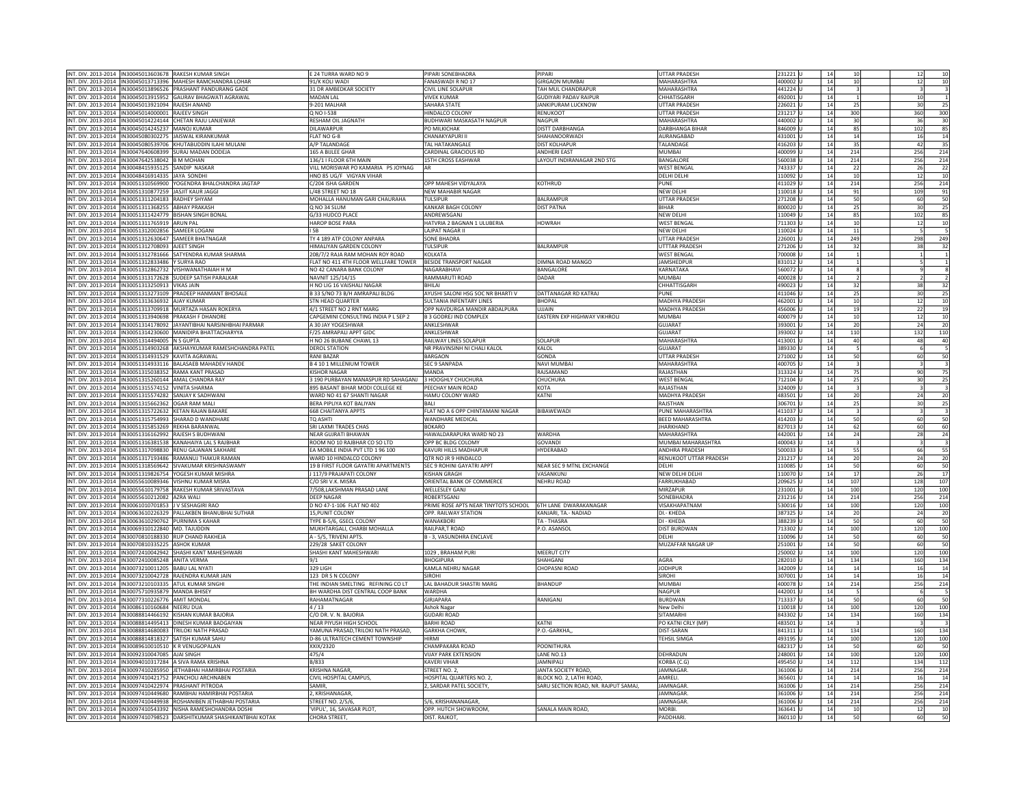|                     |                                                          | INT, DIV, 2013-2014   IN30045013603678   RAKESH KUMAR SINGH                                                                               |                                                             | PIPARI SONEBHADRA                     | PIPARI                             | <b>UTTAR PRADESH</b>    |                    |          |                         |                                                          |
|---------------------|----------------------------------------------------------|-------------------------------------------------------------------------------------------------------------------------------------------|-------------------------------------------------------------|---------------------------------------|------------------------------------|-------------------------|--------------------|----------|-------------------------|----------------------------------------------------------|
|                     |                                                          |                                                                                                                                           | E 24 TURRA WARD NO 9                                        |                                       |                                    |                         | 231221L            | 14       | 10                      | 12<br>10                                                 |
|                     |                                                          | INT. DIV. 2013-2014   IN30045013713396   MAHESH RAMCHANDRA LOHAR                                                                          | 91/K KOLI WADI                                              | FANASWADI R NO 17                     | <b>GIRGAON MUMBAI</b>              | MAHARASHTRA             | 400002 L           | 14       | 10                      | 12<br>10                                                 |
|                     |                                                          | INT. DIV. 2013-2014 IN30045013896526 PRASHANT PANDURANG GADE                                                                              | 31 DR AMBEDKAR SOCIETY                                      | CIVIL LINE SOLAPUR                    | TAH MUL CHANDRAPUR                 | MAHARASHTRA             | 441224             | 14       | $\overline{3}$          | $\overline{\mathbf{3}}$<br>$\overline{\mathbf{3}}$       |
| INT. DIV. 2013-2014 |                                                          | IN30045013915952 GAURAV BHAGWATI AGRAWAL                                                                                                  | <b>MADAN LAI</b>                                            | <b>VIVEK KUMAR</b>                    | GUDIYARI PADAV RAIPUR              | CHHATISGARH             | 492001             | 14       |                         | 10<br>$\overline{1}$                                     |
|                     |                                                          |                                                                                                                                           |                                                             |                                       |                                    |                         |                    |          |                         |                                                          |
|                     | INT. DIV. 2013-2014  IN30045013921094   RAJESH ANAND     |                                                                                                                                           | 9-201 MALHAR                                                | SAHARA STATE                          | JANKIPURAM LUCKNOW                 | <b>UTTAR PRADESH</b>    | 226021             | 14       | 25                      | 30<br>25                                                 |
|                     | INT. DIV. 2013-2014 IN30045014000001 RAIFFV SINGH        |                                                                                                                                           | O NO 1-538                                                  | HINDAI CO COLONY                      | <b>RENUKOOT</b>                    | <b>UTTAR PRADESH</b>    | 231217             | 14       | 300                     | 360<br>300                                               |
|                     |                                                          | INT. DIV. 2013-2014 IN30045014224144 CHETAN RAJU LANJEWAR                                                                                 | RESHAM OIL JAGNATH                                          | BUDHWARI MASKASATH NAGPUR             | <b>NAGPUR</b>                      | MAHARASHTRA             | 440002             | 14       | 30                      | 36<br>30                                                 |
|                     | INT. DIV. 2013-2014   IN30045014245237   MANOJ KUMAR     |                                                                                                                                           | DILAWARPUR                                                  | PO MILKICHAK                          | DISTT DARBHANGA                    | <b>DARBHANGA BIHAR</b>  | 846009             | 14       | 85                      | 85<br>102                                                |
|                     |                                                          |                                                                                                                                           |                                                             |                                       |                                    |                         |                    |          |                         |                                                          |
|                     |                                                          | INT. DIV. 2013-2014  IN30045080302275  JAISWAL KIRANKUMAR                                                                                 | LAT NO G-8                                                  | <b>HANAKYAPURI</b>                    | HAHANOORWADI                       | AURANGABAD              | 431001             | 14       | 14                      | 14<br>16                                                 |
| INT. DIV. 2013-2014 | IN30045080539706                                         | KHUTABUDDIN ILAHI MULAN                                                                                                                   | A/P TALANDAGI                                               | TAL HATAKANGALE                       | DIST KOLHAPUR                      | TALANDAGE               | 416203             | 14       | 35                      | 42<br>35                                                 |
|                     |                                                          | INT. DIV. 2013-2014 IN30047640608399 SURALMADAN DODFIA                                                                                    | 165 A BIII FF GHAR                                          | CARDINAL GRACIOUS RD                  | <b>ANDHERI FAST</b>                | MUMBAI                  | 400099             | 14       | 214                     | 256<br>214                                               |
|                     | INT. DIV. 2013-2014 IN30047642538042 B M MOHAN           |                                                                                                                                           | 136/1   FLOOR 6TH MAIN                                      | <b>15TH CROSS EASHWAR</b>             | LAYOUT INDIRANAGAR 2ND STG         | BANGALORI               | 560038             | 14       | 214                     | 256<br>214                                               |
|                     | INT. DIV. 2013-2014  IN30048415935125  SANDIP NASKAR     |                                                                                                                                           | VILL MORISWAR PO KAMARIA PS JOYNAG                          | <b>AR</b>                             |                                    | <b>WEST BENGA</b>       | 743337             | 14       |                         | 26                                                       |
|                     |                                                          |                                                                                                                                           |                                                             |                                       |                                    |                         |                    |          | 22                      | 22                                                       |
|                     | INT. DIV. 2013-2014 IN30048416914335 JAYA SONDHI         |                                                                                                                                           | INO 85 UG/F VIGYAN VIHAR                                    |                                       |                                    | DELHI DELHI             | 110092             | 14       | 10                      | 10<br>12                                                 |
|                     |                                                          | INT. DIV. 2013-2014   IN30051310569900 YOGENDRA BHALCHANDRA JAGTAP                                                                        | 2/204 ISHA GARDEN                                           | OPP MAHESH VIDYALAYA                  | KOTHRUD                            | PUNE                    | 411029             | 14       | 214                     | 256<br>214                                               |
|                     | INT. DIV. 2013-2014 IN30051310877259 IJASIIT KAUR JAGGI  |                                                                                                                                           | /48 STRFFT NO 18                                            | NFW MAHABIR NAGAR                     |                                    | NFW DFI H               | 110018             | 14       | 91                      | 109<br>91                                                |
|                     | INT. DIV. 2013-2014  IN30051311204183  RADHEY SHYAM      |                                                                                                                                           | MOHALLA HANUMAN GARI CHAURAHA                               | <b>TULSIPUR</b>                       | BALRAMPUR                          | <b>UTTAR PRADESH</b>    | 271208             | 14       | 50                      | 50<br>60                                                 |
|                     |                                                          |                                                                                                                                           |                                                             |                                       |                                    |                         |                    |          |                         |                                                          |
|                     | INT. DIV. 2013-2014 IN30051311368255 ABHAY PRAKASH       |                                                                                                                                           | Q NO 34 SLUM                                                | KANKAR BAGH COLONY                    | <b>DIST PATNA</b>                  | <b>BIHAR</b>            | 800020             | 14       | 25                      | 25<br>30                                                 |
|                     | INT. DIV. 2013-2014 IN30051311424779                     | <b>BISHAN SINGH BONAL</b>                                                                                                                 | 3/33 HUDCO PLACE                                            | ANDREWSGANJ                           |                                    | NEW DELHI               | 10049              | 14       | 85                      | 85<br>102                                                |
|                     | INT. DIV. 2013-2014   IN30051311765919   ARUN PAL        |                                                                                                                                           | HAROP BOSE PARA                                             | HATVRIA 2 BAGNAN 1 ULUBERIA           | <b>HOWRAH</b>                      | <b>WEST BENGA</b>       | 711303             | 14       | 10                      | 10<br>12                                                 |
|                     | INT. DIV. 2013-2014 IN30051312002856 SAMEER LOGAN        |                                                                                                                                           | I <sub>5</sub> R                                            | <b>I AIPAT NAGAR I</b>                |                                    | <b>NFW DFI HI</b>       | 110024             | 14       | 11                      | 5                                                        |
|                     |                                                          | INT. DIV. 2013-2014 IN30051312630647 SAMEER BHATNAGAR                                                                                     | TY 4 189 ATP COLONY ANPARA                                  | SONE BHADRA                           |                                    | <b>UTTAR PRADESH</b>    | 226001             | 14       | 249                     | 298<br>249                                               |
|                     |                                                          |                                                                                                                                           |                                                             |                                       |                                    |                         |                    |          |                         |                                                          |
|                     | INT. DIV. 2013-2014 IN30051312708093 AJEET SINGH         |                                                                                                                                           | HIMALIYAN GARDEN COLONY                                     | <b>TULSIPUR</b>                       | BALRAMPUR                          | <b>UTTTAR PRADESH</b>   | 271206             | 14       | 32                      | 38<br>32                                                 |
|                     |                                                          | INT. DIV. 2013-2014   IN30051312781666 SATYENDRA KUMAR SHARMA                                                                             | 08/7/2 RAJA RAM MOHAN ROY ROAD                              | KOLKATA                               |                                    | <b>WEST BENGAL</b>      | '00008             | 14       | $\mathbf 1$             | $\overline{1}$<br>$1\vert$                               |
|                     | INT. DIV. 2013-2014  IN30051312833486 Y SURYA RAO        |                                                                                                                                           | FLAT NO 411 4TH FLOOR WELLFARE TOWER BESIDE TRANSPORT NAGAR |                                       | DIMNA ROAD MANGO                   | <b>JAMSHEDPUR</b>       | 831012             | 14       | $\mathbf{1}$            | 5<br>$\mathbf{1}$                                        |
|                     |                                                          | INT. DIV. 2013-2014 IN30051312862732 VISHWANATHAIAH H M                                                                                   | NO 42 CANARA BANK COLONY                                    | NAGARABHAVI                           | <b>BANGALORE</b>                   | KARNATAKA               | 560072             | 14       | $\mathbf{g}$            | $\overline{9}$<br>$\overline{\mathbf{8}}$                |
|                     |                                                          | INT. DIV. 2013-2014  IN30051313172628   SUDEEP SATISH PARALKAR                                                                            | NAVNIT 125/14/15                                            | RAMMARUTI ROAD                        | DADAR                              | <b>MUMBAI</b>           | 400028             | 14       | $\overline{2}$          | $\overline{2}$                                           |
|                     |                                                          |                                                                                                                                           |                                                             |                                       |                                    |                         |                    |          |                         |                                                          |
|                     | INT. DIV. 2013-2014  IN30051313250913   VIKAS JAIN       |                                                                                                                                           | H NO LIG 16 VAISHALI NAGAR                                  | RHII AI                               |                                    | CHHATTISGARH            | 490023             | 14       | 32                      | 32<br>38                                                 |
|                     |                                                          | INT. DIV. 2013-2014 IN30051313273109 PRADEEP HANMANT BHOSALE                                                                              | 33 S/NO 73 B/H AMRAPALI BLDG                                | AYUSHI SALONI HSG SOC NR BHARTI V     | DATTANAGAR RD KATRAJ               | PUNE                    | 411046             | 14       | 25                      | 30<br>25                                                 |
|                     | INT. DIV. 2013-2014  IN30051313636932  AJAY KUMAR        |                                                                                                                                           | STN HEAD QUARTER                                            | SULTANIA INFENTARY LINES              | <b>BHOPAI</b>                      | MADHYA PRADESH          | 462001             | 14       | 10                      | 12<br>10                                                 |
|                     |                                                          | INT. DIV. 2013-2014   IN30051313709918   MURTAZA HASAN ROKERYA                                                                            | 4/1 STREET NO 2 RNT MARG                                    | OPP NAVDURGA MANDIR ABDALPURA         | UIIAIN                             | <b>MADHYA PRADESH</b>   | 456006             | 14       | 19                      | 22<br>19                                                 |
|                     |                                                          | INT. DIV. 2013-2014   IN30051313940698   PRAKASH F DHANORE                                                                                | CAPGEMINI CONSULTING INDIA P L SEP 2                        | <b>B 3 GODREJ IND COMPLEX</b>         | EASTERN EXP HIGHWAY VIKHROLI       | <b>MUMBA</b>            | 400079             | 14       | 10                      |                                                          |
|                     |                                                          |                                                                                                                                           |                                                             |                                       |                                    |                         |                    |          |                         | 10<br>12                                                 |
|                     |                                                          | INT. DIV. 2013-2014 IN30051314178092 IAYANTIBHAI NARSINHBHAI PARMAR                                                                       | A 30 JAY YOGESHWAR                                          | <b>ANKI FSHWAR</b>                    |                                    | <b>GUJARAT</b>          | 393001             | 14       | 20                      | 20<br>24                                                 |
|                     |                                                          | INT. DIV. 2013-2014  IN30051314230600   MANIDIPA BHATTACHARYYA                                                                            | /25 AMRAPALI APPT GIDC                                      | ANKLESHWAR                            |                                    | GUJARAT                 | 393002             | 14       | 110                     | 132<br>110                                               |
|                     | INT. DIV. 2013-2014  IN30051314494005 N S GUPTA          |                                                                                                                                           | I NO 26 BUBANE CHAWL 13                                     | RAILWAY LINES SOLAPUF                 | SOLAPUR                            | <b>MAHARASHTRA</b>      | 413001             | 14       | 40                      | 48<br>40                                                 |
|                     |                                                          | INT. DIV. 2013-2014   IN30051314903268   AKSHAYKUMAR RAMESHCHANDRA PATEL                                                                  | <b>DEROL STATION</b>                                        | NR PRAVINSINH NI CHALI KALOL          | KALOL                              | GUJARAT                 | 389330             | 14       | 5                       | 6<br>5                                                   |
|                     |                                                          |                                                                                                                                           |                                                             |                                       |                                    |                         |                    |          |                         |                                                          |
|                     | INT. DIV. 2013-2014   IN30051314931529 KAVITA AGRAWAL    |                                                                                                                                           | RANI BAZAR                                                  | BARGAON                               | GONDA                              | <b>UTTAR PRADESH</b>    | 271002             | 14       | 50                      | 50<br>60                                                 |
|                     |                                                          | INT. DIV. 2013-2014   IN30051314933116   BALASAEB MAHADEV HANDE                                                                           | <b>B 4 10 1 MILLENIUM TOWER</b>                             | <b>SFC 9 SANPADA</b>                  | <b>NAVI MUMBAL</b>                 | MAHARASHTRA             | 400705             | 14       | $\overline{3}$          | $\overline{\mathbf{3}}$<br>$\overline{\mathbf{3}}$       |
|                     | INT. DIV. 2013-2014 IN30051315038352                     | <b>RAMA KANT PRASAD</b>                                                                                                                   | <b>ISHOR NAGAR</b>                                          | MANDA                                 | <b>AJSAMAND</b>                    | RAJASTHAN               | 313324             | 14       | 75                      | 75<br>90                                                 |
|                     |                                                          | INT. DIV. 2013-2014  IN30051315260144   AMAL CHANDRA RAY                                                                                  | 3 190 PURBAYAN MANASPUR RD SAHAGANJ                         | 3 HOOGHLY CHUCHURA                    | CHUCHURA                           | <b>WEST BENGAI</b>      | 712104             | 14       | 25                      | $\overline{25}$<br>30                                    |
|                     |                                                          |                                                                                                                                           | 895 BASANT BIHAR MODI COLLEGE KE                            | PEECHAY MAIN ROAD                     |                                    | RAJASTHAN               | 324009             | 14       | $\overline{\mathbf{3}}$ | $\overline{\mathbf{3}}$                                  |
|                     | INT. DIV. 2013-2014  IN30051315574152   VINITA SHARMA    |                                                                                                                                           |                                                             |                                       | <b>KOTA</b>                        |                         |                    |          |                         |                                                          |
|                     |                                                          | INT. DIV. 2013-2014   IN30051315574282   SANJAY K SADHWANI                                                                                | WARD NO 41 67 SHANTI NAGAR                                  | HAMU COLONY WARD                      | KATNI                              | MADHYA PRADESH          | 483501             | 14       | 20                      | 24<br>20                                                 |
|                     | INT. DIV. 2013-2014 IN30051315662362 OGAR RAM MALL       |                                                                                                                                           | BERA PIPLIYA KOT BALIYAN                                    | BALL                                  |                                    | RAISTHAN                | 306701             | 14       | 25                      | 25<br>30                                                 |
|                     |                                                          | INT. DIV. 2013-2014   IN30051315722632 KETAN RAJAN BAKARE                                                                                 | 68 CHAITANYA APPTS                                          | FLAT NO A 6 OPP CHINTAMANI NAGAR      | BIBAWEWADI                         | PUNE MAHARASHTRA        | 411037             | 14       |                         | $\overline{\mathbf{3}}$                                  |
|                     |                                                          | INT. DIV. 2013-2014  IN30051315754993 SHARAD D WANDHARI                                                                                   | TQ ASHTI                                                    | <b>WANDHARE MEDICAL</b>               |                                    | BEED MAHARASHTRA        | 414203             | 14       | 50                      | 60<br>50                                                 |
|                     |                                                          |                                                                                                                                           |                                                             |                                       |                                    |                         |                    |          |                         |                                                          |
|                     | INT. DIV. 2013-2014   IN30051315853269   REKHA BARANWAI  |                                                                                                                                           | SRI LAXMI TRADES CHAS                                       | <b>BOKARO</b>                         |                                    | <b>JHARKHAND</b>        | 827013             | 14       | 62                      | 60<br>60                                                 |
|                     |                                                          | INT. DIV. 2013-2014  IN30051316162992   RAJESH S BUDHWANI                                                                                 | NEAR GUJRATI BHAWAN                                         | HAWALDARAPURA WARD NO 23              | WARDHA                             | MAHARASHTRA             | 442001             | 14       | 24                      | 24<br>28                                                 |
|                     |                                                          | INT. DIV. 2013-2014  IN30051316381538  KANAHAIYA LAL S RAJBHAR                                                                            | ROOM NO 10 RAJBHAR CO SO LTD                                | OPP BC BLDG COLOMY                    | GOVANDI                            | MUMBAI MAHARASHTRA      | 400043             | 14       | $\overline{\mathbf{3}}$ | $\overline{\mathbf{3}}$<br>$\overline{\mathbf{3}}$       |
|                     | INT. DIV. 2013-2014 IN30051317098830                     | RENU GAJANAN SAKHARE                                                                                                                      | A MOBILE INDIA PVT LTD 1 96 100                             | KAVURI HILLS MADHAPUR                 | <b>IYDERABAD</b>                   | ANDHRA PRADESH          | 500033             | 14       | 55                      | 55<br>66                                                 |
|                     |                                                          |                                                                                                                                           | WARD 10 HINDALCO COLONY                                     | QTR NO JR 9 HINDALCO                  |                                    | RENUKOOT UTTAR PRADESH  |                    | 14       | 20                      | 20<br>24                                                 |
|                     |                                                          | INT. DIV. 2013-2014   IN30051317193486   RAMANUJ THAKUR RAMAN                                                                             |                                                             |                                       |                                    | <b>DFIHI</b>            | 231217             |          |                         |                                                          |
|                     |                                                          | INT. DIV. 2013-2014   IN30051318569642 SIVAKUMAR KRISHNASWAMY                                                                             | 19 B FIRST FLOOR GAYATRI APARTMENTS                         | SEC 9 ROHINI GAYATRI APPT             | NEAR SEC 9 MTNL EXCHANGE           |                         | 110085             | 14       | 50                      | 60<br>50                                                 |
|                     |                                                          |                                                                                                                                           |                                                             | <b>KISHAN GRAGH</b>                   |                                    |                         |                    |          |                         |                                                          |
|                     |                                                          | INT. DIV. 2013-2014  IN30051319826754 YOGESH KUMAR MISHRA                                                                                 | 1117/9 PRAJAPATI COLONY                                     |                                       | VASANKUNJ                          | NEW DELHI DELHI         | 110070             | 14       | 17                      | 26                                                       |
|                     |                                                          | INT. DIV. 2013-2014 IN30055610089346 VISHNU KUMAR MISRA                                                                                   | C/O SRI V.K. MISRA                                          | ORIENTAL BANK OF COMMERCE             | <b>NEHRU ROAD</b>                  | FARRUKHABAD             | 209625             | 14       | 107                     | 128                                                      |
|                     |                                                          |                                                                                                                                           |                                                             |                                       |                                    |                         |                    |          |                         |                                                          |
|                     |                                                          | INT. DIV. 2013-2014   IN30055610179758   RAKESH KUMAR SRIVASTAVA                                                                          | 7/508,LAKSHMAN PRASAD LANE                                  | WELLESLEY GANJ                        |                                    | MIRZAPUR                | 231001             | 14       | 100                     | 120                                                      |
|                     | INT. DIV. 2013-2014  IN30055610212082   AZRA WALI        |                                                                                                                                           | <b>DEEP NAGAR</b>                                           | ROBERTSGANJ                           |                                    | SONEBHADRA              | 231216             | 14       | 214                     | 256                                                      |
|                     | INT. DIV. 2013-2014  IN30061010701853  J V SESHAGIRI RAO |                                                                                                                                           | D NO 47-1-106 FLAT NO 402                                   | PRIME ROSE APTS NEAR TINYTOTS SCHOOL  | 6TH LANE DWARAKANAGAR              | VISAKHAPATNAM           | 530016             | 14       | 100                     | 120                                                      |
|                     |                                                          | INT. DIV. 2013-2014   IN30063610226329   PALLAKBEN BHANUBHAI SUTHAR                                                                       | 15, PUNIT COLONY                                            | OPP. RAILWAY STATION                  | KANJARI, TA.- NADIAD               | DI .- KHEDA             | 387325             | 14       | 20                      | 24                                                       |
|                     | INT. DIV. 2013-2014 IN30063610290762 PURNIMA S KAHAR     |                                                                                                                                           | TYPE B-5/6, GSECL COLONY                                    | WANAKBORI                             | TA - THASRA                        | DI - KHEDA              | 388239             | 14       |                         |                                                          |
|                     |                                                          |                                                                                                                                           |                                                             |                                       |                                    |                         |                    |          | 50                      | 60                                                       |
|                     | INT. DIV. 2013-2014  IN30069310122840   MD. TAJUDDIN     |                                                                                                                                           | MUKHTARGALI, CHARBI MOHALLA                                 | RAILPAR,T ROAD                        | .O. ASANSOL                        | DIST BURDWAN            | 713302             | 14       | 100                     | 17<br>107<br>100<br>214<br>100<br>20<br>50<br>120<br>100 |
|                     |                                                          | INT. DIV. 2013-2014   IN30070810188330   RUP CHAND RAKHEJA                                                                                | A - 5/5, TRIVENI APTS.                                      | <b>B - 3. VASUNDHRA ENCLAVE</b>       |                                    | DELHI                   | 110096             | 14       | 50                      | 50<br>60                                                 |
|                     | INT. DIV. 2013-2014  IN30070810335225   ASHOK KUMAR      |                                                                                                                                           | 229/28 SAKET COLONY                                         |                                       |                                    | MUZAFFAR NAGAR UP       | 251001             | 14       | 50                      | 60                                                       |
|                     |                                                          | INT. DIV. 2013-2014  IN30072410042942 SHASHI KANT MAHESHWARI                                                                              | SHASHI KANT MAHESHWARI                                      | 1029, BRAHAM PURI                     | <b>MEERUT CITY</b>                 |                         | 250002             | 14       | 100                     | 50<br>120<br>100                                         |
|                     |                                                          |                                                                                                                                           |                                                             |                                       |                                    |                         |                    |          |                         |                                                          |
|                     | INT. DIV. 2013-2014  IN30072410085248   ANITA VERMA      |                                                                                                                                           | 9/1                                                         | <b>BHOGIPURA</b>                      | SHAHGANJ                           | AGRA                    | 282010             | 14       | 134                     | 160<br>134                                               |
|                     | INT. DIV. 2013-2014  IN30073210011205  BABU LAL NYAT     |                                                                                                                                           | 329 LIGH                                                    | KAMLA NEHRU NAGAR                     | <b>HOPASNI ROAD</b>                | <b>JODHPUR</b>          | 342009             | 14       | 14                      | 16<br>14                                                 |
|                     |                                                          | INT. DIV. 2013-2014   IN30073210042728   RAJENDRA KUMAR JAIN                                                                              | 123 DR S N COLONY                                           | <b>SIROHI</b>                         |                                    | SIROHI                  | 307001             | 14       | 14                      | 16<br>14                                                 |
|                     |                                                          | INT. DIV. 2013-2014 IN30073210103335 ATUL KUMAR SINGHI                                                                                    | THE INDIAN SMELTING REFINING COLT                           | LAL BAHADUR SHASTRI MARG              | <b>BHANDUP</b>                     | MUMBAI                  | 400078             | 14       | 214                     | 256<br>214                                               |
|                     |                                                          |                                                                                                                                           |                                                             |                                       |                                    |                         |                    | 14       | 5                       |                                                          |
|                     | INT. DIV. 2013-2014  IN30075710935879   MANDA BHISEY     |                                                                                                                                           | BH WARDHA DIST CENTRAL COOP BANK                            | WARDHA                                |                                    | NAGPUR                  | 442001             |          |                         | 5<br>6                                                   |
|                     | INT. DIV. 2013-2014 IN30077310226776 AMIT MONDAL         |                                                                                                                                           | RAHAMATNAGAR                                                | GIRJAPARA                             | RANIGANI                           | <b>BURDWAN</b>          | 713337             | 14       | 50                      | 50<br>60                                                 |
|                     | INT. DIV. 2013-2014 IN30086110160684 NEERU DUA           |                                                                                                                                           | 4/13                                                        | Ashok Naga                            |                                    | New Delh                | 110018             | 14       | 100                     | 100<br>120                                               |
|                     |                                                          | INT. DIV. 2013-2014  IN30088814466192 KISHAN KUMAR BAJORIA                                                                                | C/O DR. V. N. BAJORIA                                       | <b>GUDARI ROAD</b>                    |                                    | SITAMARH                | 843302             | 14       | 134                     | 160<br>134                                               |
|                     |                                                          | INT. DIV. 2013-2014  IN30088814495413   DINESH KUMAR BADGAIYAN                                                                            | NEAR PIYUSH HIGH SCHOOL                                     | <b>BARHI ROAD</b>                     | KATNI                              | PO KATNI CRLY (MP)      | 483501             | 14       |                         |                                                          |
|                     |                                                          |                                                                                                                                           |                                                             |                                       |                                    |                         |                    |          |                         |                                                          |
|                     |                                                          | INT. DIV. 2013-2014  IN30088814680083 TRILOKI NATH PRASAD                                                                                 | YAMUNA PRASAD, TRILOKI NATH PRASAD,                         | <b>GARKHA CHOWK</b>                   | P.O.-GARKHA,                       | DIST-SARAN              | 841311             | 14       | 134                     | 160<br>134                                               |
|                     |                                                          | INT. DIV. 2013-2014 IN30088814818327 SATISH KUMAR SAHU                                                                                    | D-86 ULTRATECH CEMENT TOWNSHIP                              | HIRMI                                 |                                    | <b>TEHSIL SIMG/</b>     | 493195             | 14       | 100                     | 120<br>100                                               |
|                     | INT. DIV. 2013-2014  IN30089610010510 K R VENUGOPALAN    |                                                                                                                                           | XXIX/2320                                                   | <b>HAMPAKARA ROAD</b>                 | POONITHURA                         |                         | 682317             | 14       | 50                      | 50<br>60                                                 |
|                     | INT. DIV. 2013-2014  IN30092310047085  AJAI SINGH        |                                                                                                                                           | 475/4                                                       | <b>VIJAY PARK EXTENSION</b>           | LANE NO.13                         | DEHRADUN                | 248001             | 14       | 100                     | 120<br>100                                               |
|                     |                                                          | INT. DIV. 2013-2014   IN30094010317284   A SIVA RAMA KRISHNA                                                                              | B/833                                                       | KAVERI VIHAR                          | AMNIPALI                           | KORBA (C.G)             | 495450             | 14       | 112                     | 134<br>112                                               |
|                     |                                                          |                                                                                                                                           |                                                             |                                       |                                    |                         |                    |          |                         |                                                          |
|                     |                                                          | INT. DIV. 2013-2014  IN30097410285950 JETHABHAI HAMIRBHAI POSTARIA                                                                        | KRISHNA NAGAR,                                              | STREET NO. 2,                         | JANTA SOCIETY ROAD,                | <b>JAMNAGAR</b>         | 361006             | 14       | 214                     | 256<br>214                                               |
|                     |                                                          | INT. DIV. 2013-2014 IN30097410421752 PANCHOLLARCHNABEN                                                                                    | CIVIL HOSPITAL CAMPUS                                       | HOSPITAL QUARTERS NO. 2,              | BLOCK NO. 2. LATHLROAD             | <b>AMRFII</b>           | 365601             | 14       | 14                      | 16<br>14                                                 |
|                     |                                                          | NT. DIV. 2013-2014 IN30097410422974 PRASHANT PITRODA                                                                                      | AMIR                                                        | . SARDAR PATEL SOCIETY                | ARU SECTION ROAD, NR, RAJPUT SAMAJ | <b>JAMNAGAR</b>         | 361006             | 14       | 214                     | 256<br>214                                               |
|                     |                                                          | INT. DIV. 2013-2014 IN30097410449680 RAMBHAI HAMIRBHAI POSTARIA                                                                           | <b>KRISHANAGAR</b>                                          |                                       |                                    | <b>IAMNAGAR</b>         | 361006             | 14       | 214                     | 256<br>214                                               |
|                     |                                                          |                                                                                                                                           |                                                             |                                       |                                    | <b>JAMNAGAR</b>         |                    |          |                         |                                                          |
|                     |                                                          | INT. DIV. 2013-2014   IN30097410449938   ROSHANIBEN JETHABHAI POSTARIA                                                                    | STREET NO. 2/5/6,                                           | 5/6, KRISHANANAGAR,                   |                                    |                         | 361006             | 14       | 214                     | 256                                                      |
|                     |                                                          | INT. DIV. 2013-2014  IN30097410543392 NISHA RAMESHCHANDRA DOSHI<br>INT. DIV. 2013-2014 IN30097410798523 DARSHITKUMAR SHASHIKANTBHAI KOTAK | 'VIPUL', 16, SAVASAR PLOT,<br><b>CHORA STREET</b>           | OPP. HUTCH SHOWROOM,<br>DIST. RAJKOT, | SANALA MAIN ROAD,                  | <b>MORBI</b><br>PADDHAF | 363641<br>360110 U | 14<br>14 | 10<br>50                | 214<br>12<br>10<br>50<br>60                              |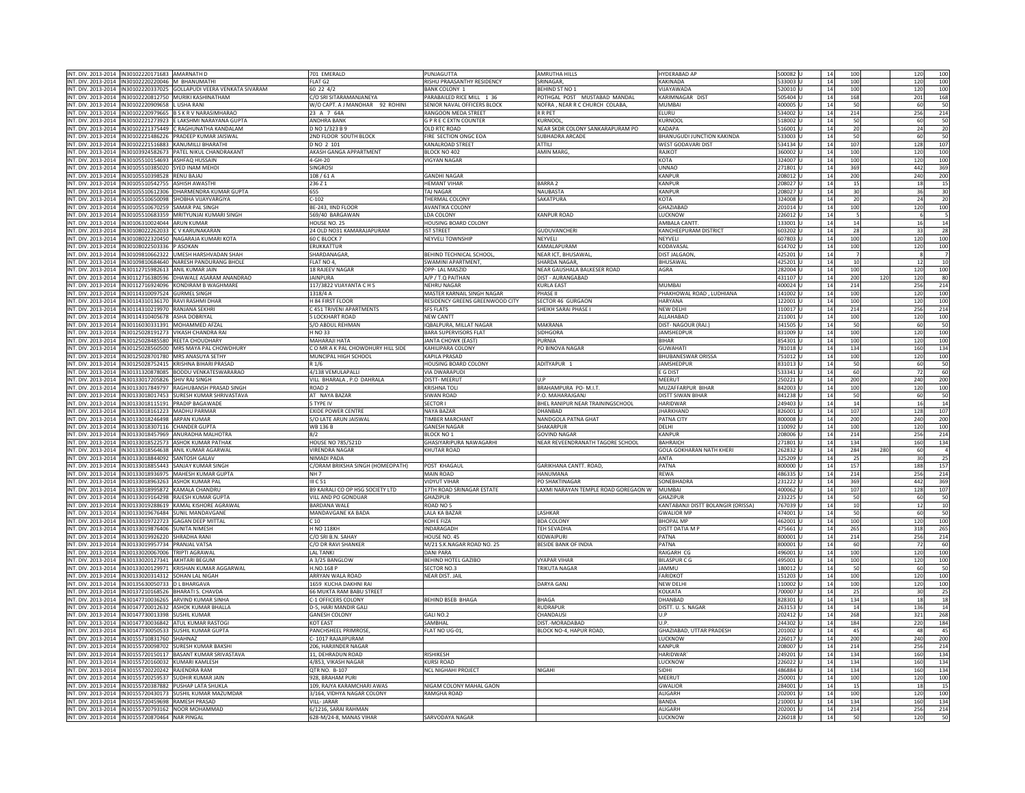| INT. DIV. 2013-2014  IN30102220171683   AMARNATH D                      |                              | 701 EMERALD                        | PUNJAGUTTA                      | <b>AMRUTHA HILLS</b>                | <b>HYDERABAD AR</b>                | 500082 U | 14             | 100  |     | 120 | 100             |
|-------------------------------------------------------------------------|------------------------------|------------------------------------|---------------------------------|-------------------------------------|------------------------------------|----------|----------------|------|-----|-----|-----------------|
|                                                                         |                              |                                    |                                 |                                     |                                    |          |                |      |     |     |                 |
| VT. DIV. 2013-2014   IN30102220220046   M BHANUMATHI                    |                              | FLAT G2                            | RISHU PRAASANTHY RESIDENCY      | SRINAGAR,                           | <b>KAKINADA</b>                    | 533003 U | 14             | 100  |     | 120 | 100             |
| VT. DIV. 2013-2014   IN30102220337025   GOLLAPUDI VEERA VENKATA SIVARAM |                              | 60 22 4/2                          | BANK COLONY 1                   | <b>BEHIND ST NO 1</b>               | VIJAYAWADA                         | 520010 U | 14             | 100  |     | 120 | 100             |
| IT. DIV. 2013-2014  IN30102220812750 MURIKI KASHINATHAM                 |                              | C/O SRI SITARAMANJANEYA            | PARABAILED RICE MILL 1 36       | POTHGAL POST MUSTABAD MANDAL        | KARIMNAGAR DIST                    | 505404   | 14             | 168  |     | 201 | 168             |
| VT. DIV. 2013-2014   IN30102220909658   LUSHA RANI                      |                              | W/O CAPT. A J MANOHAR 92 ROHINI    | SENIOR NAVAL OFFICERS BLOCK     | NOFRA, NEAR R C CHURCH COLABA,      | MUMBAI                             | 400005 U | 14             | 50   |     | 60  | 50              |
| VT. DIV. 2013-2014   IN30102220979665   B S K R V NARASIMHARAO          |                              | 23 A 7 64A                         | <b>RANGOON MEDA STREET</b>      | <b>R R PET</b>                      | <b>ELURU</b>                       | 534002 U | 14             | 214  |     | 256 | 214             |
|                                                                         |                              |                                    | <b>GPRECEXTN COUNTER</b>        | <b>KURNOOL</b>                      | <b>KURNOOI</b>                     |          | 14             |      |     | 60  |                 |
| IT. DIV. 2013-2014   IN30102221273923   E LAKSHMI NARAYANA GUPTA        |                              | <b>ANDHRA BANK</b>                 |                                 |                                     |                                    | 518002 U |                | 50   |     |     | 50              |
| NT. DIV. 2013-2014  IN30102221375449 C RAGHUNATHA KANDALAM              |                              | D NO 1/323 B 9                     | OLD RTC ROAD                    | NEAR SKDR COLONY SANKARAPURAM PO    | KADAPA                             | 516001 U | 14             | 20   |     | 24  | $\overline{20}$ |
| VT. DIV. 2013-2014   IN30102221486226   PRADEEP KUMAR JAISWAL           |                              | 2ND FLOOR SOUTH BLOCK              | FIRE SECTION ONGC EOA           | SUBHADRA ARCADE                     | BHANUGUDI JUNCTION KAKINDA         | 533003   | 14             | 50   |     | 60  | 50              |
| VT. DIV. 2013-2014   IN30102221516883   KANUMILLI BHARATHI              |                              | D NO 2 101                         | KANALROAD STREET                | ATTILI                              | WEST GODAVARI DIST                 | 534134 U | 14             | 107  |     | 128 | 107             |
| JT. DIV. 2013-2014 IN30103924582673 PATFI NIKUI CHANDRAKANT             |                              | AKASH GANGA APPARTMENT             | BLOCK NO 402                    | <b>AMIN MARG</b>                    | RAIKOT                             | 360002 U | 14             | 100  |     | 120 | 100             |
| VT. DIV. 2013-2014  IN30105510154693  ASHFAQ HUSSAIN                    |                              | 4-GH-20                            | <b>VIGYAN NAGAR</b>             |                                     | <b>KOTA</b>                        | 324007 U | 14             | 100  |     | 120 | 100             |
|                                                                         |                              |                                    |                                 |                                     |                                    |          |                |      |     |     |                 |
| NT. DIV. 2013-2014  IN30105510385020 SYED INAM MEHD                     |                              | SINGROSI                           |                                 |                                     | <b>UNNAO</b>                       | 271801 U | 14             | 369  |     | 442 | 369             |
| IT. DIV. 2013-2014   IN30105510398528   RENU BAJAJ                      |                              | 108 / 61 A                         | <b>SANDHI NAGAR</b>             |                                     | KANPUR                             | 208012   | $\overline{1}$ | 200  |     | 240 | 200             |
| VT. DIV. 2013-2014   IN30105510542755   ASHISH AWASTH                   |                              | 236 Z 1                            | <b>HEMANT VIHAR</b>             | <b>BARRA 2</b>                      | <b>KANPUR</b>                      | 208027 U | 14             | 15   |     | 18  | 15              |
| VT. DIV. 2013-2014   IN30105510612306   DHARMENDRA KUMAR GUPTA          |                              | 655                                | <b>TAI NAGAR</b>                | NAURASTA                            | KANPUR                             | 208027 U | 14             | 30   |     | 36  | 3 <sup>o</sup>  |
| IT. DIV. 2013-2014 IN30105510650098 SHOBHA VIJAYVARGIYA                 |                              | $C-102$                            | THERMAL COLONY                  | SAKATPURA                           | <b>KOTA</b>                        | 324008 U | 14             | 20   |     | 24  | $20$            |
|                                                                         |                              | BE-243. IIND FLOOR                 | <b>AVANTIKA COLONY</b>          |                                     | GHA7IABAD                          | 201014 U | 14             |      |     |     |                 |
| VT. DIV. 2013-2014   IN30105510670259 SAMAR PAL SINGH                   |                              |                                    |                                 |                                     |                                    |          |                | 100  |     | 120 | 100             |
| T. DIV. 2013-2014   IN30105510683359   MRITYUNJAI KUMARI SINGH          |                              | 569/40 BARGAWAN                    | LDA COLONY                      | <b>CANPUR ROAD</b>                  | <b>UCKNOW</b>                      | 226012   | $\overline{1}$ |      |     | 6   |                 |
| VT. DIV. 2013-2014  IN30106310024044   ARUN KUMAR                       |                              | HOUSE NO. 25                       | HOUSING BOARD COLONY            |                                     | AMBALA CANTT                       | 133001 U | 14             | 14   |     | 16  | 14              |
| IT. DIV. 2013-2014  IN30108022262033 C V KARUNAKARAN                    |                              | 24 OLD NO31 KAMARAJAPURAM          | <b>IST STREET</b>               | <b>GUDUVANCHERI</b>                 | KANCHEEPURAM DISTRICT              | 603202 U | 14             | 28   |     | 33  | $\overline{28}$ |
| IT. DIV. 2013-2014  IN30108022320450  NAGARAJA KUMARI KOTA              |                              | 60 C BLOCK 7                       | NEYVELI TOWNSHIP                | NEYVELI                             | NEYVELI                            | 607803 U | 14             | 100  |     | 120 | 100             |
| VT. DIV. 2013-2014   IN30108022503336 P ASOKAN                          |                              | ERUKKATTUR                         |                                 | KAMALAPURAM                         | KODAVASAI                          | 614702 U | 14             | 100  |     | 120 | 100             |
|                                                                         |                              |                                    |                                 |                                     |                                    |          |                |      |     |     |                 |
| IT. DIV. 2013-2014 IN30109810662322                                     | <b>UMESH HARSHVADAN SHAH</b> | HARDANAGAR                         | BEHIND TECHNICAL SCHOOL,        | NEAR ICT, BHUSAWAL                  | <b>DIST JALGAON</b>                | 425201   | 14             |      |     | 8   |                 |
| VT. DIV. 2013-2014  IN30109810684640   NARESH PANDURANG BHOLE           |                              | FLAT NO 4                          | SWAMINI APARTMENT               | <b>SHARDA NAGAR</b>                 | BHUSAWAL                           | 425201 U | 14             | 10   |     | 12  | $\overline{10}$ |
| IT. DIV. 2013-2014  IN30112715982613  ANIL KUMAR JAIN                   |                              | <b>18 RAJEEV NAGAR</b>             | OPP- LAL MASZID                 | NEAR GAUSHALA BALKESER ROAD         | AGRA                               | 282004 U | 14             | 100  |     | 120 | 100             |
| VT. DIV. 2013-2014   IN30112716380596   DHAWALE ASARAM ANANDRAO         |                              | <b>JAINPURA</b>                    | A/P / T.Q PAITHAN               | DIST - AURANGABAD                   |                                    | 431107 U | 14             | 200  | 120 | 120 | 80              |
| NT. DIV. 2013-2014 IN30112716924096 KONDIRAM B WAGHMARE                 |                              | 117/3822 VIJAYANTA C H S           | <b>NFHRU NAGAR</b>              | <b>KURLA EAST</b>                   | MUMBAL                             | 400024 U | 14             | 214  |     | 256 | 214             |
|                                                                         |                              |                                    |                                 |                                     |                                    |          |                |      |     |     |                 |
| IT. DIV. 2013-2014 IN30114310097524 GURMEL SINGH                        |                              | 1318/4 A                           | MASTER KARNAIL SINGH NAGAR      | PHASE II                            | PHAKHOWAL ROAD, LUDHIANA           | 141002   | $\mathbf{1}$   | 100  |     | 120 | 100             |
| VT. DIV. 2013-2014  IN30114310136170  RAVI RASHMI DHAR                  |                              | H 84 FIRST FLOOR                   | RESIDENCY GREENS GREENWOOD CITY | SECTOR 46 GURGAON                   | <b>HARYANA</b>                     | 122001 U | 14             | 100  |     | 120 | 100             |
| VT. DIV. 2013-2014   IN30114310219970   RANJANA SEKHRI                  |                              | C 451 TRIVENI APARTMENTS           | <b>SFS FLATS</b>                | SHEIKH SARAI PHASE I                | <b>NEW DELHI</b>                   | 110017 U | 14             | 214  |     | 256 | 214             |
| VT. DIV. 2013-2014  IN30114310405678   ASHA DOBRIYAL                    |                              | <b>SLOCKHART ROAD</b>              | <b>NEW CANTT</b>                |                                     | ALLAHABAD                          | 211001 U | 14             | 100  |     | 120 | 100             |
| VT. DIV. 2013-2014  IN30116030331391   MOHAMMED AFZA                    |                              | S/O ABDUL REHMAN                   | IQBALPURA, MILLAT NAGAR         | MAKRANA                             | DIST-NAGOUR (RAJ.)                 | 341505 U | 14             | 50   |     | 60  | 50              |
|                                                                         |                              |                                    |                                 |                                     |                                    |          | 14             | 100  |     |     | 100             |
| IT. DIV. 2013-2014   IN30125028191273   VIKASH CHANDRA RAI              |                              | H NO 33                            | BARA SUPERVISORS FLAT           | SIDHGORA                            | JAMSHEDPUR                         | 831009   |                |      |     | 120 |                 |
| VT. DIV. 2013-2014   IN30125028485580   REETA CHOUDHARY                 |                              | <b>MAHARAJI HATA</b>               | JANTA CHOWK (EAST)              | PURNIA                              | <b>BIHAR</b>                       | 854301 U | 14             | 100  |     | 120 | 100             |
| IT. DIV. 2013-2014  IN30125028560500   MRS MAYA PAL CHOWDHURY           |                              | C O MR A K PAL CHOWDHURY HILL SIDE | KAHILIPARA COLONY               | PO BINOVA NAGAR                     | GUWAHATI                           | 781018 U | 14             | 134  |     | 160 | 134             |
| IT. DIV. 2013-2014  IN30125028701780  MRS ANASUYA SETHY                 |                              | MUNCIPAL HIGH SCHOOL               | KAPILA PRASAD                   |                                     | <b>BHUBANESWAR ORISSA</b>          | 751012 U | 14             | 100  |     | 120 | 100             |
| VT. DIV. 2013-2014 IN30125028752415 KRISHNA BIHARI PRASAD               |                              | R 1/6                              | <b>HOUSING BOARD COLONY</b>     | ADITYAPUR 1                         | <b>JAMSHEDPUR</b>                  | 831013 U | 14             | 50   |     | 60  | $\frac{50}{60}$ |
| IT. DIV. 2013-2014   IN30131320878085   BODDU VENKATESWARARAO           |                              | 4/138 VEMULAPALLI                  | <b>VIA DWARAPUDI</b>            |                                     | E G DIST                           | 533341 U | $\mathbf{1}$   | 60   |     | 72  |                 |
|                                                                         |                              |                                    |                                 |                                     |                                    |          |                |      |     |     |                 |
| VT. DIV. 2013-2014   IN30133017205826 SHIV RAJ SINGH                    |                              | VILL BHARALA . P.O DAHRALA         | DISTT- MEERUT                   |                                     | MFFRUT                             | 250221 U | 14             | 200  |     | 240 | 200             |
| IT. DIV. 2013-2014   IN30133017849797   RAGHUBANSH PRASAD SINGH         |                              | ROAD <sub>2</sub>                  | KRISHNA TOL                     | BRAHAMPURA PO- M.I.T.               | MUZAFFARPUR BIHAR                  | 842003 U | 14             | 100  |     | 120 | 100             |
| VT. DIV. 2013-2014  IN30133018017453 SURESH KUMAR SHRIVASTAVA           |                              | AT NAYA BAZAR                      | SIWAN ROAD                      | P.O. MAHARAJGANJ                    | DISTT SIWAN BIHAR                  | 841238 U | 14             | 50   |     | 60  | 50              |
| VT. DIV. 2013-2014  IN30133018115191  PRADIP BAGAWADE                   |                              | 5 TYPE IV                          | <b>SECTOR I</b>                 | BHEL RANIPUR NEAR TRAININGSCHOOL    | <b>HARIDWAR</b>                    | 249403 U | 14             | 14   |     | 16  | 14              |
| VT. DIV. 2013-2014   IN30133018161223   MADHU PARMAR                    |                              | <b>EXIDE POWER CENTRE</b>          | <b>NAYA BAZAI</b>               | DHANBAD                             | <b>JHARKHAND</b>                   | 826001 U | 14             | 107  |     | 128 | 107             |
|                                                                         |                              | S/O LATE ARUN JAISWAL              | <b>TIMBER MARCHANT</b>          | NANDGOLA PATNA GHAT                 | <b>PATNA CITY</b>                  | 800008 U | 14             |      |     | 240 | 200             |
| VT. DIV. 2013-2014   IN30133018246498   ARPAN KUMAR                     |                              |                                    |                                 |                                     |                                    |          |                | 200  |     |     |                 |
| IT. DIV. 2013-2014   IN30133018307116 CHANDER GUPTA                     |                              | <b>WB 136 B</b>                    | GANESH NAGAR                    | SHAKARPUR                           | DELHI                              | 110092 U | 14             | 100  |     | 120 | 100             |
| IT. DIV. 2013-2014  IN30133018457969   ANURADHA MALHOTRA                |                              | 8/2                                | <b>BLOCK NO 1</b>               | <b>GOVIND NAGAR</b>                 | <b>KANPUR</b>                      | 208006 U | 14             | 214  |     | 256 | 214             |
| IT. DIV. 2013-2014  IN30133018522573   ASHOK KUMAR PATHAK               |                              | <b>HOUSE NO 785/521D</b>           | GHASIYARIPURA NAWAGARHI         | NEAR REVEENDRANATH TAGORE SCHOOL    | BAHRAICH                           | 271801   | 14             | 134  |     | 160 | 134             |
| IT. DIV. 2013-2014 IN30133018564638 ANIL KUMAR AGARWAL                  |                              | <b>VIRENDRA NAGAR</b>              | KHUTAR ROAD                     |                                     | <b>GOLA GOKHARAN NATH KHERI</b>    | 262832   | 14             | 284  | 280 | 60  |                 |
| VT. DIV. 2013-2014   IN30133018844092   SANTOSH GALAV                   |                              | NIMADI PADA                        |                                 |                                     | ANTA                               | 325209 U | 14             | 25   |     | 30  | 25              |
|                                                                         |                              |                                    |                                 |                                     |                                    |          |                |      |     |     |                 |
| IT. DIV. 2013-2014   IN30133018855443 SANJAY KUMAR SINGH                |                              | C/ORAM BRIKSHA SINGH (HOMEOPATH)   | POST KHAGAU                     | GARIKHANA CANTT, ROAD.              | PATNA                              | 800000 U | 14             | 157  |     | 188 | 157             |
| VT. DIV. 2013-2014  IN30133018936975   MAHESH KUMAR GUPTA               |                              | NH <sub>7</sub>                    | <b>MAIN ROAD</b>                | HANUMANA                            | <b>REWA</b>                        | 486335 U | 14             | 214  |     | 256 | 214             |
| VT. DIV. 2013-2014 IN30133018963263 ASHOK KUMAR PAL                     |                              | III C 51                           | <b>VIDYUT VIHAR</b>             | PO SHAKTINAGAR                      | SONEBHADRA                         | 231222 U | 14             | 369  |     | 442 | 369             |
| IT. DIV. 2013-2014   IN30133018995872   KAMALA CHANDRU                  |                              | B9 KAIRALI CO OP HSG SOCIETY LTD   | 17TH ROAD SRINAGAR ESTATE       | AXMI NARAYAN TEMPLE ROAD GOREGAON W | MUMBA                              | 400062 U | 14             | 107  |     | 128 | 107             |
| NT. DIV. 2013-2014 IN30133019164298 RAJESH KUMAR GUPTA                  |                              | VILL AND PO GONDUAR                | <b>GHAZIPUR</b>                 |                                     | <b>GHAZIPUF</b>                    | 233225 U | 14             | 50   |     | 60  | 50              |
|                                                                         |                              |                                    |                                 |                                     |                                    |          |                |      |     |     |                 |
| T. DIV. 2013-2014  IN30133019288619   KAMAL KISHORE AGRAWAL             |                              | <b>BARDANA WALE</b>                | ROAD NO 5                       |                                     | KANTABANJI DISTT BOLANGIR (ORISSA) | 767039 U | 14             | $10$ |     | 12  | 10              |
| VT. DIV. 2013-2014  IN30133019676484 SUNIL MANDAVGANE                   |                              | MANDAVGANE KA BADA                 | LALA KA BAZAR                   | <b>I ASHKAR</b>                     | <b>GWALIOR MP</b>                  | 474001 U | 14             | 50   |     | 60  | 50              |
| IT. DIV. 2013-2014  IN30133019722723                                    | <b>GAGAN DEEP MITTAL</b>     | C 10                               | <b>COH E FIZA</b>               | <b>BDA COLONY</b>                   | <b>BHOPAL MP</b>                   | 462001   | 14             | 100  |     | 120 | 100             |
| IT. DIV. 2013-2014 IN30133019876406                                     | <b>SUNITA NIMESH</b>         | <b>NO 118KH</b>                    | INDARAGADH                      | <b>TEH SEVADHA</b>                  | <b>DISTT DATIA M F</b>             | 475661   | 14             | 265  |     | 318 | 265             |
| VT. DIV. 2013-2014  IN30133019926220 SHRADHA RANI                       |                              | C/O SRI B.N. SAHAY                 | HOUSE NO. 45                    | KIDWAIPURI                          | PATNA                              | 800001 U | 14             | 214  |     | 256 | 214             |
| IT. DIV. 2013-2014   IN30133019957734   PRANJAL VATSA                   |                              | C/O DR RAVI SHANKER                | M/21 S.K.NAGAR ROAD NO. 25      | BESIDE BANK OF INDIA                | PATNA                              | 800001 U | 14             | 60   |     | 72  | 60              |
|                                                                         |                              |                                    |                                 |                                     |                                    |          |                |      |     |     |                 |
| VT. DIV. 2013-2014   IN30133020067006   TRIPTI AGRAWAI                  |                              | <b>LAL TANKI</b>                   | DANI PARA                       |                                     | RAIGARH CG                         | 496001 U | 14             | 100  |     | 120 | 100             |
| IT. DIV. 2013-2014   IN30133020127341   AKHTARI BEGUM                   |                              | A 3/25 BANGLOW                     | BEHIND HOTEL GAZIBO             | <b>VYAPAR VIHAR</b>                 | <b>BILASPUR C G</b>                | 495001 U | 14             | 100  |     | 120 | 100             |
| IT. DIV. 2013-2014   IN30133020129971 KRISHAN KUMAR AGGARWAL            |                              | H.NO.168 P                         | SECTOR NO.3                     | TRIKUTA NAGAR                       | <b>JAMMU</b>                       | 180012 U | 14             | 50   |     | 60  | 50              |
| VT. DIV. 2013-2014   IN30133020314312 SOHAN LAL NIGAH                   |                              | ARRYAN WALA ROAD                   | NEAR DIST, JAIL                 |                                     | <b>FARIDKOT</b>                    | 151203 U | 14             | 100  |     | 120 | 100             |
| IT. DIV. 2013-2014   IN30135630050733   D L BHARGAVA                    |                              | 1659 KUCHA DAKHNI RAI              |                                 | DARYA GANJ                          | <b>NEW DELHI</b>                   | 110002 U | 14             | 100  |     | 120 | 100             |
|                                                                         |                              | 66 MUKTA RAM BABU STREET           |                                 |                                     | KOLKATA                            | 700007 U | 14             |      |     |     |                 |
| VT. DIV. 2013-2014   IN30137210168526   BHARATI S. CHAVDA               |                              |                                    |                                 |                                     |                                    |          |                | 25   |     | 30  | 25              |
| IT. DIV. 2013-2014  IN30147710036265   ARVIND KUMAR SINHA               |                              | C-1 OFFICERS COLONY                | BEHIND BSEB BHAGA               | BHAGA                               | HANBAD                             | 828301 U | 14             | 134  |     | 18  | $18$            |
| VT. DIV. 2013-2014   IN30147720012632   ASHOK KUMAR BHALLA              |                              | D-5. HARI MANDIR GALI              |                                 | <b>RUDRAPUF</b>                     | DISTT. U.S. NAGAR                  | 263153 U | 14             | 14   |     | 136 | 14              |
| VT. DIV. 2013-2014  IN30147730013398 SUSHIL KUMAR                       |                              | <b>GANESH COLONY</b>               | GALI NO.2                       | CHANDAUSI                           | U.P                                | 202412 U | 14             | 268  |     | 321 | 268             |
| VT. DIV. 2013-2014  IN30147730036842   ATUL KUMAR RASTOGI               |                              | KOT EAST                           | SAMBHAL                         | DIST.-MORADABAD                     | U.P.                               | 244302 U | 14             | 184  |     | 220 | 184             |
| VT. DIV. 2013-2014  IN30147730050533 SUSHIL KUMAR GUPTA                 |                              | PANCHSHEEL PRIMROSE                | FLAT NO UG-01                   | BLOCK NO-4, HAPUR ROAD,             | GHAZIABAD, UTTAR PRADESH           | 201002 U | 14             | 45   |     | 48  | 45              |
|                                                                         |                              |                                    |                                 |                                     |                                    |          |                |      |     |     |                 |
| IT. DIV. 2013-2014 IN30155710831760 SHAHNAZ                             |                              | 1017 RAJAJIPURAM                   |                                 |                                     | <b>UCKNOW</b>                      | 226017   | 14             | 200  |     | 240 | 200             |
| VT. DIV. 2013-2014  IN30155720098702 SURESH KUMAR BAKSHI                |                              | 206, HARJINDER NAGAR               |                                 |                                     | <b>KANPUR</b>                      | 208007 U | 14             | 214  |     | 256 | 214             |
| VT. DIV. 2013-2014   IN30155720150117 BASANT KUMAR SRIVASTAVA           |                              | 11. DEHRADUN ROAD                  | <b>RISHIKESH</b>                |                                     | <b>HARIDWAF</b>                    | 249201 U | 14             | 134  |     | 160 | 134             |
| VT. DIV. 2013-2014   IN30155720160032   KUMARI KAMLESH                  |                              | 4/853, VIKASH NAGAR                | KURSI ROAD                      |                                     | <b>LUCKNOW</b>                     | 226022 U | 14             | 134  |     | 160 | 134             |
| NT. DIV. 2013-2014 IN30155720220242 RAJENDRA RAM                        |                              | OTR NO. B-107                      | <b>NCL NIGHAHLPROJECT</b>       | <b>NIGAHI</b>                       | SIDHI                              | 486884 U | 14             | 134  |     | 160 | 134             |
| VT. DIV. 2013-2014   IN30155720259537                                   | SUDHIR KUMAR JAIN            | 928, BRAHAM PURI                   |                                 |                                     | MEERUT                             | 250001   | 1 <sub>1</sub> | 100  |     | 120 | 100             |
|                                                                         |                              |                                    |                                 |                                     |                                    |          |                |      |     |     |                 |
| VT. DIV. 2013-2014   IN30155720387882   PUSHAP LATA SHUKLA              |                              | 109, RAJYA KARAMCHARI AWAS         | NIGAM COLONY MAHAL GAON         |                                     | <b>GWALIOR</b>                     | 284001   | 14             | 15   |     | 18  | 15              |
| VT. DIV. 2013-2014 IN30155720430173 SUSHIL KUMAR MAZUMDAR               |                              | 3/164, VIDHYA NAGAR COLONY         | RAMGHA ROAD                     |                                     | <b>ALIGARH</b>                     | 202001 U | 14             | 100  |     | 120 | 100             |
| VT. DIV. 2013-2014   IN30155720459698   RAMESH PRASAD                   |                              | VILL-JARAR                         |                                 |                                     | BANDA                              | 210001 U | 14             | 134  |     | 160 | 134             |
| INT. DIV. 2013-2014  IN30155720793162 NOOR MOHAMMAD                     |                              | 6/1216, SARAI RAHMAN               |                                 |                                     | <b>ALIGARE</b>                     | 202001 U | 14             | 214  |     | 256 | 214             |
| INT. DIV. 2013-2014 IN30155720870464 NAR PINGAL                         |                              | 628-M/24-8, MANAS VIHAR            | SARVODAYA NAGAR                 |                                     | LUCKNOV                            | 226018 U | 14             | 50   |     | 120 |                 |
|                                                                         |                              |                                    |                                 |                                     |                                    |          |                |      |     |     |                 |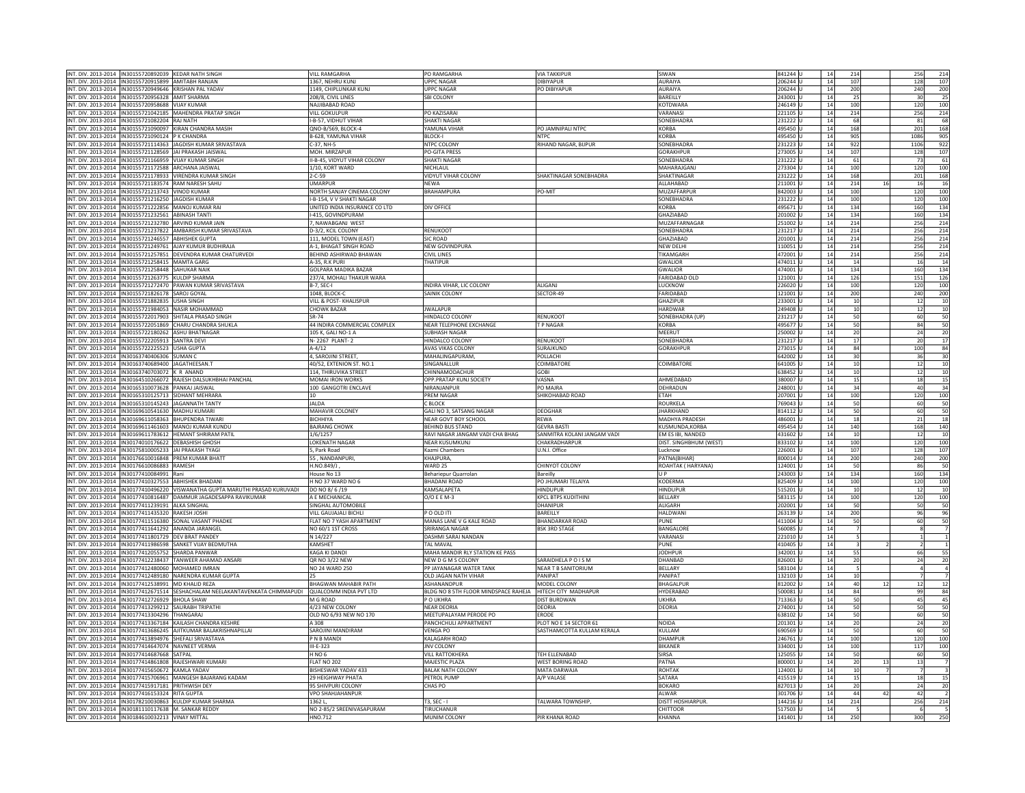|                                                                                                                     |                                                                                | <b>VILL RAMGARHA</b>                 | PO RAMGARHA                                                            | <b>VIA TAKKIPUF</b>         | SIWAN                            | 841244 U            | 14 | 214       | 256<br>214                     |
|---------------------------------------------------------------------------------------------------------------------|--------------------------------------------------------------------------------|--------------------------------------|------------------------------------------------------------------------|-----------------------------|----------------------------------|---------------------|----|-----------|--------------------------------|
| INT. DIV. 2013-2014   IN30155720892039 KEDAR NATH SINGH<br>VT. DIV. 2013-2014   IN30155720915899   AMITABH RANJAN   |                                                                                | 1367. NEHRU KUNJ                     | <b>UPPC NAGAR</b>                                                      | <b>DIBIYAPUR</b>            | AURAIYA                          | 206244 U            | 14 | 107       | 128<br>107                     |
|                                                                                                                     |                                                                                |                                      |                                                                        |                             |                                  |                     |    |           |                                |
| VT. DIV. 2013-2014   IN30155720949646   KRISHAN PAL YADAV                                                           |                                                                                | 1149, CHIPLUNKAR KUNJ                | <b>UPPC NAGAR</b>                                                      | PO DIBIYAPUR                | <b>AURAIYA</b>                   | 206244 U            | 14 | 200       | 240<br>200                     |
| IT. DIV. 2013-2014 IN30155720956328 AMIT SHARMA                                                                     |                                                                                | 208/8, CIVIL LINES                   | SBI COLONY                                                             |                             | BAREILLY                         | 243001 L            | 14 | 25        | 30<br>25                       |
| VT. DIV. 2013-2014   IN30155720958688   VIJAY KUMAR                                                                 |                                                                                | NAJJIBABAD ROAD                      |                                                                        |                             | KOTDWARA                         | 246149 U            | 14 | 100       | 120<br>100                     |
| VT. DIV. 2013-2014   IN30155721042185   MAHENDRA PRATAP SINGH                                                       |                                                                                | VIII GOKULPUR                        | PO KAZISARAI                                                           |                             | VARANASI                         | 221105 U            | 14 | 214       | 256<br>214                     |
| IT. DIV. 2013-2014  IN30155721082204  RAJ NATH                                                                      |                                                                                | I-B-57, VIDHUT VIHAP                 | <b>SHAKTI NAGAR</b>                                                    |                             | SONEBHADRA                       | 231222 U            | 14 | 68        | 68<br>81                       |
| VT. DIV. 2013-2014   IN30155721090097   KIRAN CHANDRA MASIH                                                         |                                                                                | QNO-B/569, BLOCK-4                   | YAMUNA VIHAR                                                           | PO JAMNIPALI NTPC           | <b>KORBA</b>                     | 495450 U            | 14 | 168       | 168<br>201                     |
| IT. DIV. 2013-2014  IN30155721090124   P K CHANDRA                                                                  |                                                                                | <b>B-628, YAMUNA VIHAR</b>           | <b>BLOCK-I</b>                                                         | <b>NTPC</b>                 | <b>CORBA</b>                     | 95450               | 14 | 905       | 1086<br>905                    |
| IT. DIV. 2013-2014<br>IN30155721114363                                                                              | JAGDISH KUMAR SRIVASTAVA                                                       | C-37, NH-5                           | NTPC COLONY                                                            | RIHAND NAGAR, BIJPUR        | SONEBHADRA                       | 31223               | 14 | 922       | 1106<br>922                    |
| JT. DIV. 2013-2014  IN30155721128569  IAI PRAKASH JAISWAI                                                           |                                                                                | MOH. MIRZAPUR                        | <b>PO-GITA PRESS</b>                                                   |                             | GORAKHPUR                        | 23005               | 14 | 107       | 128<br>107                     |
| IT. DIV. 2013-2014 IN30155721166959 VUAY KUMAR SINGH                                                                |                                                                                | II-B-45, VIDYUT VIHAR COLONY         | <b>SHAKTI NAGAR</b>                                                    |                             | <b>SONEBHADRA</b>                | 231222 L            | 14 | 61        | 73<br>61                       |
| VT. DIV. 2013-2014  IN30155721172588   ARCHANA JAISWAL                                                              |                                                                                | 1/10. KORT WARD                      | NICHI AUI                                                              |                             | MAHARAIGAN                       | 273304 U            | 14 | 100       | 100<br>120                     |
| IT. DIV. 2013-2014   IN30155721178933   VIRENDRA KUMAR SINGH                                                        |                                                                                | $2 - C - 59$                         | VIDYUT VIHAR COLONY                                                    | HAKTINAGAR SONEBHADRA       | SHAKTINAGAR                      | 31222               | 14 | 168       | 201<br>168                     |
| VT. DIV. 2013-2014   IN30155721183574   RAM NARESH SAHU                                                             |                                                                                | <b>UMARPUR</b>                       | <b>NEWA</b>                                                            |                             | ALLAHABAD                        | 211001              | 14 | 214<br>16 | 16<br>16                       |
| VT. DIV. 2013-2014 IN30155721213743 VINOD KUMAR                                                                     |                                                                                | NORTH SANJAY CINEMA COLONY           | <b>BRAHAMPURA</b>                                                      | PO-MIT                      | MUZAFFARPUI                      | 842003              | 14 | 100       | 120<br>100                     |
|                                                                                                                     |                                                                                |                                      |                                                                        |                             |                                  |                     |    |           |                                |
| IT. DIV. 2013-2014  IN30155721216250  JAGDISH KUMAR                                                                 |                                                                                | I-B-154, V V SHAKTI NAGAR            |                                                                        |                             | SONEBHADRA                       | 231222 U            | 14 | 100       | 120<br>100                     |
| VT. DIV. 2013-2014  IN30155721222856   MANOJ KUMAR RAI                                                              |                                                                                | UNITED INDIA INSURANCE CO LTD        | DIV OFFICE                                                             |                             | <b>KORBA</b>                     | 195671 U            | 14 | 134       | 134<br>160                     |
| IT. DIV. 2013-2014   IN30155721232561 ABINASH TANTI                                                                 |                                                                                | -415, GOVINDPURAM                    |                                                                        |                             | <b>SHAZIABAD</b>                 | 01002               | 14 | 134       | 160<br>134                     |
| VT. DIV. 2013-2014   IN30155721232780   ARVIND KUMAR JAIN                                                           |                                                                                | 7, NAWABGANJ WEST                    |                                                                        |                             | MUZAFFARNAGAF                    | 251002              | 14 | 214       | 256<br>214                     |
| VT. DIV. 2013-2014   IN30155721237822   AMBARISH KUMAR SRIVASTAVA                                                   |                                                                                | D-3/2. KCIL COLONY                   | RENUKOOT                                                               |                             | <b>SONFRHADRA</b>                | 231217 L            | 14 | 214       | 256<br>214                     |
| IT. DIV. 2013-2014  IN30155721246557   ABHISHEK GUPTA                                                               |                                                                                | 111, MODEL TOWN (EAST)               | <b>SIC ROAD</b>                                                        |                             | GHAZIABAD                        | 201001 U            | 14 | 214       | 256<br>214                     |
| VT. DIV. 2013-2014  IN30155721249761  AJAY KUMUR BUDHIRAJA                                                          |                                                                                | A-1, BHAGAT SINGH ROAD               | <b>NEW GOVINDPURA</b>                                                  |                             | <b>NEW DELHI</b>                 | L10051 U            | 14 | 214       | 256<br>214                     |
| VT. DIV. 2013-2014  IN30155721257851 DEVENDRA KUMAR CHATURVEDI                                                      |                                                                                | BEHIND ASHIRWAD BHAWAN               | CIVIL LINES                                                            |                             | TIKAMGARH                        | 72001L              | 14 | 214       | 256<br>214                     |
| VT. DIV. 2013-2014   IN30155721258415   MAMTA GARG                                                                  |                                                                                | A-35, R.K PURI                       | THATIPUR                                                               |                             | <b>GWALIOR</b>                   | 174011 l            | 14 | 14        | 16<br>14                       |
| VT. DIV. 2013-2014   IN30155721258448   SAHUKAR NAIK                                                                |                                                                                | <b>GOLPARA MADIKA BAZAR</b>          |                                                                        |                             | <b>GWALIOR</b>                   | 174001 L            | 14 | 134       | 160<br>134                     |
| IT. DIV. 2013-2014  IN30155721263775   KULDIP SHARMA                                                                |                                                                                | 237/4, MOHALI THAKUR WARA            |                                                                        |                             | FARIDABAD OLD                    | 121001 U            | 14 | 126       | 151<br>126                     |
| VT. DIV. 2013-2014 IN30155721272470 PAWAN KUMAR SRIVASTAVA                                                          |                                                                                | B-7, SEC-I                           | INDIRA VIHAR, LIC COLONY                                               | ALIGANJ                     | LUCKNOW                          | 226020 U            | 14 | 100       | 100<br>120                     |
| IT. DIV. 2013-2014  IN30155721826178 SAROJ GOYAL                                                                    |                                                                                | 1048. BLOCK-C                        | SAINIK COLONY                                                          | SECTOR-49                   | ARIDABAD                         | 21001L              | 14 | 200       | 240                            |
|                                                                                                                     |                                                                                |                                      |                                                                        |                             |                                  |                     | 14 |           | 200                            |
| VT. DIV. 2013-2014  IN30155721882835 USHA SINGH                                                                     |                                                                                | VILL & POST- KHALISPUR               |                                                                        |                             | <b>GHAZIPUR</b>                  | 233001 U            |    | 10        | 10<br>12                       |
| VT. DIV. 2013-2014   IN30155721984053 NASIR MOHAMMAD                                                                |                                                                                | <b>CHOWK BAZAR</b>                   | <b>JWALAPUR</b>                                                        |                             | <b>HARDWAR</b>                   | 249408 U            | 14 | 10        | 12<br>10                       |
| IT. DIV. 2013-2014   IN30155722017903 SHITALA PRASAD SINGH                                                          |                                                                                | SR-74                                | HINDALCO COLONY                                                        | <b>RENUKOOT</b>             | SONEBHADRA (UP)                  | 231217 U            | 14 | 50        | 50<br>60                       |
| VT. DIV. 2013-2014   IN30155722051869   CHARU CHANDRA SHUKLA                                                        |                                                                                | 44 INDIRA COMMERCIAL COMPLEX         | NFAR TELEPHONE EXCHANGE                                                | <b>TP NAGAR</b>             | KORBA                            | 495677              | 14 | 50        | 50<br>84                       |
| IT. DIV. 2013-2014  IN30155722180262   ASHU BHATNAGAR                                                               |                                                                                | 105 K. GALI NO-1 A                   | <b>SUBHASH NAGAR</b>                                                   |                             | MEERUT                           | 50002               | 14 | 20        | $rac{20}{17}$<br>24            |
| VT. DIV. 2013-2014   IN30155722205913   SANTRA DEVI                                                                 |                                                                                | N-2267 PLANT-2                       | HINDALCO COLONY                                                        | RENUKOOT                    | SONEBHADRA                       | 231217 L            | 14 | 17        | 20                             |
| VT. DIV. 2013-2014  IN30155722225523 USHA GUPTA                                                                     |                                                                                | $A - 4/12$                           | AVAS VIKAS COLONY                                                      | SURAJKUND                   | GORAKHPUR                        | 273015 L            | 14 | 84        | 100<br>84                      |
| IT. DIV. 2013-2014   IN30163740406306 SUMAN C                                                                       |                                                                                | 4, SAROJINI STREET,                  | MAHALINGAPURAM,                                                        | POLLACHI                    |                                  | 642002 U            | 14 | 30        | 30<br>36                       |
| VT. DIV. 2013-2014  IN30163740689400  JAGATHEESAN.T                                                                 |                                                                                | 40/52. EXTENION ST. NO.1             | <b>SINGANALLUR</b>                                                     | COIMBATORE                  | COIMBATORE                       | 641005 U            | 14 | 10        | 10<br>12                       |
| IT. DIV. 2013-2014   IN30163740703072 K R ANAND                                                                     |                                                                                | 114. THIRUVIKA STREET                | CHINNAMODACHUR                                                         | <b>COBI</b>                 |                                  | 38452 U             | 14 | 10        | 10<br>12                       |
| VT. DIV. 2013-2014   IN30164510266072   RAJESH DALSUKHBHAI PANCHAL                                                  |                                                                                | MOMAI IRON WORKS                     | OPP.PRATAP KUNJ SOCIETY                                                | VASNA                       | AHMEDABAD                        | 880007 U            | 14 | 15        | 15<br>18                       |
| VT. DIV. 2013-2014 IN30165310073628 PANKAJ JAISWAL                                                                  |                                                                                | 100 GANGOTRI ENCLAVE                 | NIRANJANPUR                                                            | PO MAJRA                    | DEHRADUN                         | 248001              | 14 | 34        | 40<br>34                       |
|                                                                                                                     |                                                                                | 10                                   |                                                                        |                             | ETAH                             |                     | 14 |           |                                |
| VT. DIV. 2013-2014  IN30165310125713 SIDHANT MEHRARA                                                                |                                                                                | <b>JAIDA</b>                         | PREM NAGAR                                                             | SHIKOHABAD ROAD             | <b>ROURKELA</b>                  | 207001 U            |    | 100       | 120<br>100<br>60               |
| VT. DIV. 2013-2014  IN30165310145243  JAGANNATH TANTY                                                               |                                                                                |                                      | C BLOCK                                                                |                             |                                  | 69043 U             | 14 | 50        | 50                             |
| IT. DIV. 2013-2014   IN30169610541630   MADHU KUMARI                                                                |                                                                                | MAHAVIR COLONEY                      | GALI NO 3, SATSANG NAGAR                                               | DEOGHAR                     | <b>JHARKHAND</b>                 | 14112               | 14 | 50        | 50<br>60                       |
| VT. DIV. 2013-2014  IN30169611058363   BHUPENDRA TIWAR                                                              |                                                                                | BICHHIYA                             | NEAR GOVT BOY SCHOOL                                                   | REWA                        | <b>MADHYA PRADESH</b>            | 486001 L            | 14 | $18\,$    | 18<br>21                       |
| IT. DIV. 2013-2014   IN30169611461603   MANOJ KUMAR KUNDU                                                           |                                                                                | <b>BAJRANG CHOWK</b>                 | <b>BEHIND BUS STAND</b>                                                | <b>GEVRA BAST</b>           | KUSMUNDA.KORBA                   | 495454 L            | 14 | 140       | 168<br>140                     |
| IT. DIV. 2013-2014  IN30169611783612  HEMANT SHRIRAM PATIL                                                          |                                                                                | 1/6/1257                             | RAVI NAGAR JANGAM VADI CHA BHAG                                        | SANMITRA KOLANI JANGAM VADI | EM ES IBI, NANDED                | 131602 U            | 14 | 10        | 12<br>10                       |
| VT. DIV. 2013-2014  IN30174010176622 DEBASHISH GHOSH                                                                |                                                                                | LOKENATH NAGAR                       | <b>NEAR KUSUMKUNJ</b>                                                  | CHAKRADHARPUR               | DIST. SINGHBHUM (WEST)           | 833102 U            | 14 | 100       | 120<br>100                     |
| T. DIV. 2013-2014  IN30175810005233  JAI PRAKASH TYAG                                                               |                                                                                | , Park Road                          | Kazmi Chambers                                                         | J.N.I. Office               | ucknow.                          | 26001               | 14 | 107       | 107<br>128                     |
| NT. DIV. 2013-2014  IN30176610016848   PREM KUMAR BHATT                                                             |                                                                                | 55, NANDANPURI                       | <b>KHAJPURA</b>                                                        |                             | PATNA(BIHAR)                     | 800014 U            |    | 200       | 200<br>240                     |
|                                                                                                                     |                                                                                |                                      |                                                                        |                             |                                  |                     | 14 |           |                                |
| VT. DIV. 2013-2014  IN30176610086883  RAMESH                                                                        |                                                                                | H.NO.849/J                           | WARD 25                                                                | CHINYOT COLONY              | ROAHTAK (HARYANA)                | 124001 L            | 14 | 50        | 86                             |
|                                                                                                                     |                                                                                |                                      |                                                                        | Bareilly                    | U P                              |                     | 14 | 134       | 50<br>160                      |
| VT. DIV. 2013-2014   IN30177410084991   Rani                                                                        |                                                                                | House No 13                          | Behariepur Quarrolan<br><b>BHADANI ROAD</b>                            |                             | KODERMA                          | 243003 U            |    |           |                                |
| VT. DIV. 2013-2014  IN30177410327553  ABHISHEK BHADANI                                                              |                                                                                | H NO 37 WARD NO 6                    |                                                                        | PO JHUMARI TELAIYA          |                                  | 825409 U            | 14 | 100       | 120                            |
|                                                                                                                     | IT. DIV. 2013-2014  IN30177410496220  VISWANATHA GUPTA MARUTHI PRASAD KURUVADI | DO NO 8/6/19                         | KAMSALAPETA                                                            | HINDUPUR                    | HINDUPUR                         | 15201               | 14 | $10\,$    | 12                             |
| VT. DIV. 2013-2014 IN30177410816487 DAMMUR JAGADESAPPA RAVIKUMAR                                                    |                                                                                | A E MECHANICAL                       | O/O E E M-3                                                            | KPCL BTPS KUDITHINI         | BELLARY                          | 583115 l            | 14 | 100       | 134<br>100<br>10<br>100<br>120 |
| IT. DIV. 2013-2014 IN30177411239191 ALKA SINGHAL                                                                    |                                                                                | SINGHAL AUTOMOBILE                   |                                                                        | <b>DHANIPUF</b>             | ALIGARH                          | 202001L             | 14 | 50        | 50<br>50                       |
| VT. DIV. 2013-2014   IN30177411435320   RAKESH JOSHI                                                                |                                                                                | VILL GAUJAJALI BICHLI                | P O OLD ITI                                                            | BAREILLY                    | HALDWANI                         | 263139 L            | 14 | 200       | 96                             |
| IT. DIV. 2013-2014 IN30177411516380 SONAL VASANT PHADKE                                                             |                                                                                | FLAT NO 7 YASH APARTMENT             | MANAS LANE V G KALE ROAD                                               | <b>BHANDARKAR ROAD</b>      | <b>PUNE</b>                      | 111004              | 14 | 50        | 96<br>50<br>60                 |
| IT. DIV. 2013-2014  IN30177411641292  ANANDA JARANGEL                                                               |                                                                                | NO 60/1 1ST CROSS                    | SRIRANGA NAGAR                                                         | <b>BSK 3RD STAGE</b>        | BANGALORE                        | 50085               | 14 |           |                                |
| VT. DIV. 2013-2014   IN30177411801729   DEV BRAT PANDEY                                                             |                                                                                | N 14/227                             | DASHMI SARAI NANDAN                                                    |                             | VARANASI                         | 221010 U            | 14 |           |                                |
| IT. DIV. 2013-2014  IN30177411986598 SANKET VIJAY BEDMUTHA                                                          |                                                                                | KAMSHET                              | TAL MAVAL                                                              |                             | PUNE                             | 110405 L            | 14 |           |                                |
| IT. DIV. 2013-2014   IN30177412055752 SHARDA PANWAR                                                                 |                                                                                | KAGA KI DANDI                        | MAHA MANDIR RLY STATION KE PASS                                        |                             | <b>JODHPUF</b>                   | 342001 U            | 14 | 55        | 66                             |
| VT. DIV. 2013-2014 IN30177412238437 TANWEER AHAMAD ANSARI                                                           |                                                                                | OR NO 3/22 NEW                       | NEW D G M S COLONY                                                     | SARAIDHELA POISM            | DHANBAD                          | 826001L             | 14 | 20        | 24                             |
| IT. DIV. 2013-2014   IN30177412480060 MOHAMED IMRAN                                                                 |                                                                                | NO 24 WARD 250                       | PP JAYANAGAR WATER TANK                                                | <b>NEAR T B SANITORIUM</b>  | <b>BELLARY</b>                   | 583104              | 14 |           |                                |
|                                                                                                                     |                                                                                | 25                                   |                                                                        | PANIPAT                     | PANIPAT                          |                     | 14 | 10        |                                |
| VT. DIV. 2013-2014   IN30177412489180 NARENDRA KUMAR GUPTA<br>VT. DIV. 2013-2014  IN30177412538991   MD KHALID REZA |                                                                                | <b>BHAGWAN MAHABIR PATH</b>          | OLD JAGAN NATH VIHAR<br>ASHANANDPUR                                    | MODEL COLONY                | BHAGALPUR                        | 132103<br>812002 L  | 14 | 40        | 12                             |
|                                                                                                                     |                                                                                |                                      |                                                                        |                             |                                  |                     | 14 | 84        | 55<br>20<br>12                 |
| VT. DIV. 2013-2014  IN30177412726929  BHOLA SHAW                                                                    | IT. DIV. 2013-2014  IN30177412671514 SESHACHALAM NEELAKANTAVENKATA CHIMMAPUDI  | QUALCOMM INDIA PVT LTD<br>M G ROAD   | BLDG NO 8 5TH FLOOR MINDSPACE RAHEJA HITECH CITY MADHAPUR<br>P O UKHRA | DIST BURDWAN                | <b>HYDERABAD</b><br><b>JKHRA</b> | 500081 U<br>13363 L | 14 | 50        | 99<br>45                       |
|                                                                                                                     |                                                                                |                                      |                                                                        |                             |                                  |                     |    |           | 84<br>45                       |
| IT. DIV. 2013-2014  IN30177413299212  SAURABH TRIPATHI                                                              |                                                                                | 4/23 NEW COLONY                      | <b>NEAR DEORIA</b>                                                     | DEORIA                      | DEORIA                           | 74001 U             | 14 | 50        | 50<br>50                       |
| VT. DIV. 2013-2014  IN30177413304296 THANGARAJ                                                                      |                                                                                | OLD NO 6/93 NEW NO 170               | MEETUPALAYAM PERODE PO                                                 | <b>FRODE</b>                |                                  | 538102 U            | 14 | 50        | 60                             |
| VT. DIV. 2013-2014  IN30177413367184   KAILASH CHANDRA KESHRE                                                       |                                                                                | A 308                                | PANCHCHULI APPARTMENT                                                  | PLOT NO E 14 SECTOR 61      | NOIDA                            | 201301 L            | 14 | 20        | 50<br>24<br>20                 |
| VT. DIV. 2013-2014   IN30177413686245   AJITKUMAR BALAKRISHNAPILLAI                                                 |                                                                                | SAROJINI MANDIRAM                    | <b>VENGA PO</b>                                                        | SASTHAMCOTTA KULLAM KERALA  | KULLAM                           | 590569 U            | 14 | 50        | 60<br>50                       |
| VT. DIV. 2013-2014   IN30177413894976 SHEFALI SRIVASTAVA                                                            |                                                                                | P N B MANDI                          | KAI AGARH ROAD                                                         |                             | DHAMPUI                          | 246761              | 14 | 100       | 120<br>100                     |
| VT. DIV. 2013-2014   IN30177414647074 NAVNEET VERMA                                                                 |                                                                                | $II-E-323$                           | <b>JNV COLONY</b>                                                      |                             | <b>BIKANER</b>                   | 334001 L            | 14 | 100       | 100<br>117                     |
| VT. DIV. 2013-2014  IN30177414687668 SATPAL                                                                         |                                                                                | HNO <sub>6</sub>                     | <b>VILL RATTOKHERA</b>                                                 | TEH ELLENABAD               | SIRSA                            | 125055 L            | 14 | 50        | 50<br>60                       |
| IT. DIV. 2013-2014  IN30177414861808  RAJESHWARI KUMARI                                                             |                                                                                | FLAT NO 202                          | MAJESTIC PLAZA                                                         | WEST BORING ROAD            | PATNA                            | 800001 U            | 14 | 20        | 13                             |
| VT. DIV. 2013-2014   IN30177415650672   KAMLA YADAV                                                                 |                                                                                | BISHESWAR YADAV 433                  | <b>BALAK NATH COLONY</b>                                               | MATA DARWAJA                | ROHTAK                           | 124001 U            | 14 | 10        |                                |
| IT. DIV. 2013-2014 IN30177415706961 MANGESH BAJARANG KADAM                                                          |                                                                                | 29 HFIGHWAY PHATA                    | PFTROI PUMP                                                            | A/P VALASE                  | SATARA                           | 15519               | 14 | 15        | 18                             |
| IT. DIV. 2013-2014   IN30177415917181   PRITHWISH DEY                                                               |                                                                                | 95 SHIVPURI COLONY                   | CHAS PO                                                                |                             | <b>BOKARO</b>                    | 327013              | 14 | 20        | 24                             |
| VT. DIV. 2013-2014   IN30177416153324   RITA GUPTA                                                                  |                                                                                | <b>VPO SHAHJAHANPUR</b>              |                                                                        |                             | ALWAR                            | 301706 L            | 14 | 44<br>42  | 42                             |
|                                                                                                                     |                                                                                | 1362L                                | T3. SEC -                                                              |                             | <b>DISTT HOSHIARPUR</b>          |                     | 14 |           |                                |
| VT. DIV. 2013-2014   IN30178210030863   KULDIP KUMAR SHARMA                                                         |                                                                                |                                      | TIRUCHANUR                                                             | TALWARA TOWNSHIP            | CHITTOOR                         | 144216<br>517503 U  | 14 | 214       | 256                            |
| NT. DIV. 2013-2014   IN30181110117638   M. SANKAR REDDY<br>INT. DIV. 2013-2014   IN30184610032213   VINAY MITTAL    |                                                                                | NO 2-85/2 SREENIVASAPURAM<br>HNO.712 | MUNIM COLONY                                                           | PIR KHANA ROAD              | <b>CHANNA</b>                    | 141401 U            | 14 | 250       | 15<br>20<br>214<br>300<br>250  |